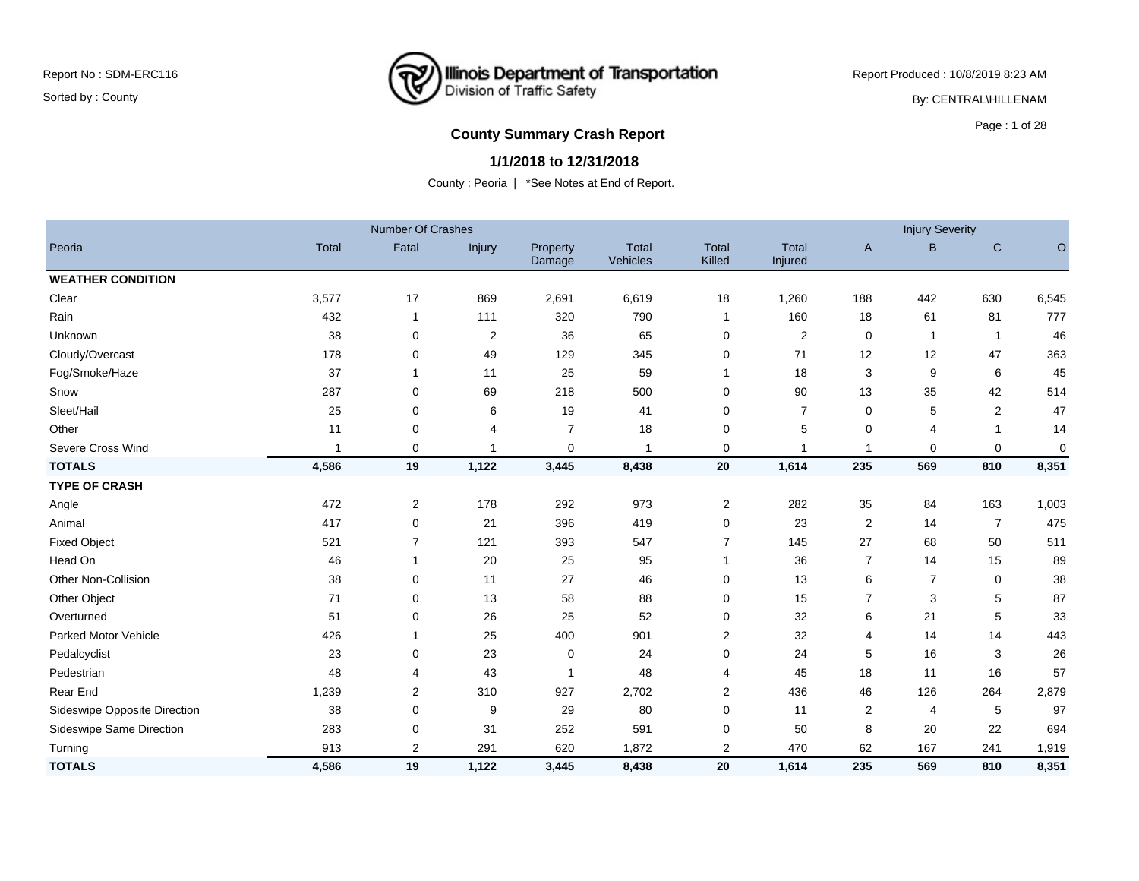Report Produced : 10/8/2019 8:23 AM

By: CENTRAL\HILLENAM

### **County Summary Crash Report County Summary Crash Report**

#### **1/1/2018 to 12/31/2018**

|                              |              | <b>Number Of Crashes</b> |                |                    |                          |                        |                         |     | <b>Injury Severity</b>  |                |           |
|------------------------------|--------------|--------------------------|----------------|--------------------|--------------------------|------------------------|-------------------------|-----|-------------------------|----------------|-----------|
| Peoria                       | <b>Total</b> | Fatal                    | Injury         | Property<br>Damage | Total<br><b>Vehicles</b> | <b>Total</b><br>Killed | <b>Total</b><br>Injured | A   | B                       | $\mathsf{C}$   | O         |
| <b>WEATHER CONDITION</b>     |              |                          |                |                    |                          |                        |                         |     |                         |                |           |
| Clear                        | 3,577        | 17                       | 869            | 2,691              | 6,619                    | 18                     | 1,260                   | 188 | 442                     | 630            | 6,545     |
| Rain                         | 432          | 1                        | 111            | 320                | 790                      | $\mathbf{1}$           | 160                     | 18  | 61                      | 81             | 777       |
| Unknown                      | 38           | 0                        | 2              | 36                 | 65                       | 0                      | $\overline{2}$          | 0   | $\overline{\mathbf{1}}$ | $\mathbf{1}$   | 46        |
| Cloudy/Overcast              | 178          | 0                        | 49             | 129                | 345                      | $\mathbf 0$            | 71                      | 12  | 12                      | 47             | 363       |
| Fog/Smoke/Haze               | 37           |                          | 11             | 25                 | 59                       | 1                      | 18                      | 3   | 9                       | 6              | 45        |
| Snow                         | 287          | 0                        | 69             | 218                | 500                      | 0                      | 90                      | 13  | 35                      | 42             | 514       |
| Sleet/Hail                   | 25           | 0                        | 6              | 19                 | 41                       | $\Omega$               | $\overline{7}$          | 0   | 5                       | 2              | 47        |
| Other                        | 11           | 0                        | $\overline{4}$ | $\overline{7}$     | 18                       | $\mathbf 0$            | 5                       | 0   | 4                       | 1              | 14        |
| Severe Cross Wind            | 1            | 0                        | -1             | 0                  | 1                        | $\mathbf 0$            | $\mathbf 1$             | 1   | 0                       | 0              | $\pmb{0}$ |
| <b>TOTALS</b>                | 4,586        | 19                       | 1,122          | 3,445              | 8,438                    | 20                     | 1,614                   | 235 | 569                     | 810            | 8,351     |
| <b>TYPE OF CRASH</b>         |              |                          |                |                    |                          |                        |                         |     |                         |                |           |
| Angle                        | 472          | $\overline{2}$           | 178            | 292                | 973                      | $\overline{c}$         | 282                     | 35  | 84                      | 163            | 1,003     |
| Animal                       | 417          | 0                        | 21             | 396                | 419                      | 0                      | 23                      | 2   | 14                      | $\overline{7}$ | 475       |
| <b>Fixed Object</b>          | 521          | $\overline{7}$           | 121            | 393                | 547                      | 7                      | 145                     | 27  | 68                      | 50             | 511       |
| Head On                      | 46           |                          | 20             | 25                 | 95                       | 1                      | 36                      | 7   | 14                      | 15             | 89        |
| Other Non-Collision          | 38           | 0                        | 11             | 27                 | 46                       | 0                      | 13                      | 6   | 7                       | 0              | 38        |
| Other Object                 | 71           | 0                        | 13             | 58                 | 88                       | 0                      | 15                      | 7   | 3                       | 5              | 87        |
| Overturned                   | 51           | 0                        | 26             | 25                 | 52                       | 0                      | 32                      | 6   | 21                      | 5              | 33        |
| Parked Motor Vehicle         | 426          |                          | 25             | 400                | 901                      | 2                      | 32                      | 4   | 14                      | 14             | 443       |
| Pedalcyclist                 | 23           | 0                        | 23             | 0                  | 24                       | 0                      | 24                      | 5   | 16                      | 3              | 26        |
| Pedestrian                   | 48           | 4                        | 43             | 1                  | 48                       | 4                      | 45                      | 18  | 11                      | 16             | 57        |
| Rear End                     | 1,239        | 2                        | 310            | 927                | 2,702                    | $\overline{2}$         | 436                     | 46  | 126                     | 264            | 2,879     |
| Sideswipe Opposite Direction | 38           | 0                        | 9              | 29                 | 80                       | 0                      | 11                      | 2   | 4                       | 5              | 97        |
| Sideswipe Same Direction     | 283          | 0                        | 31             | 252                | 591                      | $\mathbf 0$            | 50                      | 8   | 20                      | 22             | 694       |
| Turning                      | 913          | 2                        | 291            | 620                | 1,872                    | $\overline{2}$         | 470                     | 62  | 167                     | 241            | 1,919     |
| <b>TOTALS</b>                | 4,586        | 19                       | 1,122          | 3.445              | 8,438                    | 20                     | 1,614                   | 235 | 569                     | 810            | 8,351     |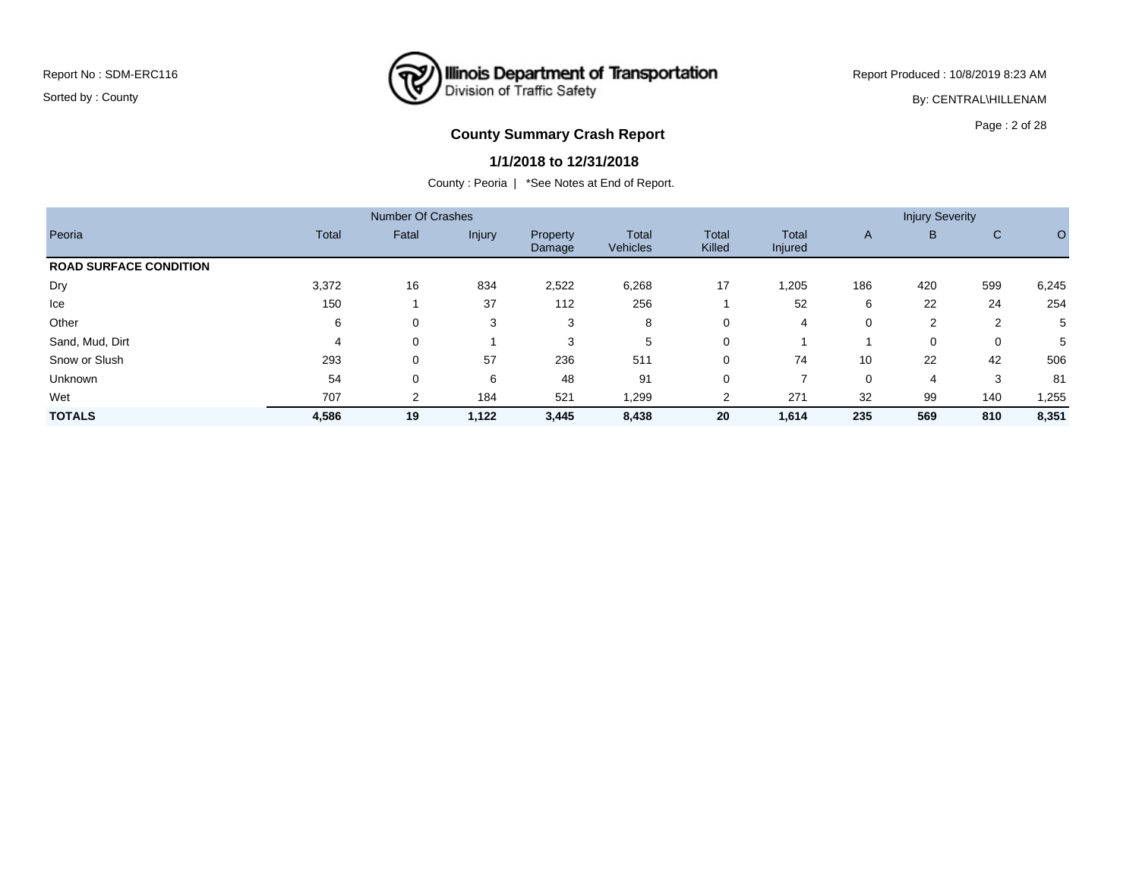Report Produced : 10/8/2019 8:23 AM

By: CENTRAL\HILLENAM

# **County Summary Crash Report COUNTY COUNTY SUMMARY CRASH REPORT**

#### **1/1/2018 to 12/31/2018**

|                               |              | <b>Number Of Crashes</b> |        |                    |                          |                 |                  |     | <b>Injury Severity</b> |     |       |
|-------------------------------|--------------|--------------------------|--------|--------------------|--------------------------|-----------------|------------------|-----|------------------------|-----|-------|
| Peoria                        | <b>Total</b> | Fatal                    | Injury | Property<br>Damage | <b>Total</b><br>Vehicles | Total<br>Killed | Total<br>Injured | A   | B                      | C   | O     |
| <b>ROAD SURFACE CONDITION</b> |              |                          |        |                    |                          |                 |                  |     |                        |     |       |
| Dry                           | 3,372        | 16                       | 834    | 2,522              | 6,268                    | 17              | 1,205            | 186 | 420                    | 599 | 6,245 |
| Ice                           | 150          |                          | 37     | 112                | 256                      |                 | 52               | 6   | 22                     | 24  | 254   |
| Other                         | 6            | 0                        | 3      | 3                  | 8                        | 0               | 4                | 0   | $\overline{2}$         | 2   | 5     |
| Sand, Mud, Dirt               | 4            | 0                        |        | 3                  | 5                        | $\Omega$        |                  |     | 0                      | 0   | 5     |
| Snow or Slush                 | 293          | 0                        | 57     | 236                | 511                      | 0               | 74               | 10  | 22                     | 42  | 506   |
| Unknown                       | 54           | 0                        | 6      | 48                 | 91                       | 0               |                  | 0   | -4                     | 3   | 81    |
| Wet                           | 707          | 2                        | 184    | 521                | 1,299                    | 2               | 271              | 32  | 99                     | 140 | 1,255 |
| <b>TOTALS</b>                 | 4,586        | 19                       | 1,122  | 3,445              | 8,438                    | 20              | 1,614            | 235 | 569                    | 810 | 8,351 |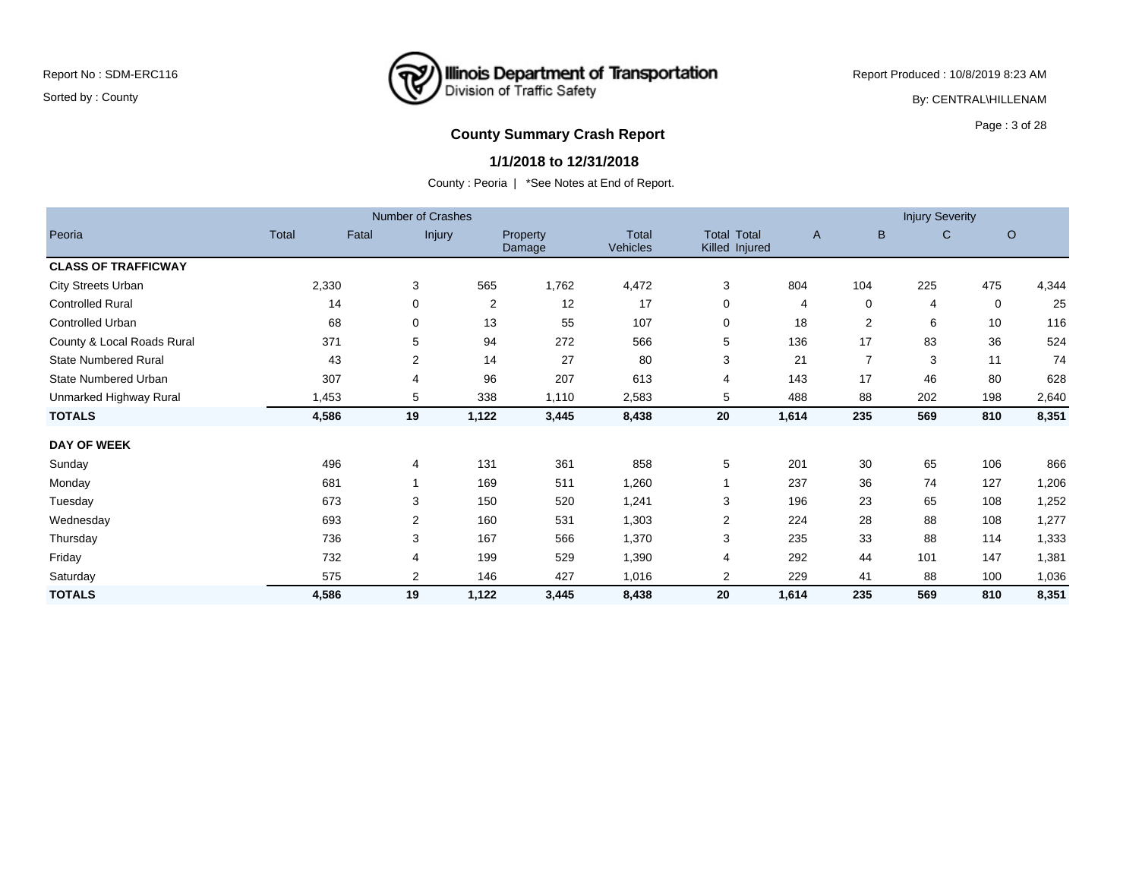Report Produced : 10/8/2019 8:23 AM

By: CENTRAL\HILLENAM

# **County Summary Crash Report County Summary Crash Report**

#### **1/1/2018 to 12/31/2018**

|                             |       |       | <b>Number of Crashes</b> |       |                                  |                   |                                      |              |                | <b>Injury Severity</b> |     |       |
|-----------------------------|-------|-------|--------------------------|-------|----------------------------------|-------------------|--------------------------------------|--------------|----------------|------------------------|-----|-------|
| Peoria                      | Total | Fatal | Injury                   |       | <b>Property</b><br><b>Damage</b> | Total<br>Vehicles | <b>Total Total</b><br>Killed Injured | $\mathsf{A}$ | B              | C                      | O   |       |
| <b>CLASS OF TRAFFICWAY</b>  |       |       |                          |       |                                  |                   |                                      |              |                |                        |     |       |
| <b>City Streets Urban</b>   |       | 2,330 | 3                        | 565   | 1,762                            | 4,472             | 3                                    | 804          | 104            | 225                    | 475 | 4,344 |
| <b>Controlled Rural</b>     |       | 14    | 0                        | 2     | 12                               | 17                | 0                                    | 4            | 0              | 4                      | 0   | 25    |
| Controlled Urban            |       | 68    | 0                        | 13    | 55                               | 107               | 0                                    | 18           | 2              | 6                      | 10  | 116   |
| County & Local Roads Rural  |       | 371   | 5                        | 94    | 272                              | 566               | 5                                    | 136          | 17             | 83                     | 36  | 524   |
| <b>State Numbered Rural</b> |       | 43    | $\overline{2}$           | 14    | 27                               | 80                | 3                                    | 21           | $\overline{7}$ | 3                      | 11  | 74    |
| <b>State Numbered Urban</b> |       | 307   | 4                        | 96    | 207                              | 613               | 4                                    | 143          | 17             | 46                     | 80  | 628   |
| Unmarked Highway Rural      |       | 1,453 | 5                        | 338   | 1,110                            | 2,583             | 5                                    | 488          | 88             | 202                    | 198 | 2,640 |
| <b>TOTALS</b>               |       | 4,586 | 19                       | 1,122 | 3,445                            | 8,438             | 20                                   | 1,614        | 235            | 569                    | 810 | 8,351 |
| <b>DAY OF WEEK</b>          |       |       |                          |       |                                  |                   |                                      |              |                |                        |     |       |
| Sunday                      |       | 496   | 4                        | 131   | 361                              | 858               | 5                                    | 201          | 30             | 65                     | 106 | 866   |
| Monday                      |       | 681   |                          | 169   | 511                              | 1,260             |                                      | 237          | 36             | 74                     | 127 | 1,206 |
| Tuesday                     |       | 673   | 3                        | 150   | 520                              | 1,241             | 3                                    | 196          | 23             | 65                     | 108 | 1,252 |
| Wednesday                   |       | 693   | 2                        | 160   | 531                              | 1,303             | $\overline{2}$                       | 224          | 28             | 88                     | 108 | 1,277 |
| Thursday                    |       | 736   | 3                        | 167   | 566                              | 1,370             | 3                                    | 235          | 33             | 88                     | 114 | 1,333 |
| Friday                      |       | 732   | 4                        | 199   | 529                              | 1,390             | 4                                    | 292          | 44             | 101                    | 147 | 1,381 |
| Saturday                    |       | 575   | 2                        | 146   | 427                              | 1,016             | 2                                    | 229          | 41             | 88                     | 100 | 1,036 |
| <b>TOTALS</b>               |       | 4,586 | 19                       | 1,122 | 3,445                            | 8,438             | 20                                   | 1,614        | 235            | 569                    | 810 | 8,351 |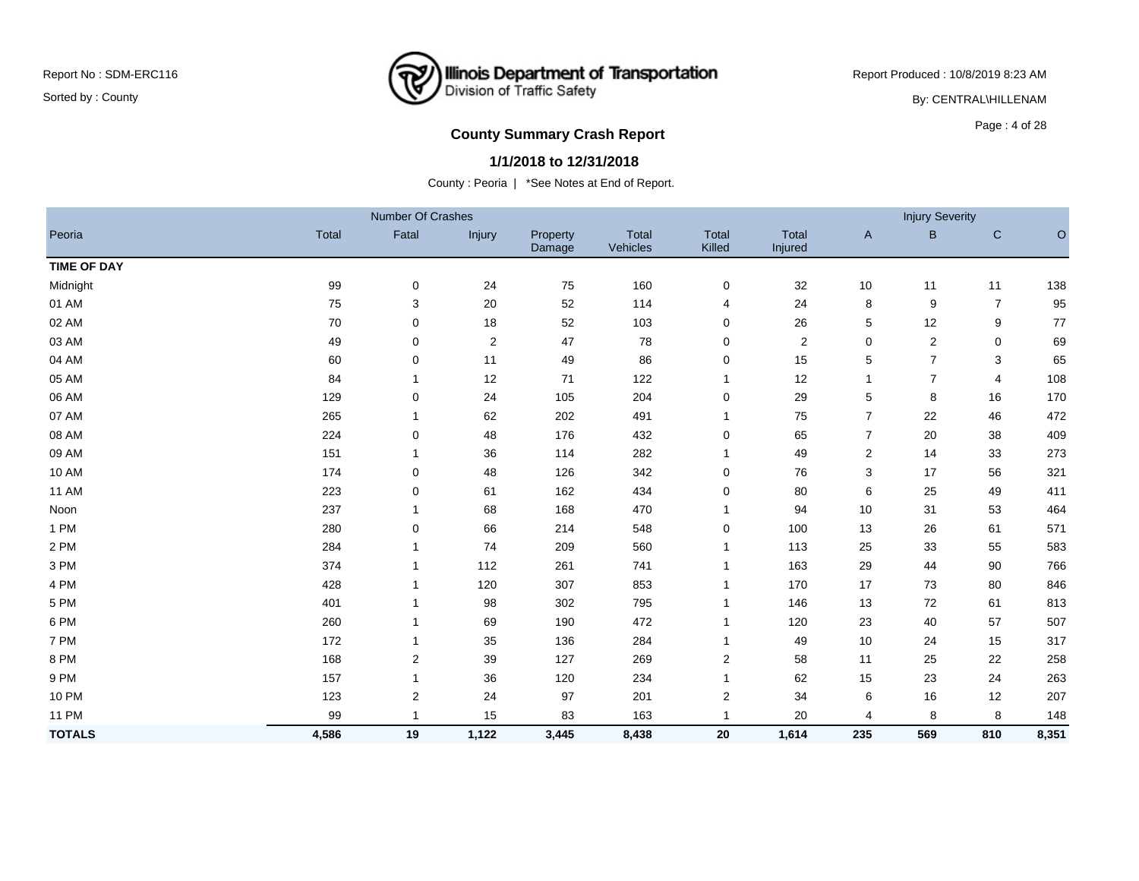Report Produced : 10/8/2019 8:23 AM

By: CENTRAL\HILLENAM

# **County Summary Crash Report COUNTY COUNTY SUMMARY CRASH REPORT**

#### **1/1/2018 to 12/31/2018**

|                    |              | Number Of Crashes |               |                    |                   |                 |                  |                | <b>Injury Severity</b>  |                |         |
|--------------------|--------------|-------------------|---------------|--------------------|-------------------|-----------------|------------------|----------------|-------------------------|----------------|---------|
| Peoria             | <b>Total</b> | Fatal             | <b>Injury</b> | Property<br>Damage | Total<br>Vehicles | Total<br>Killed | Total<br>Injured | $\mathsf{A}$   | B                       | $\mathsf{C}$   | $\circ$ |
| <b>TIME OF DAY</b> |              |                   |               |                    |                   |                 |                  |                |                         |                |         |
| Midnight           | 99           | 0                 | 24            | 75                 | 160               | 0               | 32               | 10             | 11                      | 11             | 138     |
| 01 AM              | 75           | 3                 | 20            | 52                 | 114               | 4               | 24               | 8              | 9                       | $\overline{7}$ | 95      |
| 02 AM              | 70           | 0                 | 18            | 52                 | 103               | 0               | 26               | 5              | 12                      | 9              | $77$    |
| 03 AM              | 49           | $\mathbf 0$       | $\sqrt{2}$    | 47                 | 78                | 0               | $\overline{2}$   | $\mathbf 0$    | $\overline{\mathbf{c}}$ | $\mathbf 0$    | 69      |
| 04 AM              | 60           | 0                 | 11            | 49                 | 86                | 0               | 15               | 5              | $\overline{7}$          | 3              | 65      |
| 05 AM              | 84           | $\mathbf{1}$      | 12            | 71                 | 122               | $\mathbf{1}$    | 12               | 1              | $\overline{7}$          | 4              | 108     |
| 06 AM              | 129          | 0                 | 24            | 105                | 204               | 0               | 29               | 5              | 8                       | 16             | 170     |
| 07 AM              | 265          | $\mathbf 1$       | 62            | 202                | 491               | $\mathbf{1}$    | 75               | $\overline{7}$ | 22                      | 46             | 472     |
| 08 AM              | 224          | 0                 | 48            | 176                | 432               | 0               | 65               | $\overline{7}$ | 20                      | 38             | 409     |
| 09 AM              | 151          | $\mathbf{1}$      | 36            | 114                | 282               | $\mathbf{1}$    | 49               | 2              | 14                      | 33             | 273     |
| 10 AM              | 174          | 0                 | 48            | 126                | 342               | 0               | 76               | 3              | 17                      | 56             | 321     |
| <b>11 AM</b>       | 223          | $\mathbf 0$       | 61            | 162                | 434               | 0               | 80               | 6              | 25                      | 49             | 411     |
| Noon               | 237          | $\mathbf{1}$      | 68            | 168                | 470               | $\mathbf{1}$    | 94               | 10             | 31                      | 53             | 464     |
| 1 PM               | 280          | 0                 | 66            | 214                | 548               | 0               | 100              | 13             | 26                      | 61             | 571     |
| 2 PM               | 284          | $\mathbf 1$       | 74            | 209                | 560               | 1               | 113              | 25             | 33                      | 55             | 583     |
| 3 PM               | 374          | $\mathbf 1$       | 112           | 261                | 741               | $\mathbf{1}$    | 163              | 29             | 44                      | 90             | 766     |
| 4 PM               | 428          |                   | 120           | 307                | 853               | 1               | 170              | 17             | 73                      | 80             | 846     |
| 5 PM               | 401          | $\mathbf 1$       | 98            | 302                | 795               | $\mathbf{1}$    | 146              | 13             | 72                      | 61             | 813     |
| 6 PM               | 260          | $\mathbf 1$       | 69            | 190                | 472               | $\mathbf{1}$    | 120              | 23             | 40                      | 57             | 507     |
| 7 PM               | 172          | $\mathbf 1$       | 35            | 136                | 284               | 1               | 49               | 10             | 24                      | 15             | 317     |
| 8 PM               | 168          | $\overline{2}$    | 39            | 127                | 269               | 2               | 58               | 11             | 25                      | 22             | 258     |
| 9 PM               | 157          | $\mathbf 1$       | 36            | 120                | 234               | 1               | 62               | 15             | 23                      | 24             | 263     |
| <b>10 PM</b>       | 123          | $\overline{2}$    | 24            | 97                 | 201               | 2               | 34               | 6              | 16                      | 12             | 207     |
| <b>11 PM</b>       | 99           | 1                 | 15            | 83                 | 163               | 1               | 20               | 4              | 8                       | 8              | 148     |
| <b>TOTALS</b>      | 4,586        | 19                | 1,122         | 3,445              | 8,438             | 20              | 1,614            | 235            | 569                     | 810            | 8,351   |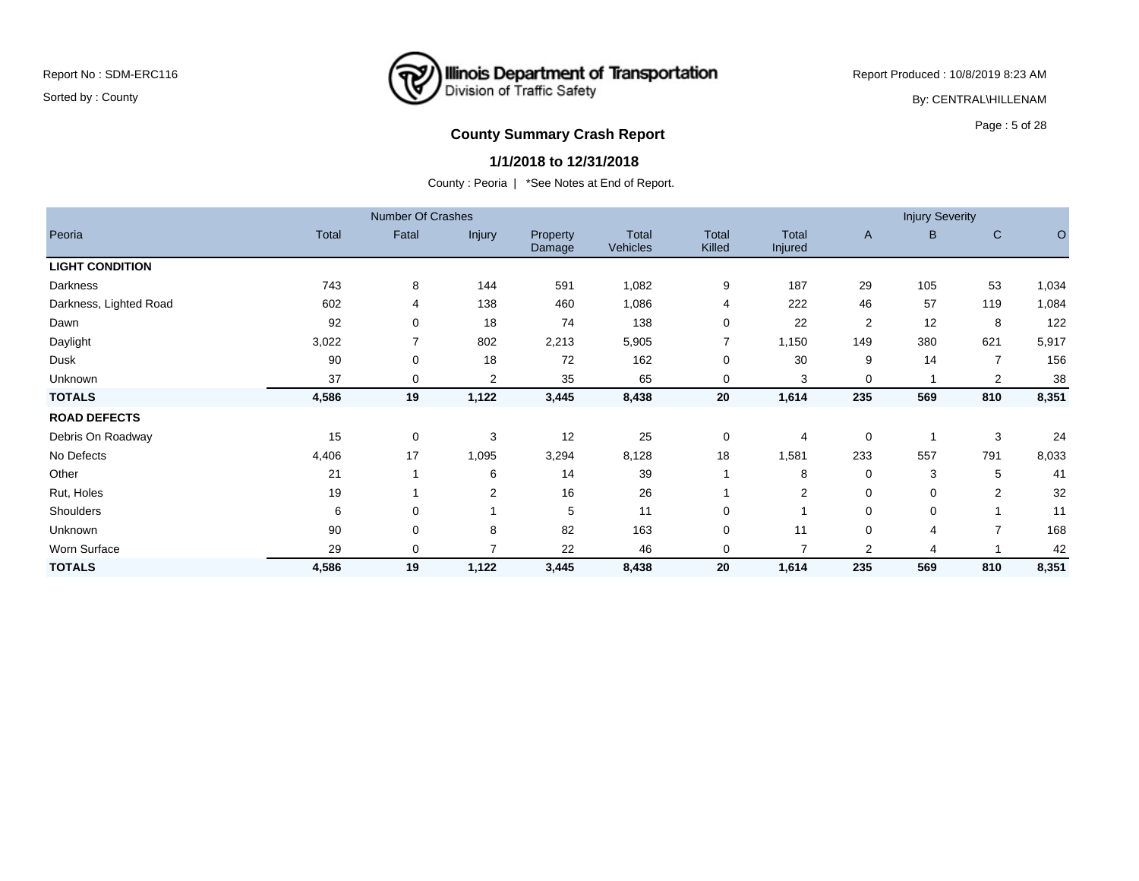### **Illinois Department of Transportation**<br>Division of Traffic Safety ₹

Report Produced : 10/8/2019 8:23 AM

By: CENTRAL\HILLENAM

# **County Summary Crash Report County Summary Crash Report**

#### **1/1/2018 to 12/31/2018**

|                        |              | <b>Number Of Crashes</b> |                |                    |                          |                        |                         |                | <b>Injury Severity</b> |                |         |
|------------------------|--------------|--------------------------|----------------|--------------------|--------------------------|------------------------|-------------------------|----------------|------------------------|----------------|---------|
| Peoria                 | <b>Total</b> | Fatal                    | Injury         | Property<br>Damage | Total<br><b>Vehicles</b> | <b>Total</b><br>Killed | <b>Total</b><br>Injured | A              | B                      | $\mathsf C$    | $\circ$ |
| <b>LIGHT CONDITION</b> |              |                          |                |                    |                          |                        |                         |                |                        |                |         |
| Darkness               | 743          | 8                        | 144            | 591                | 1,082                    | 9                      | 187                     | 29             | 105                    | 53             | 1,034   |
| Darkness, Lighted Road | 602          | 4                        | 138            | 460                | 1,086                    | 4                      | 222                     | 46             | 57                     | 119            | 1,084   |
| Dawn                   | 92           | 0                        | 18             | 74                 | 138                      | $\mathbf 0$            | 22                      | $\overline{2}$ | 12                     | 8              | 122     |
| Daylight               | 3,022        | $\overline{7}$           | 802            | 2,213              | 5,905                    | $\overline{7}$         | 1,150                   | 149            | 380                    | 621            | 5,917   |
| Dusk                   | 90           | 0                        | 18             | 72                 | 162                      | $\mathbf 0$            | 30                      | 9              | 14                     | $\overline{7}$ | 156     |
| Unknown                | 37           | 0                        | $\overline{2}$ | 35                 | 65                       | 0                      | 3                       | 0              | -1                     | $\overline{2}$ | 38      |
| <b>TOTALS</b>          | 4,586        | 19                       | 1,122          | 3,445              | 8,438                    | 20                     | 1,614                   | 235            | 569                    | 810            | 8,351   |
| <b>ROAD DEFECTS</b>    |              |                          |                |                    |                          |                        |                         |                |                        |                |         |
| Debris On Roadway      | 15           | 0                        | 3              | 12                 | 25                       | 0                      | 4                       | 0              | -1                     | 3              | 24      |
| No Defects             | 4,406        | 17                       | 1,095          | 3,294              | 8,128                    | 18                     | 1,581                   | 233            | 557                    | 791            | 8,033   |
| Other                  | 21           |                          | 6              | 14                 | 39                       |                        | 8                       | 0              | 3                      | 5              | 41      |
| Rut, Holes             | 19           |                          | 2              | 16                 | 26                       |                        | 2                       | 0              | 0                      | $\overline{2}$ | 32      |
| Shoulders              | 6            | 0                        |                | 5                  | 11                       | 0                      |                         | 0              | 0                      |                | 11      |
| Unknown                | 90           | 0                        | 8              | 82                 | 163                      | $\mathbf 0$            | 11                      | 0              | 4                      | $\overline{7}$ | 168     |
| Worn Surface           | 29           | 0                        | 7              | 22                 | 46                       | 0                      | 7                       | $\overline{2}$ | 4                      |                | 42      |
| <b>TOTALS</b>          | 4,586        | 19                       | 1,122          | 3,445              | 8,438                    | 20                     | 1,614                   | 235            | 569                    | 810            | 8,351   |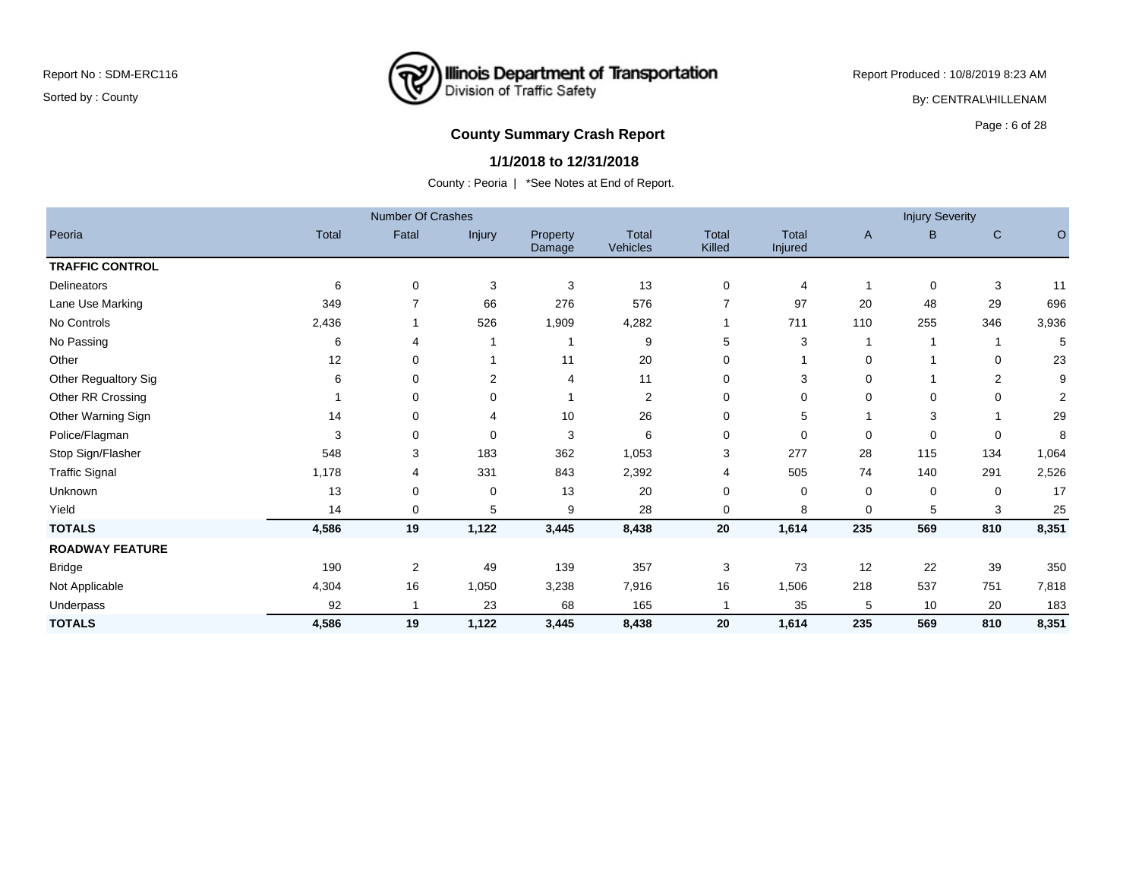

Report Produced : 10/8/2019 8:23 AM

By: CENTRAL\HILLENAM

# **County Summary Crash Report County Summary Crash Report**

#### **1/1/2018 to 12/31/2018**

|                        |       | <b>Number Of Crashes</b> |                |                    |                   |                 |                  |     | <b>Injury Severity</b> |              |                |
|------------------------|-------|--------------------------|----------------|--------------------|-------------------|-----------------|------------------|-----|------------------------|--------------|----------------|
| Peoria                 | Total | Fatal                    | Injury         | Property<br>Damage | Total<br>Vehicles | Total<br>Killed | Total<br>Injured | A   | B                      | $\mathsf{C}$ | $\circ$        |
| <b>TRAFFIC CONTROL</b> |       |                          |                |                    |                   |                 |                  |     |                        |              |                |
| Delineators            | 6     | 0                        | 3              | 3                  | 13                | 0               | 4                |     | $\mathbf 0$            | 3            | 11             |
| Lane Use Marking       | 349   |                          | 66             | 276                | 576               | 7               | 97               | 20  | 48                     | 29           | 696            |
| No Controls            | 2,436 |                          | 526            | 1,909              | 4,282             |                 | 711              | 110 | 255                    | 346          | 3,936          |
| No Passing             | 6     |                          |                | 1                  | 9                 | 5               | 3                |     |                        |              | 5              |
| Other                  | 12    | 0                        |                | 11                 | 20                | $\Omega$        |                  | 0   |                        | 0            | 23             |
| Other Regualtory Sig   | 6     | 0                        | $\overline{2}$ | 4                  | 11                | 0               | 3                | 0   |                        | 2            | 9              |
| Other RR Crossing      |       | 0                        | 0              |                    | 2                 | $\Omega$        | $\mathbf 0$      | 0   | 0                      | $\Omega$     | $\overline{2}$ |
| Other Warning Sign     | 14    | 0                        |                | 10                 | 26                | $\Omega$        | 5                |     | 3                      |              | 29             |
| Police/Flagman         | 3     | 0                        | 0              | 3                  | 6                 | 0               | 0                | 0   | 0                      | 0            | 8              |
| Stop Sign/Flasher      | 548   | 3                        | 183            | 362                | 1,053             | 3               | 277              | 28  | 115                    | 134          | 1,064          |
| <b>Traffic Signal</b>  | 1,178 | 4                        | 331            | 843                | 2,392             | $\overline{4}$  | 505              | 74  | 140                    | 291          | 2,526          |
| Unknown                | 13    | 0                        | 0              | 13                 | 20                | $\Omega$        | 0                | 0   | 0                      | $\Omega$     | 17             |
| Yield                  | 14    | 0                        | 5              | 9                  | 28                | $\Omega$        | 8                | 0   | 5                      | 3            | 25             |
| <b>TOTALS</b>          | 4,586 | 19                       | 1,122          | 3,445              | 8,438             | 20              | 1,614            | 235 | 569                    | 810          | 8,351          |
| <b>ROADWAY FEATURE</b> |       |                          |                |                    |                   |                 |                  |     |                        |              |                |
| <b>Bridge</b>          | 190   | 2                        | 49             | 139                | 357               | 3               | 73               | 12  | 22                     | 39           | 350            |
| Not Applicable         | 4,304 | 16                       | 1,050          | 3,238              | 7,916             | 16              | 1,506            | 218 | 537                    | 751          | 7,818          |
| Underpass              | 92    |                          | 23             | 68                 | 165               | 1               | 35               | 5   | 10                     | 20           | 183            |
| <b>TOTALS</b>          | 4,586 | 19                       | 1,122          | 3,445              | 8,438             | 20              | 1,614            | 235 | 569                    | 810          | 8,351          |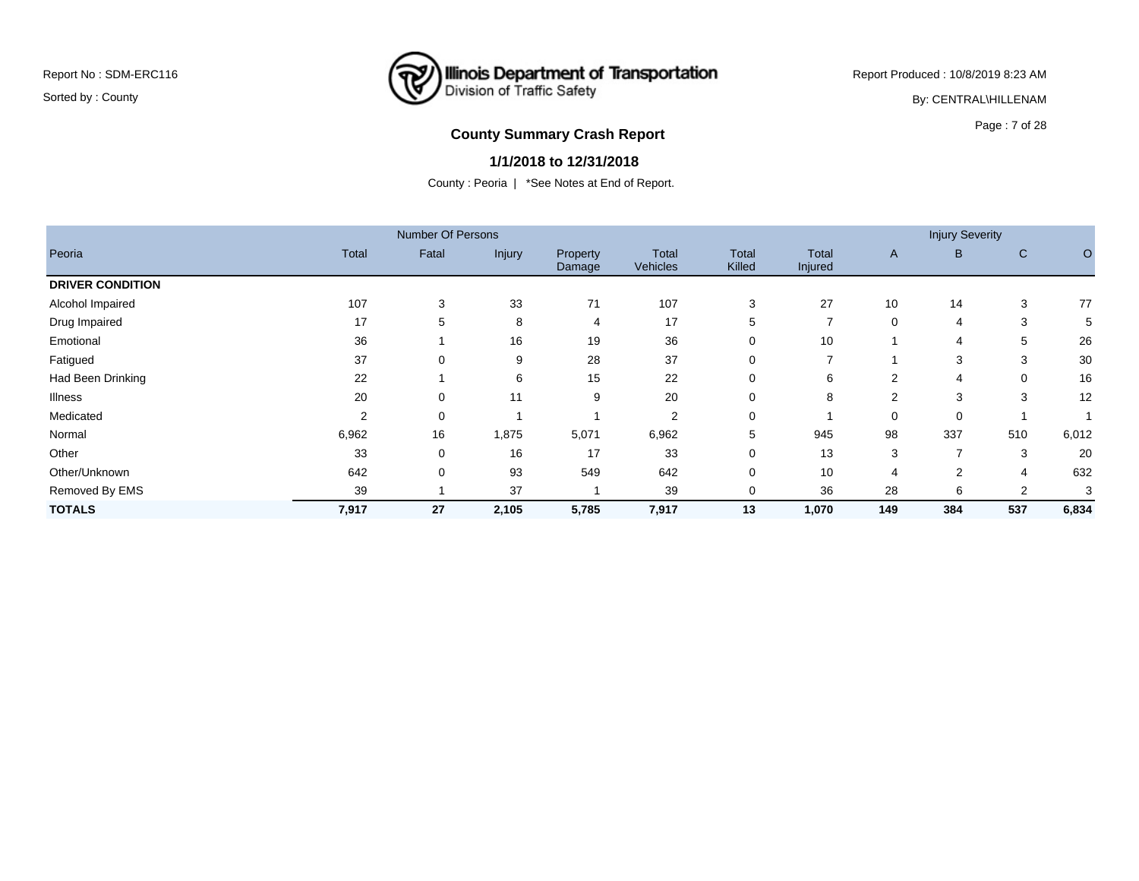Report Produced : 10/8/2019 8:23 AM

By: CENTRAL\HILLENAM

### **County Summary Crash Report COUNTY COUNTY SUMMARY CRASH REPORT**

#### **1/1/2018 to 12/31/2018**

|                         |              | <b>Number Of Persons</b> |        |                    |                          |                        |                  |                | <b>Injury Severity</b> |              |         |
|-------------------------|--------------|--------------------------|--------|--------------------|--------------------------|------------------------|------------------|----------------|------------------------|--------------|---------|
| Peoria                  | <b>Total</b> | Fatal                    | Injury | Property<br>Damage | <b>Total</b><br>Vehicles | <b>Total</b><br>Killed | Total<br>Injured | A              | B                      | $\mathsf{C}$ | $\circ$ |
| <b>DRIVER CONDITION</b> |              |                          |        |                    |                          |                        |                  |                |                        |              |         |
| Alcohol Impaired        | 107          | 3                        | 33     | 71                 | 107                      | 3                      | 27               | 10             | 14                     | 3            | 77      |
| Drug Impaired           | 17           | 5                        | 8      | 4                  | 17                       | 5                      | $\overline{ }$   | $\mathbf 0$    | 4                      | 3            | 5       |
| Emotional               | 36           |                          | 16     | 19                 | 36                       | 0                      | 10               |                | 4                      | 5            | 26      |
| Fatigued                | 37           | 0                        | 9      | 28                 | 37                       | 0                      | 7                |                | 3                      | 3            | 30      |
| Had Been Drinking       | 22           |                          | 6      | 15                 | 22                       | 0                      | 6                | $\overline{2}$ | 4                      | 0            | 16      |
| <b>Illness</b>          | 20           | 0                        | 11     | 9                  | 20                       | 0                      | 8                | $\overline{2}$ | 3                      | 3            | 12      |
| Medicated               | 2            | 0                        |        |                    | 2                        | 0                      |                  | 0              | 0                      |              |         |
| Normal                  | 6,962        | 16                       | 1,875  | 5,071              | 6,962                    | 5                      | 945              | 98             | 337                    | 510          | 6,012   |
| Other                   | 33           | 0                        | 16     | 17                 | 33                       | 0                      | 13               | 3              |                        | 3            | 20      |
| Other/Unknown           | 642          | 0                        | 93     | 549                | 642                      | 0                      | 10               | 4              | 2                      | 4            | 632     |
| Removed By EMS          | 39           |                          | 37     |                    | 39                       | 0                      | 36               | 28             | 6                      | 2            | 3       |
| <b>TOTALS</b>           | 7,917        | 27                       | 2,105  | 5,785              | 7,917                    | 13                     | 1,070            | 149            | 384                    | 537          | 6,834   |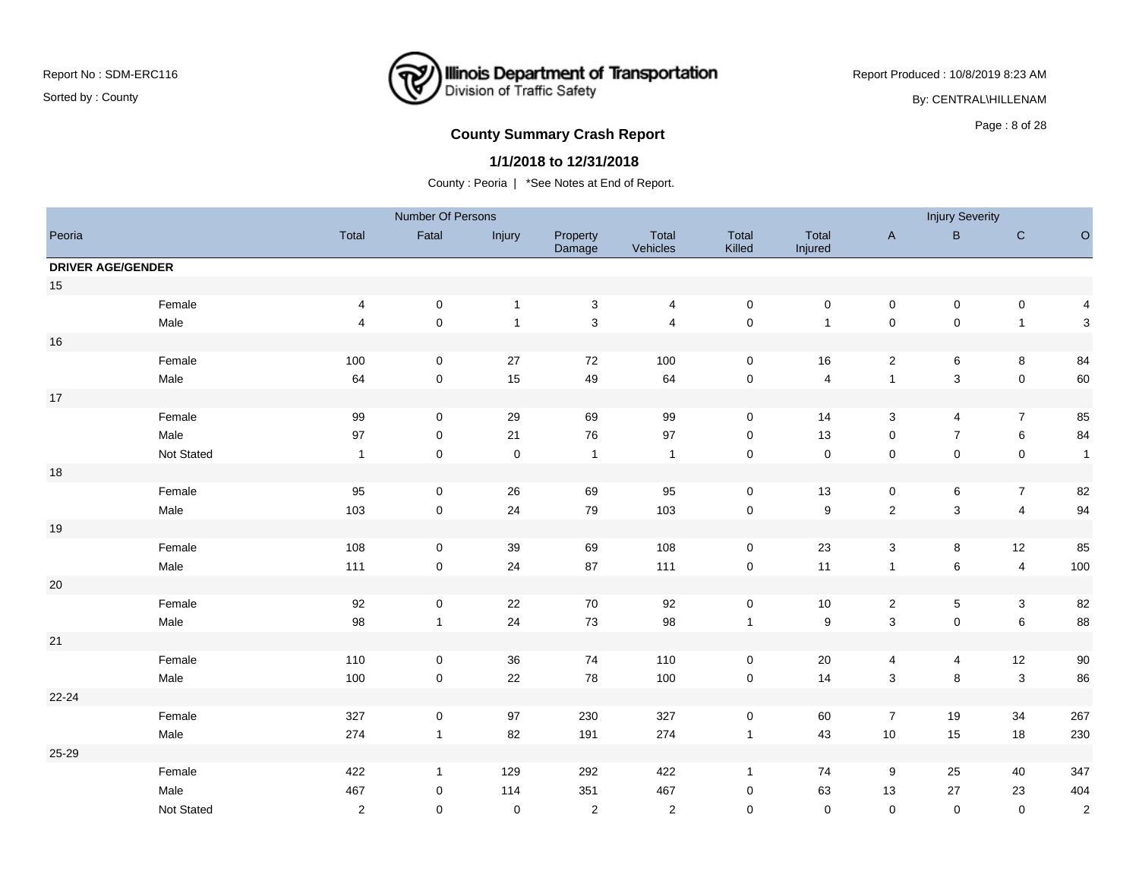### **Illinois Department of Transportation**<br>Division of Traffic Safety ₹

Report Produced : 10/8/2019 8:23 AM

By: CENTRAL\HILLENAM

# **County Summary Crash Report County Summary Crash Report**

#### **1/1/2018 to 12/31/2018**

|                          |            |                         | Number Of Persons |              |                    |                   |                     |                  |                           | <b>Injury Severity</b> |                         |                |
|--------------------------|------------|-------------------------|-------------------|--------------|--------------------|-------------------|---------------------|------------------|---------------------------|------------------------|-------------------------|----------------|
| Peoria                   |            | Total                   | Fatal             | Injury       | Property<br>Damage | Total<br>Vehicles | Total<br>Killed     | Total<br>Injured | $\boldsymbol{\mathsf{A}}$ | $\sf B$                | ${\bf C}$               | $\circ$        |
| <b>DRIVER AGE/GENDER</b> |            |                         |                   |              |                    |                   |                     |                  |                           |                        |                         |                |
| 15                       |            |                         |                   |              |                    |                   |                     |                  |                           |                        |                         |                |
|                          | Female     | 4                       | $\mathbf 0$       | $\mathbf{1}$ | $\mathbf 3$        | 4                 | $\pmb{0}$           | $\pmb{0}$        | $\mathbf 0$               | $\pmb{0}$              | $\mathbf 0$             | 4              |
|                          | Male       | $\overline{\mathbf{4}}$ | $\mathbf 0$       | $\mathbf{1}$ | $\mathsf 3$        | $\overline{4}$    | $\mathbf 0$         | $\mathbf{1}$     | $\pmb{0}$                 | $\mathbf 0$            | $\overline{1}$          | 3              |
| 16                       |            |                         |                   |              |                    |                   |                     |                  |                           |                        |                         |                |
|                          | Female     | 100                     | 0                 | 27           | 72                 | 100               | $\mathsf{O}\xspace$ | 16               | $\sqrt{2}$                | 6                      | $\bf8$                  | 84             |
|                          | Male       | 64                      | 0                 | 15           | 49                 | 64                | $\mathbf 0$         | 4                | $\mathbf{1}$              | $\mathbf{3}$           | $\mathbf 0$             | 60             |
| $17$                     |            |                         |                   |              |                    |                   |                     |                  |                           |                        |                         |                |
|                          | Female     | $99\,$                  | 0                 | 29           | 69                 | 99                | $\pmb{0}$           | 14               | $\mathbf 3$               | 4                      | $\overline{7}$          | 85             |
|                          | Male       | 97                      | $\pmb{0}$         | 21           | 76                 | $97\,$            | $\mathbf 0$         | 13               | $\pmb{0}$                 | $\overline{7}$         | $\,6\,$                 | 84             |
|                          | Not Stated | $\mathbf{1}$            | $\mathbf 0$       | $\mathbf 0$  | $\mathbf{1}$       | $\overline{1}$    | $\mathbf 0$         | $\mathsf 0$      | $\mathsf 0$               | $\pmb{0}$              | $\mathbf 0$             | $\mathbf{1}$   |
| 18                       |            |                         |                   |              |                    |                   |                     |                  |                           |                        |                         |                |
|                          | Female     | 95                      | $\mathbf 0$       | 26           | 69                 | 95                | $\mathsf{O}\xspace$ | 13               | $\pmb{0}$                 | 6                      | $\boldsymbol{7}$        | 82             |
|                          | Male       | 103                     | $\mathbf 0$       | 24           | 79                 | 103               | $\mathbf 0$         | $\boldsymbol{9}$ | $\overline{2}$            | $\mathbf{3}$           | $\overline{4}$          | 94             |
| 19                       |            |                         |                   |              |                    |                   |                     |                  |                           |                        |                         |                |
|                          | Female     | 108                     | $\mathbf 0$       | 39           | 69                 | 108               | $\pmb{0}$           | 23               | $\ensuremath{\mathsf{3}}$ | 8                      | 12                      | 85             |
|                          | Male       | 111                     | $\mathbf 0$       | 24           | 87                 | 111               | $\mathbf 0$         | 11               | $\mathbf{1}$              | $\,6\,$                | $\overline{\mathbf{4}}$ | 100            |
| $20\,$                   |            |                         |                   |              |                    |                   |                     |                  |                           |                        |                         |                |
|                          | Female     | 92                      | $\pmb{0}$         | 22           | 70                 | 92                | $\pmb{0}$           | $10$             | $\overline{2}$            | $\mathbf 5$            | $\mathbf 3$             | 82             |
|                          | Male       | 98                      | $\mathbf{1}$      | 24           | 73                 | 98                | $\overline{1}$      | $\boldsymbol{9}$ | $\sqrt{3}$                | $\mathsf 0$            | $\,6\,$                 | 88             |
| 21                       |            |                         |                   |              |                    |                   |                     |                  |                           |                        |                         |                |
|                          | Female     | 110                     | 0                 | 36           | 74                 | 110               | 0                   | 20               | 4                         | 4                      | 12                      | $90\,$         |
|                          | Male       | $100\,$                 | $\mathbf 0$       | 22           | 78                 | 100               | ${\bf 0}$           | 14               | $\mathsf 3$               | $\bf8$                 | $\sqrt{3}$              | 86             |
| 22-24                    |            |                         |                   |              |                    |                   |                     |                  |                           |                        |                         |                |
|                          | Female     | 327                     | $\pmb{0}$         | 97           | 230                | 327               | $\mathbf 0$         | 60               | $\overline{7}$            | 19                     | 34                      | 267            |
|                          | Male       | 274                     | $\mathbf{1}$      | 82           | 191                | 274               | $\mathbf{1}$        | 43               | $10$                      | 15                     | 18                      | 230            |
| 25-29                    |            |                         |                   |              |                    |                   |                     |                  |                           |                        |                         |                |
|                          | Female     | 422                     | $\mathbf{1}$      | 129          | 292                | 422               | $\mathbf{1}$        | 74               | 9                         | 25                     | 40                      | 347            |
|                          | Male       | 467                     | 0                 | 114          | 351                | 467               | $\mathbf 0$         | 63               | 13                        | 27                     | 23                      | 404            |
|                          | Not Stated | $\overline{2}$          | 0                 | $\pmb{0}$    | 2                  | 2                 | $\mathbf 0$         | $\mathbf 0$      | $\mathbf 0$               | $\mathbf 0$            | $\mathbf 0$             | $\overline{c}$ |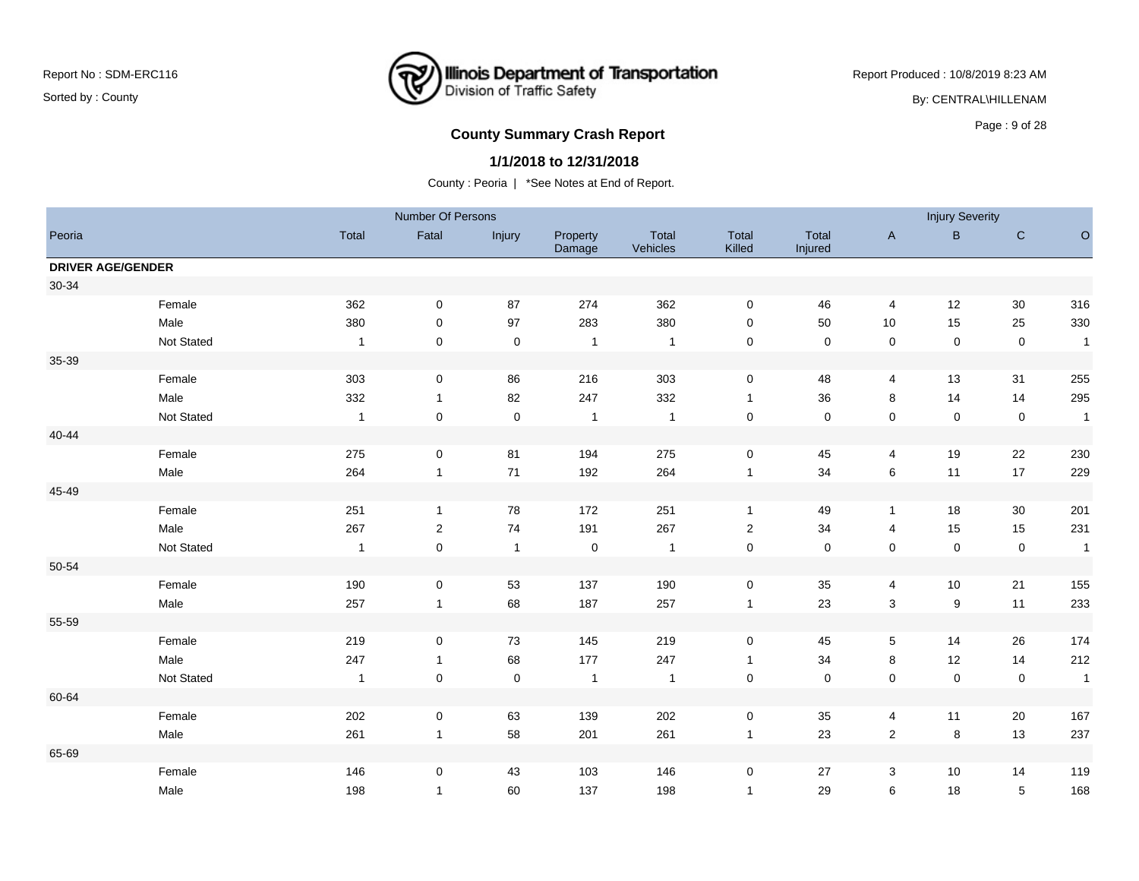# **Illinois Department of Transportation**<br>Division of Traffic Safety ₹

Report Produced : 10/8/2019 8:23 AM

By: CENTRAL\HILLENAM

# **County Summary Crash Report County Summary Crash Report**

#### **1/1/2018 to 12/31/2018**

|                          |            |                | Number Of Persons   |                |                    |                   |                         |                  |                           | <b>Injury Severity</b> |             |              |
|--------------------------|------------|----------------|---------------------|----------------|--------------------|-------------------|-------------------------|------------------|---------------------------|------------------------|-------------|--------------|
| Peoria                   |            | Total          | Fatal               | Injury         | Property<br>Damage | Total<br>Vehicles | Total<br>Killed         | Total<br>Injured | $\boldsymbol{\mathsf{A}}$ | $\sf B$                | $\mathsf C$ | $\circ$      |
| <b>DRIVER AGE/GENDER</b> |            |                |                     |                |                    |                   |                         |                  |                           |                        |             |              |
| 30-34                    |            |                |                     |                |                    |                   |                         |                  |                           |                        |             |              |
|                          | Female     | 362            | 0                   | 87             | 274                | 362               | $\mathbf 0$             | 46               | 4                         | 12                     | 30          | 316          |
|                          | Male       | 380            | 0                   | 97             | 283                | 380               | 0                       | 50               | $10$                      | 15                     | 25          | 330          |
|                          | Not Stated | $\overline{1}$ | $\mathbf 0$         | $\pmb{0}$      | $\overline{1}$     | $\overline{1}$    | 0                       | $\mathbf 0$      | $\pmb{0}$                 | $\mathbf 0$            | $\mathsf 0$ | $\mathbf{1}$ |
| 35-39                    |            |                |                     |                |                    |                   |                         |                  |                           |                        |             |              |
|                          | Female     | 303            | $\pmb{0}$           | 86             | 216                | 303               | $\pmb{0}$               | 48               | 4                         | 13                     | 31          | 255          |
|                          | Male       | 332            | $\mathbf{1}$        | 82             | 247                | 332               | $\mathbf{1}$            | 36               | 8                         | 14                     | 14          | 295          |
|                          | Not Stated | $\overline{1}$ | $\mathsf{O}\xspace$ | $\pmb{0}$      | $\mathbf{1}$       | $\overline{1}$    | $\pmb{0}$               | $\mathbf 0$      | $\pmb{0}$                 | $\pmb{0}$              | $\mathsf 0$ | $\mathbf{1}$ |
| $40 - 44$                |            |                |                     |                |                    |                   |                         |                  |                           |                        |             |              |
|                          | Female     | 275            | 0                   | 81             | 194                | 275               | $\pmb{0}$               | 45               | 4                         | 19                     | 22          | 230          |
|                          | Male       | 264            | $\mathbf{1}$        | 71             | 192                | 264               | $\mathbf{1}$            | 34               | $\,6\,$                   | 11                     | 17          | 229          |
| 45-49                    |            |                |                     |                |                    |                   |                         |                  |                           |                        |             |              |
|                          | Female     | 251            | $\mathbf{1}$        | 78             | 172                | 251               | $\mathbf{1}$            | 49               | $\mathbf{1}$              | 18                     | 30          | 201          |
|                          | Male       | 267            | $\boldsymbol{2}$    | 74             | 191                | 267               | $\overline{\mathbf{c}}$ | 34               | 4                         | 15                     | 15          | 231          |
|                          | Not Stated | $\overline{1}$ | $\mathbf 0$         | $\overline{1}$ | $\mathsf 0$        | $\overline{1}$    | $\pmb{0}$               | $\mathbf 0$      | $\pmb{0}$                 | $\mathbf 0$            | $\mathsf 0$ | $\mathbf{1}$ |
| 50-54                    |            |                |                     |                |                    |                   |                         |                  |                           |                        |             |              |
|                          | Female     | 190            | 0                   | 53             | 137                | 190               | $\mathbf 0$             | 35               | 4                         | 10                     | 21          | 155          |
|                          | Male       | 257            | $\mathbf{1}$        | 68             | 187                | 257               | $\mathbf{1}$            | 23               | $\mathbf{3}$              | $\boldsymbol{9}$       | 11          | 233          |
| 55-59                    |            |                |                     |                |                    |                   |                         |                  |                           |                        |             |              |
|                          | Female     | 219            | $\mathbf 0$         | 73             | 145                | 219               | $\mathbf 0$             | 45               | $\,$ 5 $\,$               | 14                     | 26          | 174          |
|                          | Male       | 247            | $\mathbf{1}$        | 68             | 177                | 247               | $\mathbf{1}$            | 34               | 8                         | 12                     | 14          | 212          |
|                          | Not Stated | $\mathbf{1}$   | $\pmb{0}$           | $\pmb{0}$      | $\mathbf{1}$       | $\overline{1}$    | $\pmb{0}$               | $\pmb{0}$        | $\pmb{0}$                 | $\pmb{0}$              | $\pmb{0}$   | $\mathbf{1}$ |
| 60-64                    |            |                |                     |                |                    |                   |                         |                  |                           |                        |             |              |
|                          | Female     | 202            | 0                   | 63             | 139                | 202               | 0                       | 35               | 4                         | 11                     | 20          | 167          |
|                          | Male       | 261            | $\mathbf{1}$        | 58             | 201                | 261               | $\mathbf{1}$            | 23               | $\overline{2}$            | 8                      | 13          | 237          |
| 65-69                    |            |                |                     |                |                    |                   |                         |                  |                           |                        |             |              |
|                          | Female     | 146            | 0                   | 43             | 103                | 146               | 0                       | 27               | 3                         | 10                     | 14          | 119          |
|                          | Male       | 198            | $\mathbf{1}$        | 60             | 137                | 198               | $\mathbf{1}$            | 29               | 6                         | 18                     | $\sqrt{5}$  | 168          |
|                          |            |                |                     |                |                    |                   |                         |                  |                           |                        |             |              |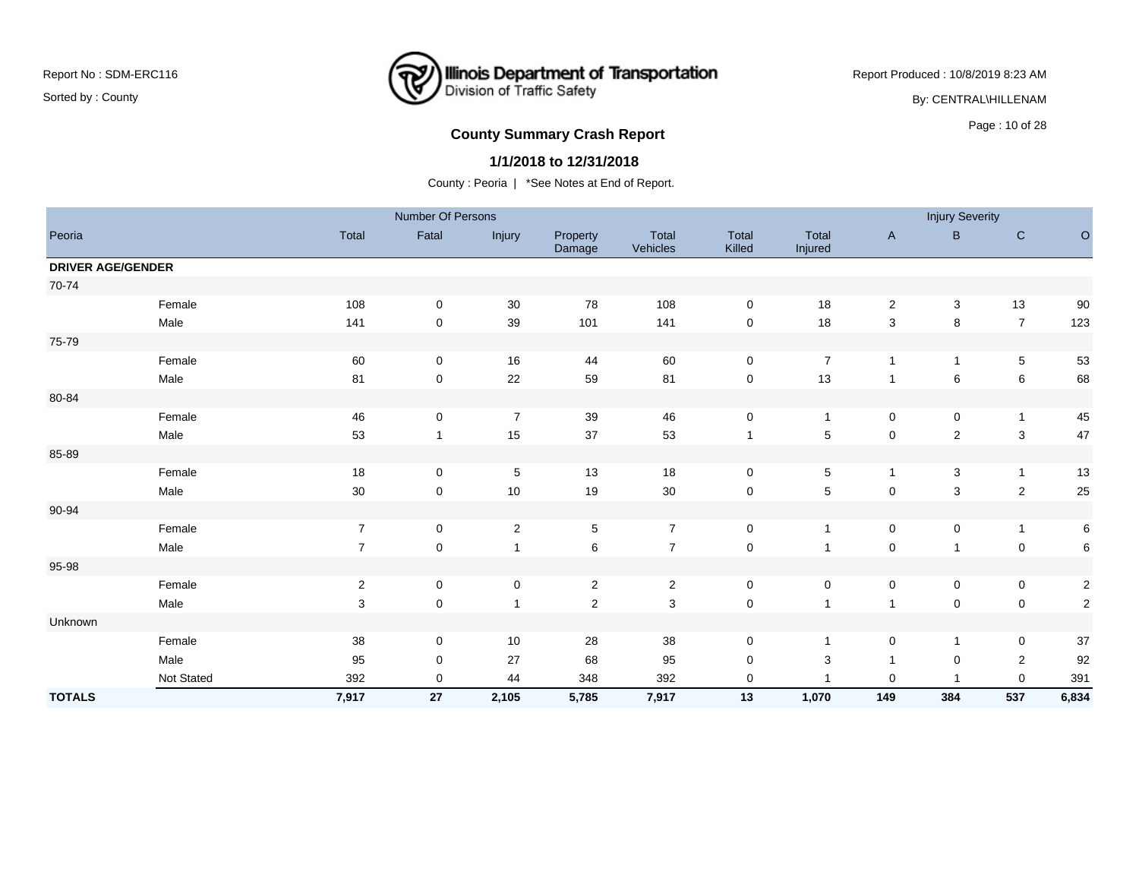### **Illinois Department of Transportation**<br>Division of Traffic Safety ष्टि

Report Produced : 10/8/2019 8:23 AM

By: CENTRAL\HILLENAM

# **County Summary Crash Report COUNTY SUMMARY CRASH REPORT COUNTY SUMMARY CRASH REPORT**

#### **1/1/2018 to 12/31/2018**

|                          |            |                | Number Of Persons |                |                    |                   |                 |                  |                | <b>Injury Severity</b>    |                |                |
|--------------------------|------------|----------------|-------------------|----------------|--------------------|-------------------|-----------------|------------------|----------------|---------------------------|----------------|----------------|
| Peoria                   |            | Total          | Fatal             | Injury         | Property<br>Damage | Total<br>Vehicles | Total<br>Killed | Total<br>Injured | $\mathsf{A}$   | $\mathsf B$               | $\mathsf{C}$   | $\circ$        |
| <b>DRIVER AGE/GENDER</b> |            |                |                   |                |                    |                   |                 |                  |                |                           |                |                |
| 70-74                    |            |                |                   |                |                    |                   |                 |                  |                |                           |                |                |
|                          | Female     | 108            | $\pmb{0}$         | 30             | 78                 | 108               | $\mathbf 0$     | 18               | $\overline{2}$ | $\ensuremath{\mathsf{3}}$ | 13             | 90             |
|                          | Male       | 141            | $\pmb{0}$         | 39             | 101                | 141               | 0               | 18               | 3              | 8                         | $\overline{7}$ | 123            |
| 75-79                    |            |                |                   |                |                    |                   |                 |                  |                |                           |                |                |
|                          | Female     | 60             | 0                 | 16             | 44                 | 60                | 0               | $\overline{7}$   | $\overline{1}$ | 1                         | $\overline{5}$ | 53             |
|                          | Male       | 81             | 0                 | 22             | 59                 | 81                | $\pmb{0}$       | 13               | $\overline{1}$ | 6                         | 6              | 68             |
| 80-84                    |            |                |                   |                |                    |                   |                 |                  |                |                           |                |                |
|                          | Female     | 46             | $\pmb{0}$         | $\overline{7}$ | 39                 | 46                | $\mathsf 0$     | $\mathbf{1}$     | $\mathbf 0$    | $\pmb{0}$                 | $\overline{1}$ | 45             |
|                          | Male       | 53             | $\mathbf{1}$      | 15             | 37                 | 53                | $\mathbf{1}$    | $\,$ 5 $\,$      | $\mathsf 0$    | $\sqrt{2}$                | $\mathbf 3$    | 47             |
| 85-89                    |            |                |                   |                |                    |                   |                 |                  |                |                           |                |                |
|                          | Female     | $18$           | $\pmb{0}$         | 5              | 13                 | 18                | 0               | $\,$ 5 $\,$      | $\mathbf{1}$   | 3                         | $\overline{1}$ | 13             |
|                          | Male       | $30\,$         | $\mathbf 0$       | 10             | 19                 | $30\,$            | 0               | $\,$ 5 $\,$      | $\mathsf 0$    | 3                         | $\sqrt{2}$     | 25             |
| 90-94                    |            |                |                   |                |                    |                   |                 |                  |                |                           |                |                |
|                          | Female     | $\overline{7}$ | 0                 | $\overline{2}$ | $5\phantom{.0}$    | $\overline{7}$    | 0               | $\mathbf{1}$     | $\mathbf 0$    | 0                         | $\mathbf{1}$   | $\,6\,$        |
|                          | Male       | $\overline{7}$ | $\pmb{0}$         | $\overline{1}$ | $\,6\,$            | $\overline{7}$    | $\mathsf 0$     |                  | $\pmb{0}$      | 1                         | $\mathbf 0$    | $\,6\,$        |
| 95-98                    |            |                |                   |                |                    |                   |                 |                  |                |                           |                |                |
|                          | Female     | $\sqrt{2}$     | 0                 | $\mathbf 0$    | $\overline{2}$     | $\overline{2}$    | 0               | 0                | $\mathbf 0$    | 0                         | $\mathbf 0$    | $\overline{c}$ |
|                          | Male       | 3              | $\pmb{0}$         | $\mathbf{1}$   | $\sqrt{2}$         | 3                 | $\mathsf 0$     | $\overline{1}$   | $\overline{1}$ | $\pmb{0}$                 | $\mathbf 0$    | $\sqrt{2}$     |
| Unknown                  |            |                |                   |                |                    |                   |                 |                  |                |                           |                |                |
|                          | Female     | $38\,$         | 0                 | 10             | 28                 | $38\,$            | 0               | -1               | $\mathbf 0$    | $\mathbf{1}$              | $\mathbf 0$    | $37\,$         |
|                          | Male       | 95             | $\pmb{0}$         | 27             | 68                 | 95                | 0               | 3                | $\overline{1}$ | $\mathbf 0$               | $\overline{2}$ | 92             |
|                          | Not Stated | 392            | 0                 | 44             | 348                | 392               | 0               |                  | 0              | 1                         | $\mathbf 0$    | 391            |
| <b>TOTALS</b>            |            | 7,917          | 27                | 2,105          | 5,785              | 7,917             | 13              | 1,070            | 149            | 384                       | 537            | 6,834          |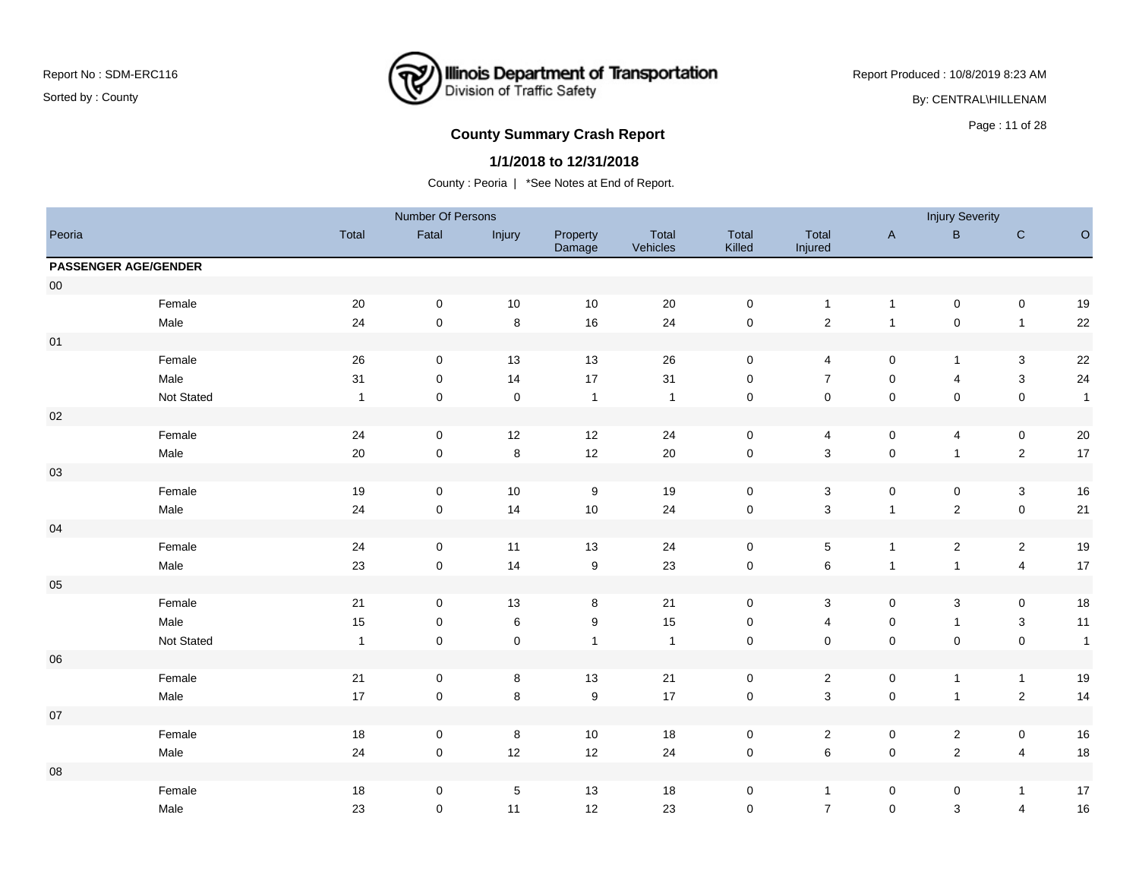

Report Produced : 10/8/2019 8:23 AM

By: CENTRAL\HILLENAM

# Page : 11 of 28 **County Summary Crash Report**

#### **1/1/2018 to 12/31/2018**

|                             |            |              | Number Of Persons   |             |                    |                   |                 |                           |                           | <b>Injury Severity</b>  |                           |              |
|-----------------------------|------------|--------------|---------------------|-------------|--------------------|-------------------|-----------------|---------------------------|---------------------------|-------------------------|---------------------------|--------------|
| Peoria                      |            | Total        | Fatal               | Injury      | Property<br>Damage | Total<br>Vehicles | Total<br>Killed | Total<br>Injured          | $\boldsymbol{\mathsf{A}}$ | $\sf{B}$                | $\mathsf C$               | $\circ$      |
| <b>PASSENGER AGE/GENDER</b> |            |              |                     |             |                    |                   |                 |                           |                           |                         |                           |              |
| ${\bf 00}$                  |            |              |                     |             |                    |                   |                 |                           |                           |                         |                           |              |
|                             | Female     | 20           | $\pmb{0}$           | 10          | 10                 | 20                | $\pmb{0}$       | $\mathbf{1}$              | $\mathbf{1}$              | $\pmb{0}$               | $\mathbf 0$               | 19           |
|                             | Male       | 24           | $\mathbf 0$         | $\,8\,$     | $16\,$             | 24                | $\pmb{0}$       | $\sqrt{2}$                | $\mathbf 1$               | $\mathbf 0$             | $\mathbf{1}$              | 22           |
| 01                          |            |              |                     |             |                    |                   |                 |                           |                           |                         |                           |              |
|                             | Female     | 26           | $\mathbf 0$         | 13          | 13                 | 26                | $\mathsf 0$     | 4                         | $\mathbf 0$               | $\mathbf{1}$            | 3                         | $22\,$       |
|                             | Male       | 31           | $\mathbf 0$         | 14          | 17                 | 31                | $\mathbf 0$     | $\overline{7}$            | $\mathsf{O}\xspace$       | $\overline{4}$          | $\mathbf 3$               | $24\,$       |
|                             | Not Stated | $\mathbf{1}$ | $\mathsf{O}\xspace$ | $\pmb{0}$   | $\mathbf{1}$       | $\mathbf{1}$      | $\pmb{0}$       | $\mathsf{O}\xspace$       | $\pmb{0}$                 | $\mathbf 0$             | $\pmb{0}$                 | $\mathbf{1}$ |
| $02\,$                      |            |              |                     |             |                    |                   |                 |                           |                           |                         |                           |              |
|                             | Female     | 24           | $\mathbf 0$         | 12          | 12                 | 24                | $\mathsf 0$     | 4                         | $\mathbf 0$               | 4                       | $\mathbf 0$               | $20\,$       |
|                             | Male       | $20\,$       | $\mathbf 0$         | $\,8\,$     | 12                 | $20\,$            | $\pmb{0}$       | 3                         | $\pmb{0}$                 | $\mathbf{1}$            | $\overline{2}$            | 17           |
| $03\,$                      |            |              |                     |             |                    |                   |                 |                           |                           |                         |                           |              |
|                             | Female     | $19$         | $\mathbf 0$         | $10$        | $\boldsymbol{9}$   | 19                | $\mathsf 0$     | 3                         | $\mathbf 0$               | $\pmb{0}$               | $\mathbf 3$               | 16           |
|                             | Male       | 24           | $\mathsf 0$         | 14          | $10$               | 24                | $\pmb{0}$       | $\mathbf{3}$              | $\mathbf{1}$              | $\sqrt{2}$              | $\mathbf 0$               | 21           |
| $04$                        |            |              |                     |             |                    |                   |                 |                           |                           |                         |                           |              |
|                             | Female     | $24\,$       | $\mathbf 0$         | 11          | 13                 | 24                | $\pmb{0}$       | 5                         | $\mathbf{1}$              | $\overline{2}$          | $\overline{2}$            | 19           |
|                             | Male       | $23\,$       | $\overline{0}$      | 14          | $\boldsymbol{9}$   | 23                | $\pmb{0}$       | $\,6\,$                   | $\mathbf{1}$              | $\mathbf{1}$            | $\overline{\mathbf{4}}$   | $17$         |
| $05\,$                      |            |              |                     |             |                    |                   |                 |                           |                           |                         |                           |              |
|                             | Female     | 21           | $\mathbf 0$         | 13          | $\bf8$             | 21                | $\mathsf 0$     | 3                         | $\mathbf 0$               | $\mathbf{3}$            | $\mathbf 0$               | 18           |
|                             | Male       | $15\,$       | $\mathsf{O}\xspace$ | $\,6\,$     | $\boldsymbol{9}$   | 15                | $\pmb{0}$       | 4                         | $\mathbf 0$               | $\mathbf{1}$            | $\ensuremath{\mathsf{3}}$ | 11           |
|                             | Not Stated | $\mathbf{1}$ | $\mathbf 0$         | $\pmb{0}$   | $\mathbf{1}$       | $\mathbf{1}$      | $\pmb{0}$       | $\pmb{0}$                 | $\mathbf 0$               | $\pmb{0}$               | $\mathbf 0$               | $\mathbf{1}$ |
| 06                          |            |              |                     |             |                    |                   |                 |                           |                           |                         |                           |              |
|                             | Female     | $21$         | $\pmb{0}$           | 8           | $13$               | 21                | $\pmb{0}$       | $\overline{c}$            | $\mathbf 0$               | $\mathbf{1}$            | $\mathbf{1}$              | 19           |
|                             | Male       | $17$         | $\mathsf 0$         | $\bf8$      | $\boldsymbol{9}$   | $17$              | $\pmb{0}$       | $\ensuremath{\mathsf{3}}$ | $\pmb{0}$                 | $\mathbf{1}$            | $\sqrt{2}$                | 14           |
| 07                          |            |              |                     |             |                    |                   |                 |                           |                           |                         |                           |              |
|                             | Female     | $18\,$       | 0                   | $\bf8$      | $10$               | 18                | $\pmb{0}$       | $\sqrt{2}$                | $\mathbf 0$               | $\overline{\mathbf{c}}$ | $\mathbf 0$               | $16\,$       |
|                             | Male       | 24           | $\mathbf 0$         | 12          | 12                 | 24                | $\pmb{0}$       | $\,6\,$                   | $\pmb{0}$                 | $\sqrt{2}$              | $\overline{\mathbf{4}}$   | 18           |
| 08                          |            |              |                     |             |                    |                   |                 |                           |                           |                         |                           |              |
|                             | Female     | $18\,$       | $\mathbf 0$         | $\,$ 5 $\,$ | 13                 | 18                | $\mathbf 0$     | $\mathbf{1}$              | $\mathbf 0$               | 0                       | $\mathbf{1}$              | $17$         |
|                             | Male       | 23           | 0                   | 11          | 12                 | 23                | $\mathbf 0$     | $\overline{7}$            | $\mathbf 0$               | $\mathsf 3$             | $\overline{4}$            | 16           |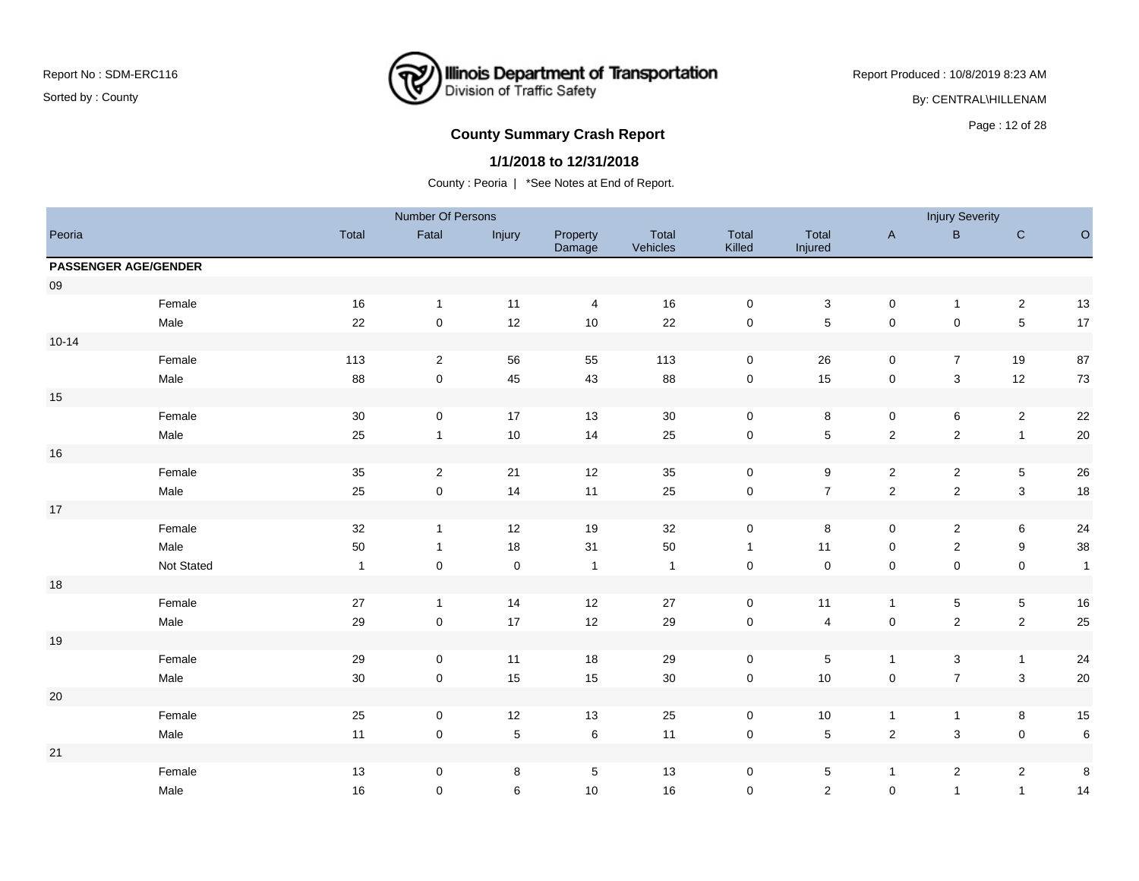### **Illinois Department of Transportation**<br>Division of Traffic Safety ₹

Report Produced : 10/8/2019 8:23 AM

By: CENTRAL\HILLENAM

# Page : 12 of 28 **County Summary Crash Report**

#### **1/1/2018 to 12/31/2018**

|            |                             |              | Number Of Persons       |             |                         |                   |                 |                         |                     | <b>Injury Severity</b>    |                           |              |
|------------|-----------------------------|--------------|-------------------------|-------------|-------------------------|-------------------|-----------------|-------------------------|---------------------|---------------------------|---------------------------|--------------|
| Peoria     |                             | Total        | Fatal                   | Injury      | Property<br>Damage      | Total<br>Vehicles | Total<br>Killed | Total<br>Injured        | $\mathsf A$         | $\sf B$                   | $\mathsf C$               | $\circ$      |
|            | <b>PASSENGER AGE/GENDER</b> |              |                         |             |                         |                   |                 |                         |                     |                           |                           |              |
| ${\bf 09}$ |                             |              |                         |             |                         |                   |                 |                         |                     |                           |                           |              |
|            | Female                      | 16           | $\overline{1}$          | 11          | $\overline{\mathbf{4}}$ | 16                | $\pmb{0}$       | $\mathbf 3$             | $\mathbf 0$         | $\mathbf{1}$              | $\overline{2}$            | 13           |
|            | Male                        | 22           | $\pmb{0}$               | 12          | $10$                    | 22                | $\pmb{0}$       | $\,$ 5 $\,$             | $\pmb{0}$           | $\pmb{0}$                 | $\sqrt{5}$                | $17$         |
| $10 - 14$  |                             |              |                         |             |                         |                   |                 |                         |                     |                           |                           |              |
|            | Female                      | 113          | $\overline{2}$          | 56          | 55                      | 113               | $\mathbf 0$     | 26                      | $\mathbf 0$         | $\overline{7}$            | 19                        | 87           |
|            | Male                        | 88           | $\mathbf 0$             | 45          | 43                      | 88                | $\pmb{0}$       | 15                      | $\pmb{0}$           | $\mathbf{3}$              | 12                        | 73           |
| 15         |                             |              |                         |             |                         |                   |                 |                         |                     |                           |                           |              |
|            | Female                      | 30           | $\mathbf 0$             | 17          | 13                      | $30\,$            | $\pmb{0}$       | 8                       | $\mathbf 0$         | 6                         | $\overline{2}$            | 22           |
|            | Male                        | 25           | $\overline{1}$          | 10          | 14                      | 25                | $\mathsf 0$     | $\sqrt{5}$              | $\sqrt{2}$          | $\sqrt{2}$                | $\mathbf{1}$              | $20\,$       |
| $16\,$     |                             |              |                         |             |                         |                   |                 |                         |                     |                           |                           |              |
|            | Female                      | 35           | $\overline{\mathbf{c}}$ | 21          | 12                      | 35                | $\pmb{0}$       | $\boldsymbol{9}$        | $\overline{c}$      | $\overline{\mathbf{c}}$   | $\overline{5}$            | 26           |
|            | Male                        | 25           | $\mathsf{O}\xspace$     | 14          | 11                      | 25                | $\pmb{0}$       | $\overline{7}$          | $\overline{2}$      | $\overline{c}$            | $\mathbf{3}$              | 18           |
| $17\,$     |                             |              |                         |             |                         |                   |                 |                         |                     |                           |                           |              |
|            | Female                      | $32\,$       | $\mathbf{1}$            | 12          | 19                      | 32                | $\pmb{0}$       | 8                       | $\mathbf 0$         | $\overline{2}$            | 6                         | 24           |
|            | Male                        | 50           | $\overline{1}$          | 18          | 31                      | 50                | $\mathbf{1}$    | 11                      | $\mathbf 0$         | $\sqrt{2}$                | $9\,$                     | 38           |
|            | Not Stated                  | $\mathbf{1}$ | $\mathbf 0$             | $\pmb{0}$   | $\mathbf{1}$            | $\mathbf{1}$      | $\pmb{0}$       | $\mathbf 0$             | $\mathbf 0$         | $\pmb{0}$                 | $\pmb{0}$                 | $\mathbf{1}$ |
| $18$       |                             |              |                         |             |                         |                   |                 |                         |                     |                           |                           |              |
|            | Female                      | $27\,$       | $\overline{1}$          | 14          | $12$                    | 27                | $\pmb{0}$       | $11$                    | $\mathbf{1}$        | $\mathbf 5$               | $\,$ 5 $\,$               | 16           |
|            | Male                        | $29\,$       | $\pmb{0}$               | 17          | 12                      | 29                | $\pmb{0}$       | $\overline{\mathbf{4}}$ | $\mathbf 0$         | $\sqrt{2}$                | $\sqrt{2}$                | 25           |
| 19         |                             |              |                         |             |                         |                   |                 |                         |                     |                           |                           |              |
|            | Female                      | 29           | $\mathbf 0$             | 11          | 18                      | 29                | $\mathsf 0$     | $\,$ 5 $\,$             | $\mathbf{1}$        | 3                         | $\mathbf{1}$              | 24           |
|            | Male                        | $30\,$       | $\mathbf 0$             | 15          | $15\,$                  | $30\,$            | $\pmb{0}$       | $10\,$                  | $\pmb{0}$           | $\overline{7}$            | $\ensuremath{\mathsf{3}}$ | $20\,$       |
| $20\,$     |                             |              |                         |             |                         |                   |                 |                         |                     |                           |                           |              |
|            | Female                      | 25           | $\mathbf 0$             | 12          | 13                      | 25                | $\mathbf 0$     | $10$                    | $\mathbf{1}$        | $\mathbf{1}$              | 8                         | $15\,$       |
|            | Male                        | 11           | $\mathsf{O}\xspace$     | $\mathbf 5$ | $\,6$                   | 11                | $\pmb{0}$       | $\mathbf 5$             | $\mathbf 2$         | $\ensuremath{\mathsf{3}}$ | $\mathbf 0$               | $\,6\,$      |
| 21         |                             |              |                         |             |                         |                   |                 |                         |                     |                           |                           |              |
|            | Female                      | 13           | $\mathbf 0$             | 8           | $\overline{5}$          | 13                | $\mathbf 0$     | 5                       | $\mathbf{1}$        | $\overline{2}$            | $\overline{2}$            | 8            |
|            | Male                        | 16           | 0                       | 6           | 10                      | 16                | $\mathbf 0$     | $\overline{a}$          | $\mathsf{O}\xspace$ | $\mathbf{1}$              | $\mathbf{1}$              | 14           |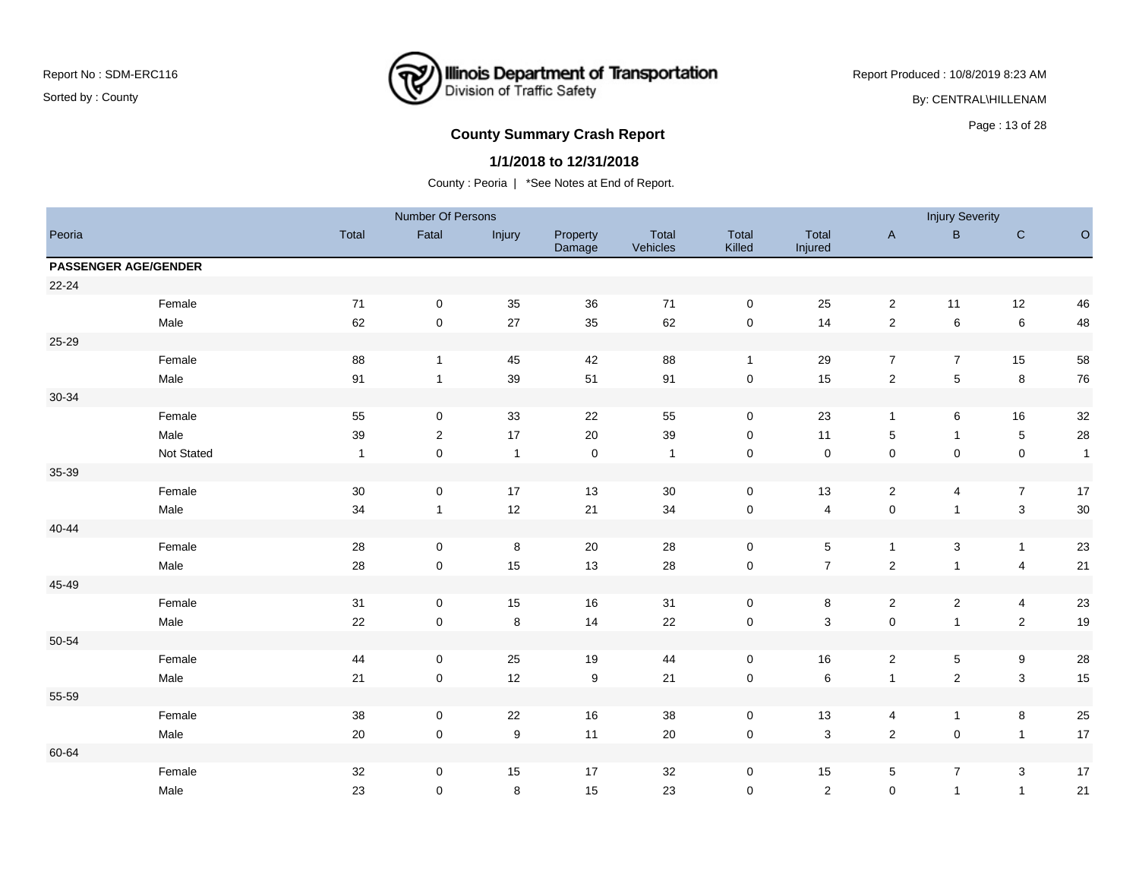# **Illinois Department of Transportation**<br>Division of Traffic Safety ₹

Report Produced : 10/8/2019 8:23 AM

By: CENTRAL\HILLENAM

# Page : 13 of 28 **County Summary Crash Report**

#### **1/1/2018 to 12/31/2018**

|        |                             |              | Number Of Persons |                  |                    |                   |                     |                           |                | <b>Injury Severity</b> |                           |              |
|--------|-----------------------------|--------------|-------------------|------------------|--------------------|-------------------|---------------------|---------------------------|----------------|------------------------|---------------------------|--------------|
| Peoria |                             | Total        | Fatal             | Injury           | Property<br>Damage | Total<br>Vehicles | Total<br>Killed     | Total<br>Injured          | $\mathsf A$    | $\sf B$                | $\mathsf C$               | $\circ$      |
|        | <b>PASSENGER AGE/GENDER</b> |              |                   |                  |                    |                   |                     |                           |                |                        |                           |              |
| 22-24  |                             |              |                   |                  |                    |                   |                     |                           |                |                        |                           |              |
|        | Female                      | 71           | $\mathbf 0$       | 35               | 36                 | 71                | $\mathbf 0$         | 25                        | $\overline{c}$ | 11                     | 12                        | 46           |
|        | Male                        | 62           | $\pmb{0}$         | 27               | 35                 | 62                | $\mathbf 0$         | 14                        | $\sqrt{2}$     | $\,6$                  | $\,6\,$                   | 48           |
| 25-29  |                             |              |                   |                  |                    |                   |                     |                           |                |                        |                           |              |
|        | Female                      | 88           | $\mathbf{1}$      | 45               | 42                 | 88                | $\overline{1}$      | 29                        | $\overline{7}$ | $\overline{7}$         | 15                        | 58           |
|        | Male                        | 91           | $\mathbf{1}$      | 39               | $51\,$             | 91                | $\mathbf 0$         | 15                        | $\overline{2}$ | $\mathbf 5$            | $\,8\,$                   | 76           |
| 30-34  |                             |              |                   |                  |                    |                   |                     |                           |                |                        |                           |              |
|        | Female                      | 55           | 0                 | 33               | 22                 | 55                | $\mathbf 0$         | 23                        | $\mathbf{1}$   | 6                      | 16                        | $32\,$       |
|        | Male                        | 39           | $\overline{2}$    | 17               | 20                 | 39                | $\mathbf 0$         | 11                        | $\sqrt{5}$     | $\mathbf{1}$           | $\overline{5}$            | 28           |
|        | Not Stated                  | $\mathbf{1}$ | $\mathbf 0$       | $\mathbf{1}$     | $\mathbf 0$        | $\overline{1}$    | $\mathbf 0$         | $\mathbf 0$               | $\pmb{0}$      | $\mathbf 0$            | $\mathbf 0$               | $\mathbf{1}$ |
| 35-39  |                             |              |                   |                  |                    |                   |                     |                           |                |                        |                           |              |
|        | Female                      | $30\,$       | 0                 | 17               | 13                 | $30\,$            | $\mathsf{O}\xspace$ | 13                        | $\overline{2}$ | $\overline{4}$         | $\overline{7}$            | 17           |
|        | Male                        | 34           | $\mathbf{1}$      | 12               | 21                 | 34                | $\mathbf 0$         | $\overline{\mathbf{4}}$   | $\pmb{0}$      | 1                      | $\mathbf{3}$              | $30\,$       |
| 40-44  |                             |              |                   |                  |                    |                   |                     |                           |                |                        |                           |              |
|        | Female                      | $28\,$       | 0                 | 8                | 20                 | 28                | $\mathsf{O}\xspace$ | 5                         | $\mathbf{1}$   | 3                      | $\mathbf{1}$              | 23           |
|        | Male                        | 28           | $\mathbf 0$       | 15               | 13                 | 28                | $\pmb{0}$           | $\overline{7}$            | $\sqrt{2}$     | $\mathbf{1}$           | $\overline{4}$            | $21$         |
| 45-49  |                             |              |                   |                  |                    |                   |                     |                           |                |                        |                           |              |
|        | Female                      | 31           | $\mathbf 0$       | 15               | 16                 | 31                | $\mathsf{O}\xspace$ | 8                         | $\sqrt{2}$     | $\overline{2}$         | 4                         | 23           |
|        | Male                        | 22           | $\pmb{0}$         | $\,8\,$          | 14                 | 22                | $\pmb{0}$           | 3                         | $\pmb{0}$      | $\mathbf{1}$           | $\sqrt{2}$                | 19           |
| 50-54  |                             |              |                   |                  |                    |                   |                     |                           |                |                        |                           |              |
|        | Female                      | 44           | $\mathbf 0$       | 25               | 19                 | 44                | $\mathsf{O}\xspace$ | 16                        | $\overline{c}$ | $\,$ 5 $\,$            | $9\,$                     | ${\bf 28}$   |
|        | Male                        | 21           | $\mathbf 0$       | 12               | $\boldsymbol{9}$   | 21                | $\pmb{0}$           | $\,6\,$                   | $\mathbf{1}$   | $\overline{2}$         | $\ensuremath{\mathsf{3}}$ | 15           |
| 55-59  |                             |              |                   |                  |                    |                   |                     |                           |                |                        |                           |              |
|        | Female                      | 38           | 0                 | 22               | 16                 | 38                | $\mathbf 0$         | 13                        | 4              | $\mathbf{1}$           | 8                         | $25\,$       |
|        | Male                        | 20           | 0                 | $\boldsymbol{9}$ | 11                 | $20\,$            | $\mathbf 0$         | $\ensuremath{\mathsf{3}}$ | $\sqrt{2}$     | $\pmb{0}$              | $\mathbf{1}$              | $17$         |
| 60-64  |                             |              |                   |                  |                    |                   |                     |                           |                |                        |                           |              |
|        | Female                      | 32           | $\mathbf 0$       | 15               | 17                 | 32                | $\mathbf 0$         | 15                        | $\sqrt{5}$     | $\overline{7}$         | 3                         | 17           |
|        | Male                        | 23           | $\mathbf 0$       | 8                | 15                 | 23                | $\mathbf 0$         | $\overline{2}$            | $\mathbf 0$    | $\mathbf{1}$           | $\mathbf{1}$              | 21           |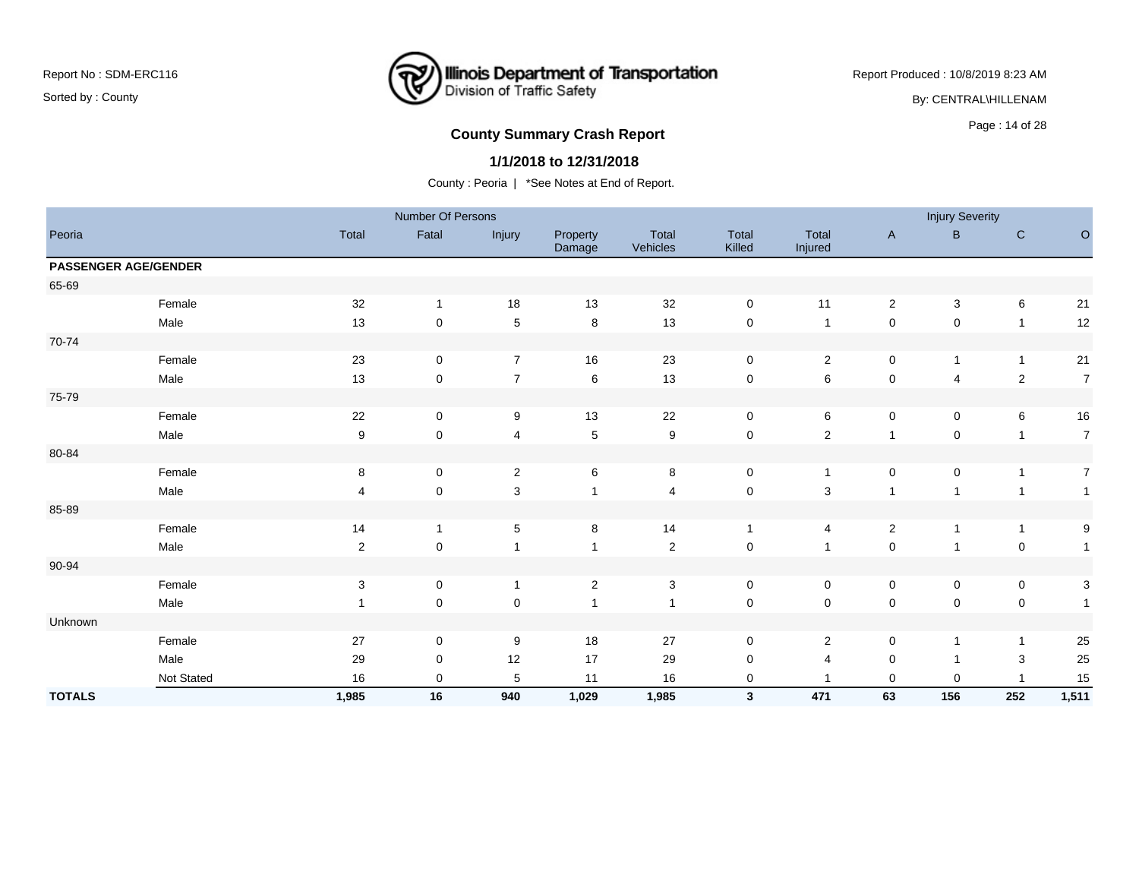### **Illinois Department of Transportation**<br>Division of Traffic Safety ₹

Report Produced : 10/8/2019 8:23 AM

By: CENTRAL\HILLENAM

# **County Summary Crash Report COUNTY SUMMARY CRASH REPORT COUNTY SUMMARY CRASH REPORT**

#### **1/1/2018 to 12/31/2018**

|               |                             |                | Number Of Persons |                           |                    |                          |                 |                  |                | <b>Injury Severity</b> |                |                  |
|---------------|-----------------------------|----------------|-------------------|---------------------------|--------------------|--------------------------|-----------------|------------------|----------------|------------------------|----------------|------------------|
| Peoria        |                             | Total          | Fatal             | Injury                    | Property<br>Damage | <b>Total</b><br>Vehicles | Total<br>Killed | Total<br>Injured | $\mathsf{A}$   | B                      | $\mathbf C$    | $\circ$          |
|               | <b>PASSENGER AGE/GENDER</b> |                |                   |                           |                    |                          |                 |                  |                |                        |                |                  |
| 65-69         |                             |                |                   |                           |                    |                          |                 |                  |                |                        |                |                  |
|               | Female                      | 32             | $\mathbf{1}$      | 18                        | 13                 | 32                       | $\mathbf 0$     | 11               | $\overline{2}$ | 3                      | 6              | 21               |
|               | Male                        | 13             | 0                 | $\mathbf 5$               | $\,8\,$            | 13                       | $\mathbf 0$     | $\overline{1}$   | $\pmb{0}$      | $\pmb{0}$              | $\overline{1}$ | 12               |
| 70-74         |                             |                |                   |                           |                    |                          |                 |                  |                |                        |                |                  |
|               | Female                      | 23             | 0                 | $\overline{7}$            | 16                 | 23                       | $\mathbf 0$     | $\overline{c}$   | $\mathsf 0$    | 1                      | $\overline{1}$ | $21$             |
|               | Male                        | 13             | 0                 | $\overline{7}$            | $\,6\,$            | 13                       | $\mathbf 0$     | 6                | $\pmb{0}$      | 4                      | $\overline{2}$ | $\boldsymbol{7}$ |
| 75-79         |                             |                |                   |                           |                    |                          |                 |                  |                |                        |                |                  |
|               | Female                      | 22             | $\mathbf 0$       | 9                         | 13                 | 22                       | $\mathsf 0$     | 6                | $\mathsf 0$    | 0                      | 6              | 16               |
|               | Male                        | 9              | $\mathbf 0$       | 4                         | $\,$ 5 $\,$        | $\boldsymbol{9}$         | $\mathsf 0$     | $\overline{c}$   | $\overline{1}$ | $\pmb{0}$              | $\overline{1}$ | $\boldsymbol{7}$ |
| 80-84         |                             |                |                   |                           |                    |                          |                 |                  |                |                        |                |                  |
|               | Female                      | 8              | 0                 | $\sqrt{2}$                | $\,6\,$            | $\,8\,$                  | $\pmb{0}$       | $\mathbf{1}$     | $\pmb{0}$      | 0                      | $\overline{1}$ | $\boldsymbol{7}$ |
|               | Male                        | 4              | $\mathbf 0$       | $\ensuremath{\mathsf{3}}$ |                    | $\overline{4}$           | $\mathsf 0$     | $\sqrt{3}$       | $\mathbf{1}$   | 1                      | $\overline{1}$ | $\mathbf{1}$     |
| 85-89         |                             |                |                   |                           |                    |                          |                 |                  |                |                        |                |                  |
|               | Female                      | 14             | $\mathbf{1}$      | 5                         | 8                  | 14                       | $\mathbf{1}$    | 4                | $\overline{2}$ | $\mathbf{1}$           | $\mathbf{1}$   | 9                |
|               | Male                        | $\overline{2}$ | $\pmb{0}$         |                           |                    | $\sqrt{2}$               | $\mathsf 0$     | $\overline{1}$   | $\pmb{0}$      |                        | $\pmb{0}$      | $\mathbf{1}$     |
| 90-94         |                             |                |                   |                           |                    |                          |                 |                  |                |                        |                |                  |
|               | Female                      | $\mathbf{3}$   | 0                 | $\overline{1}$            | $\sqrt{2}$         | $\mathbf{3}$             | $\mathbf 0$     | 0                | $\mathbf 0$    | $\pmb{0}$              | $\mathbf 0$    | $\sqrt{3}$       |
|               | Male                        | 1              | $\mathbf 0$       | $\mathbf 0$               |                    | $\overline{\mathbf{1}}$  | $\mathsf 0$     | $\mathbf 0$      | $\mathsf 0$    | 0                      | $\pmb{0}$      | $\mathbf{1}$     |
| Unknown       |                             |                |                   |                           |                    |                          |                 |                  |                |                        |                |                  |
|               | Female                      | 27             | 0                 | 9                         | 18                 | 27                       | $\mathbf 0$     | $\overline{c}$   | $\mathbf 0$    | 1                      | $\overline{1}$ | 25               |
|               | Male                        | 29             | 0                 | 12                        | 17                 | 29                       | 0               | 4                | $\mathbf 0$    |                        | 3              | 25               |
|               | Not Stated                  | 16             | 0                 | 5                         | 11                 | 16                       | 0               |                  | $\mathbf 0$    | 0                      |                | 15               |
| <b>TOTALS</b> |                             | 1,985          | 16                | 940                       | 1,029              | 1,985                    | $\mathbf{3}$    | 471              | 63             | 156                    | 252            | 1,511            |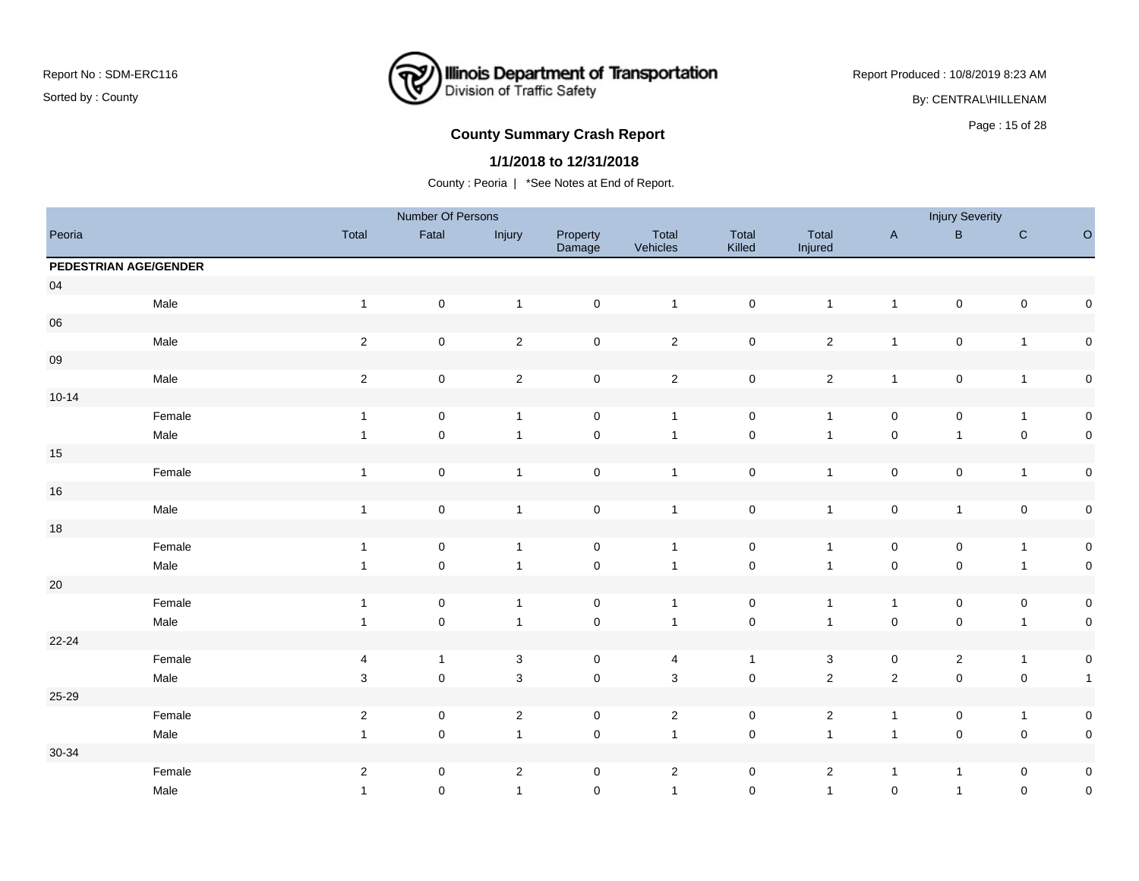### **Illinois Department of Transportation**<br>Division of Traffic Safety ₹

Report Produced : 10/8/2019 8:23 AM

By: CENTRAL\HILLENAM

# **County Summary Crash Report COUNTY SUMMARY CRASH REPORT COUNTY SUMMARY CRASH REPORT**

#### **1/1/2018 to 12/31/2018**

|           |                       |                           | Number Of Persons   |                |                     |                           |                     |                  |                | <b>Injury Severity</b> |                     |              |
|-----------|-----------------------|---------------------------|---------------------|----------------|---------------------|---------------------------|---------------------|------------------|----------------|------------------------|---------------------|--------------|
| Peoria    |                       | Total                     | Fatal               | Injury         | Property<br>Damage  | Total<br>Vehicles         | Total<br>Killed     | Total<br>Injured | $\mathsf{A}$   | $\sf B$                | ${\bf C}$           | $\circ$      |
|           | PEDESTRIAN AGE/GENDER |                           |                     |                |                     |                           |                     |                  |                |                        |                     |              |
| $04\,$    |                       |                           |                     |                |                     |                           |                     |                  |                |                        |                     |              |
|           | Male                  | $\mathbf{1}$              | $\mathbf 0$         | $\overline{1}$ | $\pmb{0}$           | $\mathbf{1}$              | $\mathsf{O}\xspace$ | $\mathbf{1}$     | $\overline{1}$ | $\mathbf 0$            | $\mathsf{O}\xspace$ | $\mathbf 0$  |
| 06        |                       |                           |                     |                |                     |                           |                     |                  |                |                        |                     |              |
|           | Male                  | $\sqrt{2}$                | $\mathsf 0$         | $\overline{2}$ | $\pmb{0}$           | $\overline{2}$            | $\pmb{0}$           | $\overline{2}$   | $\overline{1}$ | $\pmb{0}$              | $\overline{1}$      | $\pmb{0}$    |
| 09        |                       |                           |                     |                |                     |                           |                     |                  |                |                        |                     |              |
|           | Male                  | $\mathbf{2}$              | $\mathbf 0$         | $\sqrt{2}$     | $\pmb{0}$           | $\mathbf{2}$              | $\mathbf 0$         | $\overline{2}$   | $\mathbf{1}$   | $\mathbf 0$            | $\mathbf{1}$        | $\mathbf 0$  |
| $10 - 14$ |                       |                           |                     |                |                     |                           |                     |                  |                |                        |                     |              |
|           | Female                | $\mathbf{1}$              | $\mathbf 0$         | $\mathbf{1}$   | $\mathsf{O}\xspace$ | $\mathbf{1}$              | $\pmb{0}$           | $\mathbf{1}$     | $\pmb{0}$      | $\mathbf 0$            | $\overline{1}$      | $\pmb{0}$    |
|           | Male                  | $\mathbf{1}$              | $\mathsf{O}\xspace$ | $\overline{1}$ | $\mathbf 0$         | $\mathbf{1}$              | $\pmb{0}$           | $\mathbf{1}$     | $\pmb{0}$      | $\mathbf{1}$           | $\mathbf 0$         | $\mathbf 0$  |
| 15        |                       |                           |                     |                |                     |                           |                     |                  |                |                        |                     |              |
|           | Female                | $\mathbf{1}$              | $\pmb{0}$           | $\mathbf{1}$   | $\pmb{0}$           | $\mathbf{1}$              | $\pmb{0}$           | $\mathbf{1}$     | $\pmb{0}$      | $\pmb{0}$              | $\mathbf{1}$        | $\pmb{0}$    |
| $16\,$    |                       |                           |                     |                |                     |                           |                     |                  |                |                        |                     |              |
|           | Male                  | $\mathbf{1}$              | $\pmb{0}$           | $\overline{1}$ | $\pmb{0}$           | $\mathbf{1}$              | $\pmb{0}$           | $\mathbf{1}$     | $\pmb{0}$      | $\mathbf{1}$           | $\mathbf 0$         | $\pmb{0}$    |
| 18        |                       |                           |                     |                |                     |                           |                     |                  |                |                        |                     |              |
|           | Female                | $\mathbf{1}$              | $\mathsf 0$         | $\overline{1}$ | $\mathsf 0$         | $\mathbf{1}$              | $\pmb{0}$           | $\mathbf{1}$     | $\,0\,$        | $\mathsf 0$            | $\overline{1}$      | $\mathbf 0$  |
|           | Male                  | $\mathbf{1}$              | $\mathsf 0$         | $\mathbf{1}$   | $\pmb{0}$           | $\mathbf{1}$              | $\mathbf 0$         | $\mathbf{1}$     | $\pmb{0}$      | $\mathbf 0$            | $\overline{1}$      | $\mathbf 0$  |
| $20\,$    |                       |                           |                     |                |                     |                           |                     |                  |                |                        |                     |              |
|           | Female                | $\mathbf{1}$              | $\mathbf 0$         | $\overline{1}$ | $\mathsf{O}\xspace$ | $\mathbf{1}$              | $\mathbf 0$         | $\mathbf{1}$     | $\mathbf{1}$   | $\mathbf 0$            | $\mathbf 0$         | $\pmb{0}$    |
|           | Male                  | $\mathbf{1}$              | $\mathsf 0$         | $\mathbf{1}$   | $\mathbf 0$         | $\mathbf{1}$              | $\mathbf 0$         | $\mathbf{1}$     | $\pmb{0}$      | $\pmb{0}$              | $\overline{1}$      | $\mathbf 0$  |
| $22 - 24$ |                       |                           |                     |                |                     |                           |                     |                  |                |                        |                     |              |
|           | Female                | 4                         | $\mathbf{1}$        | $\mathbf{3}$   | 0                   | 4                         | $\mathbf{1}$        | $\mathbf{3}$     | $\mathbf 0$    | $\overline{2}$         | $\overline{1}$      | $\pmb{0}$    |
|           | Male                  | $\ensuremath{\mathsf{3}}$ | $\mathsf 0$         | $\mathsf 3$    | $\mathsf 0$         | $\ensuremath{\mathsf{3}}$ | $\pmb{0}$           | $\overline{2}$   | $\mathbf 2$    | $\mathbf 0$            | $\mathbf 0$         | $\mathbf{1}$ |
| 25-29     |                       |                           |                     |                |                     |                           |                     |                  |                |                        |                     |              |
|           | Female                | $\overline{2}$            | $\mathbf 0$         | $\overline{c}$ | 0                   | $\overline{2}$            | $\mathbf 0$         | $\overline{c}$   | $\overline{1}$ | $\mathbf 0$            | $\overline{1}$      | $\pmb{0}$    |
|           | Male                  | $\mathbf{1}$              | $\mathsf{O}\xspace$ | $\mathbf{1}$   | $\mathbf 0$         | $\mathbf{1}$              | $\pmb{0}$           | $\mathbf{1}$     | $\overline{1}$ | $\mathsf 0$            | $\mathbf 0$         | $\mathbf 0$  |
| 30-34     |                       |                           |                     |                |                     |                           |                     |                  |                |                        |                     |              |
|           | Female                | $\sqrt{2}$                | $\mathsf 0$         | $\sqrt{2}$     | 0                   | $\overline{\mathbf{c}}$   | 0                   | $\overline{a}$   | $\overline{1}$ | $\mathbf{1}$           | 0                   | $\pmb{0}$    |
|           | Male                  | $\mathbf{1}$              | $\mathbf 0$         | $\mathbf{1}$   | $\mathbf 0$         | $\mathbf{1}$              | $\mathbf 0$         | $\mathbf{1}$     | $\mathbf 0$    | $\mathbf{1}$           | $\mathbf 0$         | $\mathbf 0$  |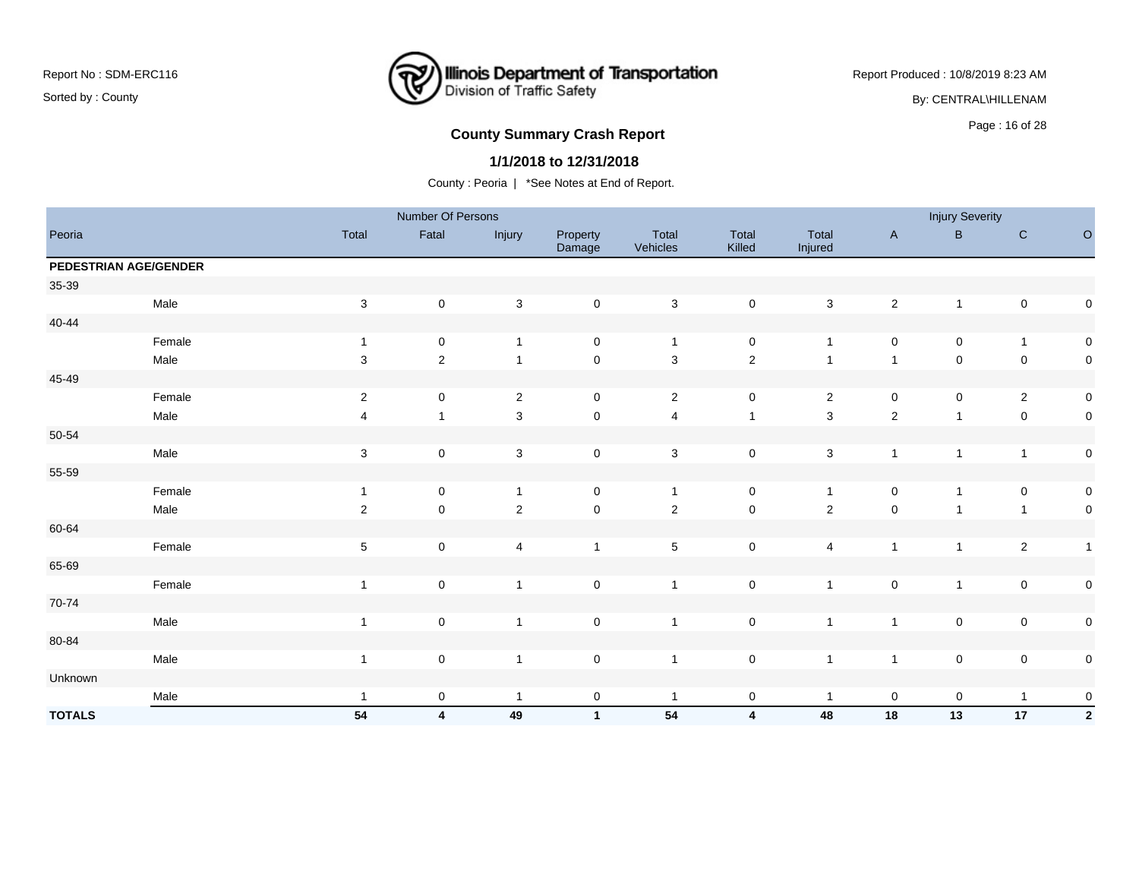### **Illinois Department of Transportation**<br>Division of Traffic Safety ₹

Report Produced : 10/8/2019 8:23 AM

By: CENTRAL\HILLENAM

# Page : 16 of 28 **County Summary Crash Report**

#### **1/1/2018 to 12/31/2018**

|               |                       |                           | Number Of Persons       |                           |                     |                   |                         |                  |                     | <b>Injury Severity</b> |                |                     |
|---------------|-----------------------|---------------------------|-------------------------|---------------------------|---------------------|-------------------|-------------------------|------------------|---------------------|------------------------|----------------|---------------------|
| Peoria        |                       | Total                     | Fatal                   | Injury                    | Property<br>Damage  | Total<br>Vehicles | Total<br>Killed         | Total<br>Injured | $\mathsf{A}$        | B                      | $\mathbf C$    | $\circ$             |
|               | PEDESTRIAN AGE/GENDER |                           |                         |                           |                     |                   |                         |                  |                     |                        |                |                     |
| 35-39         |                       |                           |                         |                           |                     |                   |                         |                  |                     |                        |                |                     |
|               | Male                  | $\sqrt{3}$                | $\pmb{0}$               | $\sqrt{3}$                | $\mathsf 0$         | $\mathbf{3}$      | $\mathsf{O}\xspace$     | $\mathbf{3}$     | $\sqrt{2}$          | $\mathbf{1}$           | $\pmb{0}$      | $\mathbf 0$         |
| $40 - 44$     |                       |                           |                         |                           |                     |                   |                         |                  |                     |                        |                |                     |
|               | Female                | $\mathbf{1}$              | $\pmb{0}$               | $\mathbf{1}$              | $\mathsf 0$         | $\mathbf{1}$      | $\mathbf 0$             | $\overline{1}$   | $\mathsf 0$         | $\mathbf 0$            | $\mathbf{1}$   | $\mathbf 0$         |
|               | Male                  | $\mathbf{3}$              | $\overline{2}$          | $\mathbf{1}$              | $\mathsf{O}\xspace$ | $\mathbf{3}$      | $\overline{2}$          | $\overline{1}$   | $\overline{1}$      | $\mathsf 0$            | $\pmb{0}$      | $\mathbf 0$         |
| 45-49         |                       |                           |                         |                           |                     |                   |                         |                  |                     |                        |                |                     |
|               | Female                | $\sqrt{2}$                | 0                       | $\sqrt{2}$                | $\mathbf 0$         | $\overline{2}$    | $\mathbf 0$             | $\overline{2}$   | $\mathsf{O}\xspace$ | 0                      | $\overline{2}$ | $\mathbf 0$         |
|               | Male                  | $\overline{4}$            | $\mathbf{1}$            | $\mathbf{3}$              | $\mathsf{O}\xspace$ | $\overline{4}$    | $\overline{1}$          | $\mathbf{3}$     | $\mathbf 2$         | $\overline{1}$         | $\mathbf 0$    | $\mathbf 0$         |
| 50-54         |                       |                           |                         |                           |                     |                   |                         |                  |                     |                        |                |                     |
|               | Male                  | $\ensuremath{\mathsf{3}}$ | $\pmb{0}$               | $\ensuremath{\mathsf{3}}$ | $\mathsf 0$         | $\mathbf{3}$      | $\mathbf 0$             | $\mathsf 3$      | $\mathbf{1}$        | $\overline{1}$         | $\mathbf{1}$   | $\mathbf 0$         |
| 55-59         |                       |                           |                         |                           |                     |                   |                         |                  |                     |                        |                |                     |
|               | Female                | $\overline{1}$            | 0                       | $\mathbf{1}$              | $\mathbf 0$         | $\mathbf{1}$      | $\mathbf 0$             | $\overline{1}$   | 0                   | $\overline{1}$         | 0              | $\mathbf 0$         |
|               | Male                  | $\sqrt{2}$                | $\mathsf{O}\xspace$     | $\overline{2}$            | $\mathsf{O}\xspace$ | $\sqrt{2}$        | $\mathsf{O}\xspace$     | $\overline{2}$   | $\pmb{0}$           | $\overline{ }$         | $\mathbf{1}$   | $\mathbf 0$         |
| 60-64         |                       |                           |                         |                           |                     |                   |                         |                  |                     |                        |                |                     |
|               | Female                | $\,$ 5 $\,$               | $\pmb{0}$               | $\overline{\mathbf{4}}$   | $\mathbf{1}$        | $\,$ 5 $\,$       | $\mathbf 0$             | 4                | $\mathbf{1}$        | 1                      | $\sqrt{2}$     | $\overline{1}$      |
| 65-69         |                       |                           |                         |                           |                     |                   |                         |                  |                     |                        |                |                     |
|               | Female                | $\overline{1}$            | $\mathsf{O}\xspace$     | $\mathbf{1}$              | $\mathsf 0$         | $\overline{1}$    | $\mathbf 0$             | $\overline{1}$   | $\mathsf 0$         | $\overline{1}$         | $\pmb{0}$      | $\mathbf 0$         |
| 70-74         |                       |                           |                         |                           |                     |                   |                         |                  |                     |                        |                |                     |
|               | Male                  | $\overline{1}$            | $\pmb{0}$               | $\mathbf{1}$              | $\mathsf 0$         | $\overline{1}$    | $\mathsf{O}\xspace$     | $\overline{1}$   | $\overline{1}$      | $\mathbf 0$            | $\pmb{0}$      | $\mathbf 0$         |
| 80-84         |                       |                           |                         |                           |                     |                   |                         |                  |                     |                        |                |                     |
|               | Male                  | $\mathbf{1}$              | $\pmb{0}$               | $\mathbf{1}$              | $\mathsf 0$         | $\mathbf{1}$      | $\pmb{0}$               | $\mathbf{1}$     | $\mathbf{1}$        | $\pmb{0}$              | $\pmb{0}$      | $\mathbf 0$         |
| Unknown       |                       |                           |                         |                           |                     |                   |                         |                  |                     |                        |                |                     |
|               | Male                  | $\overline{1}$            | $\pmb{0}$               | $\mathbf{1}$              | $\mathsf 0$         | $\mathbf{1}$      | $\mathbf 0$             | $\overline{1}$   | $\mathsf 0$         | $\mathbf 0$            | $\mathbf{1}$   | $\mathsf{O}\xspace$ |
| <b>TOTALS</b> |                       | 54                        | $\overline{\mathbf{4}}$ | 49                        | $\mathbf{1}$        | ${\bf 54}$        | $\overline{\mathbf{4}}$ | 48               | 18                  | 13                     | 17             | $\overline{2}$      |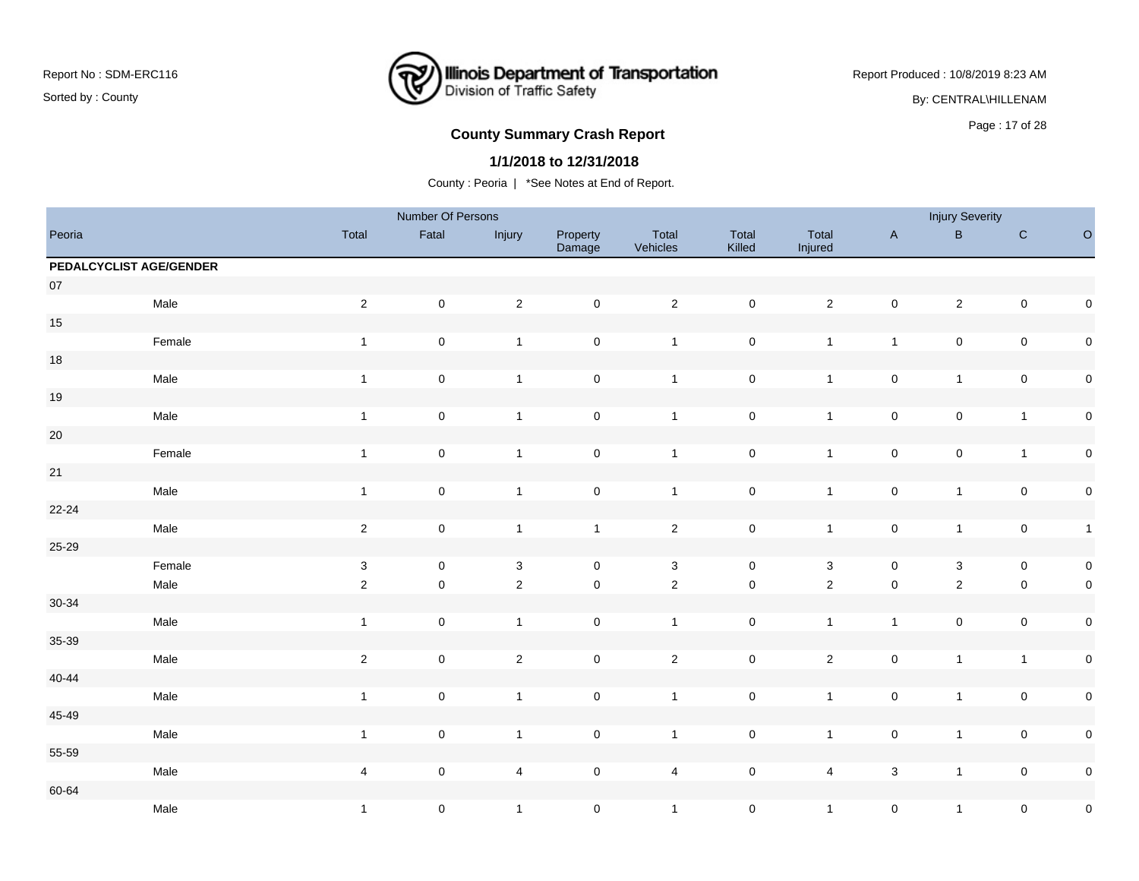### **Illinois Department of Transportation**<br>Division of Traffic Safety ₹

Report Produced : 10/8/2019 8:23 AM

By: CENTRAL\HILLENAM

# Page : 17 of 28 **County Summary Crash Report**

#### **1/1/2018 to 12/31/2018**

|           |                         |                         | Number Of Persons |              |                     |                   |                     |                           |                     | <b>Injury Severity</b> |                     |              |
|-----------|-------------------------|-------------------------|-------------------|--------------|---------------------|-------------------|---------------------|---------------------------|---------------------|------------------------|---------------------|--------------|
| Peoria    |                         | Total                   | Fatal             | Injury       | Property<br>Damage  | Total<br>Vehicles | Total<br>Killed     | Total<br>Injured          | $\mathsf{A}$        | $\sf{B}$               | ${\bf C}$           | $\circ$      |
|           | PEDALCYCLIST AGE/GENDER |                         |                   |              |                     |                   |                     |                           |                     |                        |                     |              |
| $07\,$    |                         |                         |                   |              |                     |                   |                     |                           |                     |                        |                     |              |
|           | Male                    | $\sqrt{2}$              | $\pmb{0}$         | $\sqrt{2}$   | $\mathbf 0$         | $\overline{2}$    | $\pmb{0}$           | $\sqrt{2}$                | $\mathsf{O}\xspace$ | $\sqrt{2}$             | $\mathsf{O}\xspace$ | $\pmb{0}$    |
| $15\,$    |                         |                         |                   |              |                     |                   |                     |                           |                     |                        |                     |              |
|           | Female                  | $\overline{1}$          | $\mathbf 0$       | $\mathbf{1}$ | $\mathbf 0$         | $\overline{1}$    | $\pmb{0}$           | $\mathbf{1}$              | $\mathbf{1}$        | $\pmb{0}$              | $\mathbf 0$         | $\pmb{0}$    |
| $18\,$    |                         |                         |                   |              |                     |                   |                     |                           |                     |                        |                     |              |
|           | Male                    | $\overline{1}$          | $\pmb{0}$         | $\mathbf{1}$ | $\mathsf{O}\xspace$ | $\overline{1}$    | $\pmb{0}$           | $\mathbf{1}$              | $\mathsf{O}\xspace$ | $\mathbf{1}$           | $\pmb{0}$           | $\pmb{0}$    |
| $19$      |                         |                         |                   |              |                     |                   |                     |                           |                     |                        |                     |              |
|           | Male                    | $\mathbf{1}$            | $\pmb{0}$         | $\mathbf{1}$ | $\mathbf 0$         | $\mathbf{1}$      | $\pmb{0}$           | $\mathbf{1}$              | $\pmb{0}$           | $\pmb{0}$              | $\mathbf{1}$        | $\pmb{0}$    |
| $20\,$    |                         |                         |                   |              |                     |                   |                     |                           |                     |                        |                     |              |
|           | Female                  | $\overline{1}$          | $\pmb{0}$         | $\mathbf{1}$ | $\mathbf 0$         | $\mathbf{1}$      | $\pmb{0}$           | $\mathbf{1}$              | $\mathsf{O}\xspace$ | $\pmb{0}$              | $\mathbf{1}$        | $\pmb{0}$    |
| 21        |                         |                         |                   |              |                     |                   |                     |                           |                     |                        |                     |              |
|           | Male                    | $\overline{1}$          | $\pmb{0}$         | $\mathbf{1}$ | $\mathbf 0$         | $\overline{1}$    | $\pmb{0}$           | $\mathbf{1}$              | $\pmb{0}$           | $\mathbf{1}$           | $\mathsf{O}\xspace$ | $\pmb{0}$    |
| $22 - 24$ |                         |                         |                   |              |                     |                   |                     |                           |                     |                        |                     |              |
|           | Male                    | $\sqrt{2}$              | $\pmb{0}$         | $\mathbf{1}$ | $\mathbf{1}$        | $\overline{2}$    | $\pmb{0}$           | $\mathbf{1}$              | $\mathsf{O}\xspace$ | $\mathbf{1}$           | $\mathsf{O}\xspace$ | $\mathbf{1}$ |
| 25-29     |                         |                         |                   |              |                     |                   |                     |                           |                     |                        |                     |              |
|           | Female                  | $\sqrt{3}$              | $\mathbf 0$       | $\sqrt{3}$   | $\mathbf 0$         | $\mathbf{3}$      | $\mathsf{O}\xspace$ | $\ensuremath{\mathsf{3}}$ | $\mathsf{O}\xspace$ | $\mathbf{3}$           | $\mathsf{O}\xspace$ | $\pmb{0}$    |
|           | Male                    | $\sqrt{2}$              | $\mathsf 0$       | $\sqrt{2}$   | $\mathsf 0$         | $\overline{2}$    | $\mathsf{O}\xspace$ | $\overline{2}$            | $\pmb{0}$           | $\overline{c}$         | $\pmb{0}$           | $\pmb{0}$    |
| $30 - 34$ |                         |                         |                   |              |                     |                   |                     |                           |                     |                        |                     |              |
|           | Male                    | $\mathbf{1}$            | $\pmb{0}$         | $\mathbf{1}$ | $\mathbf 0$         | $\overline{1}$    | $\pmb{0}$           | $\mathbf{1}$              | $\mathbf{1}$        | $\pmb{0}$              | $\mathsf{O}\xspace$ | $\pmb{0}$    |
| 35-39     |                         |                         |                   |              |                     |                   |                     |                           |                     |                        |                     |              |
|           | Male                    | $\sqrt{2}$              | $\mathbf 0$       | $\mathbf{2}$ | $\mathbf 0$         | $\overline{2}$    | $\pmb{0}$           | $\overline{2}$            | $\mathsf{O}\xspace$ | $\mathbf{1}$           | $\mathbf{1}$        | $\pmb{0}$    |
| $40 - 44$ |                         |                         |                   |              |                     |                   |                     |                           |                     |                        |                     |              |
|           | Male                    | $\overline{1}$          | $\pmb{0}$         | $\mathbf{1}$ | $\mathsf 0$         | $\overline{1}$    | $\pmb{0}$           | $\mathbf{1}$              | $\pmb{0}$           | $\mathbf{1}$           | $\mathsf{O}\xspace$ | $\pmb{0}$    |
| $45 - 49$ |                         |                         |                   |              |                     |                   |                     |                           |                     |                        |                     |              |
|           | Male                    | $\mathbf{1}$            | $\mathbf 0$       | $\mathbf{1}$ | $\mathbf 0$         | $\overline{1}$    | $\mathsf{O}\xspace$ | $\mathbf{1}$              | $\pmb{0}$           | $\mathbf{1}$           | $\pmb{0}$           | $\pmb{0}$    |
| 55-59     |                         |                         |                   |              |                     |                   |                     |                           |                     |                        |                     |              |
|           | Male                    | $\overline{\mathbf{4}}$ | $\mathbf 0$       | 4            | $\mathbf 0$         | 4                 | $\pmb{0}$           | $\overline{4}$            | $\mathbf 3$         | $\mathbf{1}$           | $\mathsf{O}\xspace$ | $\pmb{0}$    |
| 60-64     |                         |                         |                   |              |                     |                   |                     |                           |                     |                        |                     |              |
|           | Male                    | $\mathbf{1}$            | $\pmb{0}$         | $\mathbf{1}$ | $\pmb{0}$           | $\mathbf{1}$      | $\pmb{0}$           | $\mathbf{1}$              | $\mathbf 0$         | $\mathbf{1}$           | $\pmb{0}$           | $\pmb{0}$    |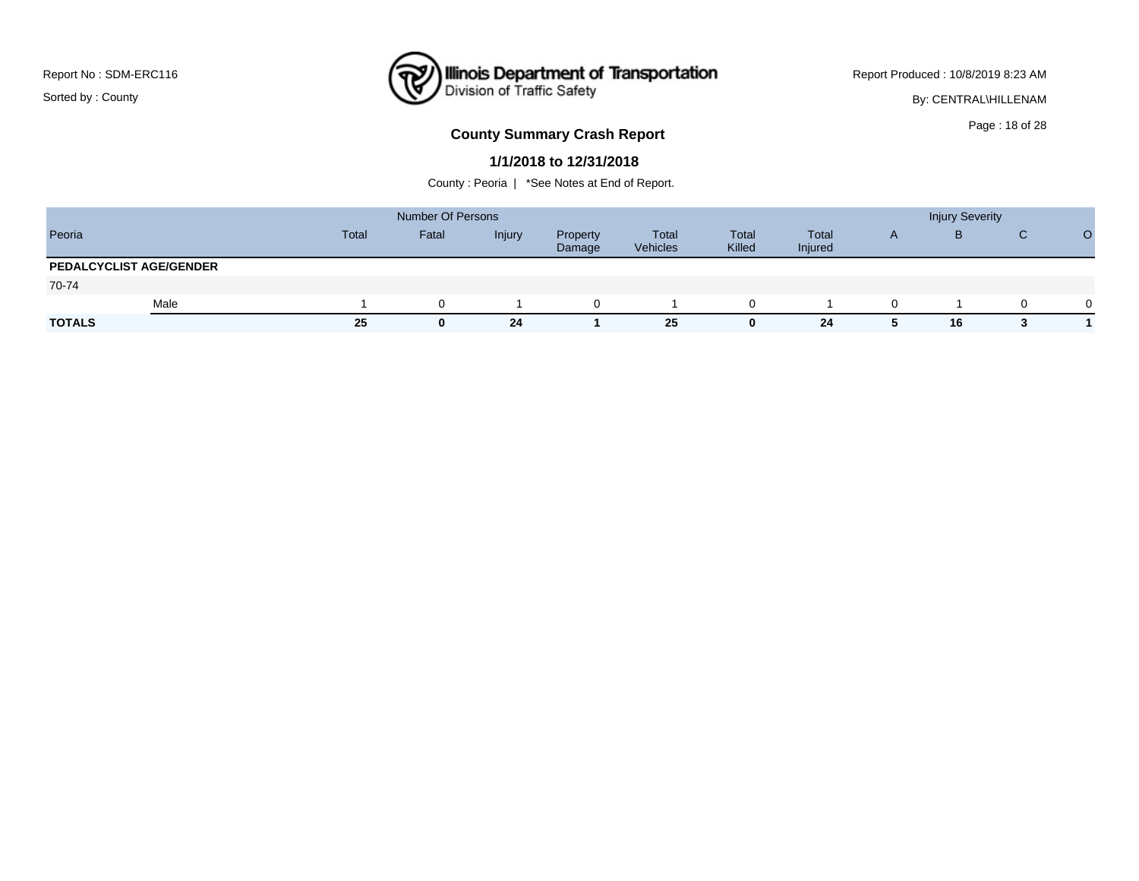### **Illinois Department of Transportation**<br>Division of Traffic Safety ₹

Report Produced : 10/8/2019 8:23 AM

By: CENTRAL\HILLENAM

# Page : 18 of 28 **County Summary Crash Report**

#### **1/1/2018 to 12/31/2018**

|                                |      |       | <b>Number Of Persons</b> |        |                    |                   |                 |                  |              | <b>Injury Severity</b> |          |          |
|--------------------------------|------|-------|--------------------------|--------|--------------------|-------------------|-----------------|------------------|--------------|------------------------|----------|----------|
| Peoria                         |      | Total | Fatal                    | Injury | Property<br>Damage | Total<br>Vehicles | Total<br>Killed | Total<br>Injured | $\mathsf{A}$ | B                      | C        |          |
| <b>PEDALCYCLIST AGE/GENDER</b> |      |       |                          |        |                    |                   |                 |                  |              |                        |          |          |
| 70-74                          |      |       |                          |        |                    |                   |                 |                  |              |                        |          |          |
|                                | Male |       |                          |        | $\Omega$           |                   |                 |                  |              |                        | $\Omega$ | $\Omega$ |
| <b>TOTALS</b>                  |      | 25    | 0                        | 24     |                    | 25                | U.              | 24               | 5            | 16                     |          |          |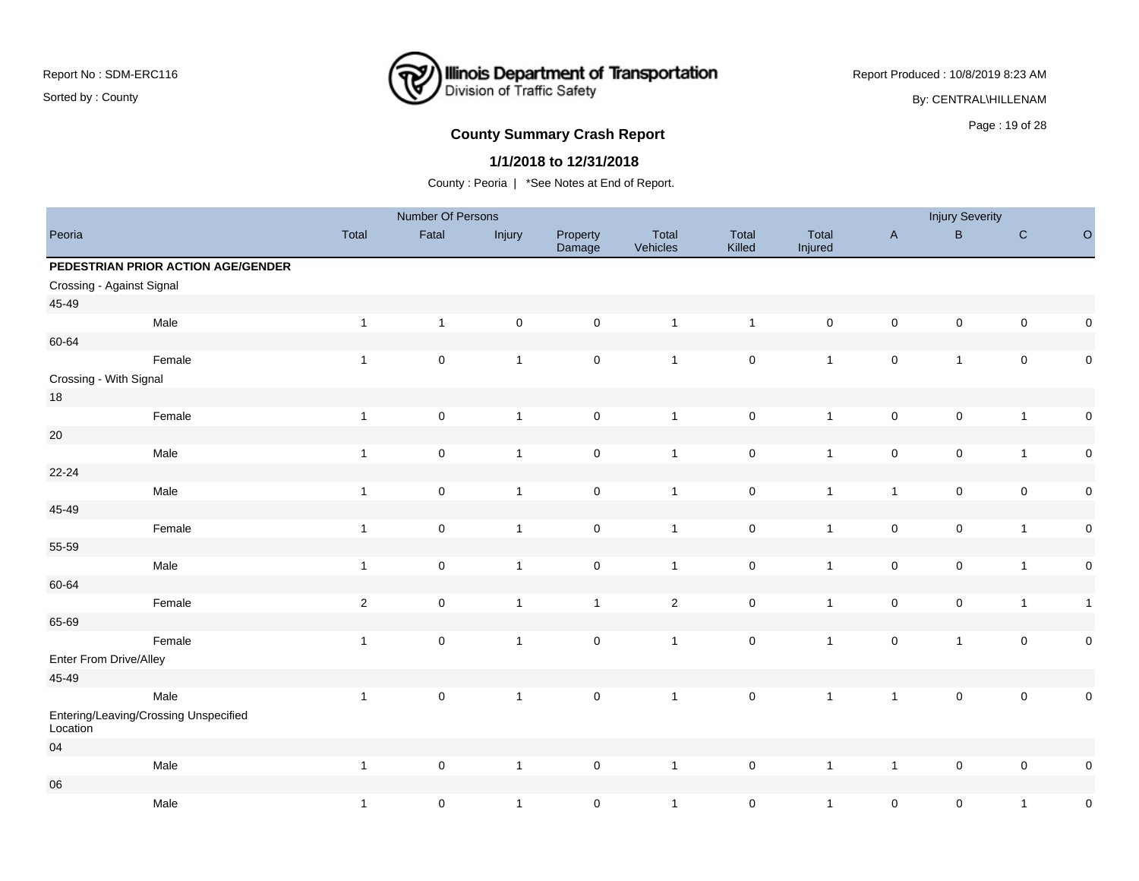### **Illinois Department of Transportation**<br>Division of Traffic Safety ₹

Report Produced : 10/8/2019 8:23 AM

By: CENTRAL\HILLENAM

# Page : 19 of 28 **County Summary Crash Report**

#### **1/1/2018 to 12/31/2018**

|                           |                                       |              | Number Of Persons   |                |                     |                   |                     |                     |                     | <b>Injury Severity</b> |                     |              |
|---------------------------|---------------------------------------|--------------|---------------------|----------------|---------------------|-------------------|---------------------|---------------------|---------------------|------------------------|---------------------|--------------|
| Peoria                    |                                       | Total        | Fatal               | Injury         | Property<br>Damage  | Total<br>Vehicles | Total<br>Killed     | Total<br>Injured    | $\mathsf{A}$        | B                      | $\mathsf{C}$        | $\circ$      |
|                           | PEDESTRIAN PRIOR ACTION AGE/GENDER    |              |                     |                |                     |                   |                     |                     |                     |                        |                     |              |
| Crossing - Against Signal |                                       |              |                     |                |                     |                   |                     |                     |                     |                        |                     |              |
| 45-49                     |                                       |              |                     |                |                     |                   |                     |                     |                     |                        |                     |              |
|                           | Male                                  | $\mathbf{1}$ | $\mathbf{1}$        | $\pmb{0}$      | $\mathsf{O}\xspace$ | $\overline{1}$    | $\mathbf{1}$        | $\mathsf{O}\xspace$ | $\mathsf{O}\xspace$ | $\pmb{0}$              | $\mathsf{O}\xspace$ | $\pmb{0}$    |
| 60-64                     |                                       |              |                     |                |                     |                   |                     |                     |                     |                        |                     |              |
|                           | Female                                | $\mathbf{1}$ | $\mathbf 0$         | $\overline{1}$ | $\mathbf 0$         | $\overline{1}$    | $\mathbf 0$         | $\mathbf{1}$        | $\mathbf 0$         | $\mathbf{1}$           | $\mathbf 0$         | $\pmb{0}$    |
| Crossing - With Signal    |                                       |              |                     |                |                     |                   |                     |                     |                     |                        |                     |              |
| $18\,$                    |                                       |              |                     |                |                     |                   |                     |                     |                     |                        |                     |              |
|                           | Female                                | $\mathbf{1}$ | $\mathbf 0$         | $\mathbf{1}$   | $\mathsf{O}\xspace$ | $\overline{1}$    | $\mathsf 0$         | $\mathbf{1}$        | $\mathsf{O}\xspace$ | $\pmb{0}$              | $\overline{1}$      | $\pmb{0}$    |
| $20\,$                    |                                       |              |                     |                |                     |                   |                     |                     |                     |                        |                     |              |
|                           | Male                                  | $\mathbf{1}$ | $\mathbf 0$         | $\overline{1}$ | $\mathsf{O}\xspace$ | $\overline{1}$    | $\mathsf 0$         | $\mathbf{1}$        | $\mathsf{O}\xspace$ | $\pmb{0}$              | $\mathbf{1}$        | $\pmb{0}$    |
| $22 - 24$                 |                                       |              |                     |                |                     |                   |                     |                     |                     |                        |                     |              |
|                           | Male                                  | $\mathbf{1}$ | $\mathbf 0$         | $\overline{1}$ | $\mathsf{O}\xspace$ | $\overline{1}$    | $\pmb{0}$           | $\mathbf{1}$        | $\mathbf{1}$        | $\pmb{0}$              | $\mathsf{O}\xspace$ | $\mathbf 0$  |
| 45-49                     |                                       |              |                     |                |                     |                   |                     |                     |                     |                        |                     |              |
|                           | Female                                | $\mathbf{1}$ | $\pmb{0}$           | $\overline{1}$ | $\mathsf{O}\xspace$ | $\overline{1}$    | $\mathsf 0$         | $\mathbf{1}$        | $\mathsf{O}\xspace$ | $\pmb{0}$              | $\overline{1}$      | $\pmb{0}$    |
| 55-59                     |                                       |              |                     |                |                     |                   |                     |                     |                     |                        |                     |              |
|                           | Male                                  | $\mathbf{1}$ | $\mathbf 0$         | $\mathbf{1}$   | $\mathsf{O}\xspace$ | $\overline{1}$    | $\mathsf{O}\xspace$ | $\mathbf{1}$        | $\mathsf{O}\xspace$ | $\pmb{0}$              | $\mathbf{1}$        | $\mathbf 0$  |
| 60-64                     |                                       |              |                     |                |                     |                   |                     |                     |                     |                        |                     |              |
|                           | Female                                | $\sqrt{2}$   | $\mathsf{O}\xspace$ | $\overline{1}$ | $\mathbf{1}$        | $\overline{2}$    | $\mathsf{O}\xspace$ | $\mathbf{1}$        | $\mathbf 0$         | $\pmb{0}$              | $\mathbf{1}$        | $\mathbf{1}$ |
| 65-69                     |                                       |              |                     |                |                     |                   |                     |                     |                     |                        |                     |              |
|                           | Female                                | $\mathbf{1}$ | $\pmb{0}$           | $\mathbf{1}$   | $\mathsf{O}\xspace$ | $\mathbf{1}$      | $\mathsf{O}\xspace$ | $\mathbf{1}$        | $\mathbf 0$         | $\mathbf{1}$           | $\mathbf 0$         | $\pmb{0}$    |
| Enter From Drive/Alley    |                                       |              |                     |                |                     |                   |                     |                     |                     |                        |                     |              |
| 45-49                     |                                       |              |                     |                |                     |                   |                     |                     |                     |                        |                     |              |
|                           | Male                                  | $\mathbf{1}$ | $\mathbf 0$         | $\overline{1}$ | $\mathbf 0$         | $\overline{1}$    | $\pmb{0}$           | $\mathbf{1}$        | $\mathbf{1}$        | $\pmb{0}$              | $\mathbf 0$         | $\pmb{0}$    |
| Location                  | Entering/Leaving/Crossing Unspecified |              |                     |                |                     |                   |                     |                     |                     |                        |                     |              |
| 04                        |                                       |              |                     |                |                     |                   |                     |                     |                     |                        |                     |              |
|                           | Male                                  | $\mathbf{1}$ | $\mathsf{O}\xspace$ | $\overline{1}$ | $\mathsf{O}\xspace$ | $\overline{1}$    | $\pmb{0}$           | $\mathbf{1}$        | $\overline{1}$      | $\pmb{0}$              | $\mathbf 0$         | 0            |
| ${\bf 06}$                |                                       |              |                     |                |                     |                   |                     |                     |                     |                        |                     |              |
|                           | Male                                  | $\mathbf{1}$ | $\mathbf 0$         | $\overline{1}$ | $\mathsf{O}\xspace$ | $\overline{1}$    | $\mathsf 0$         | $\mathbf{1}$        | $\mathsf{O}\xspace$ | $\pmb{0}$              | $\mathbf{1}$        | $\pmb{0}$    |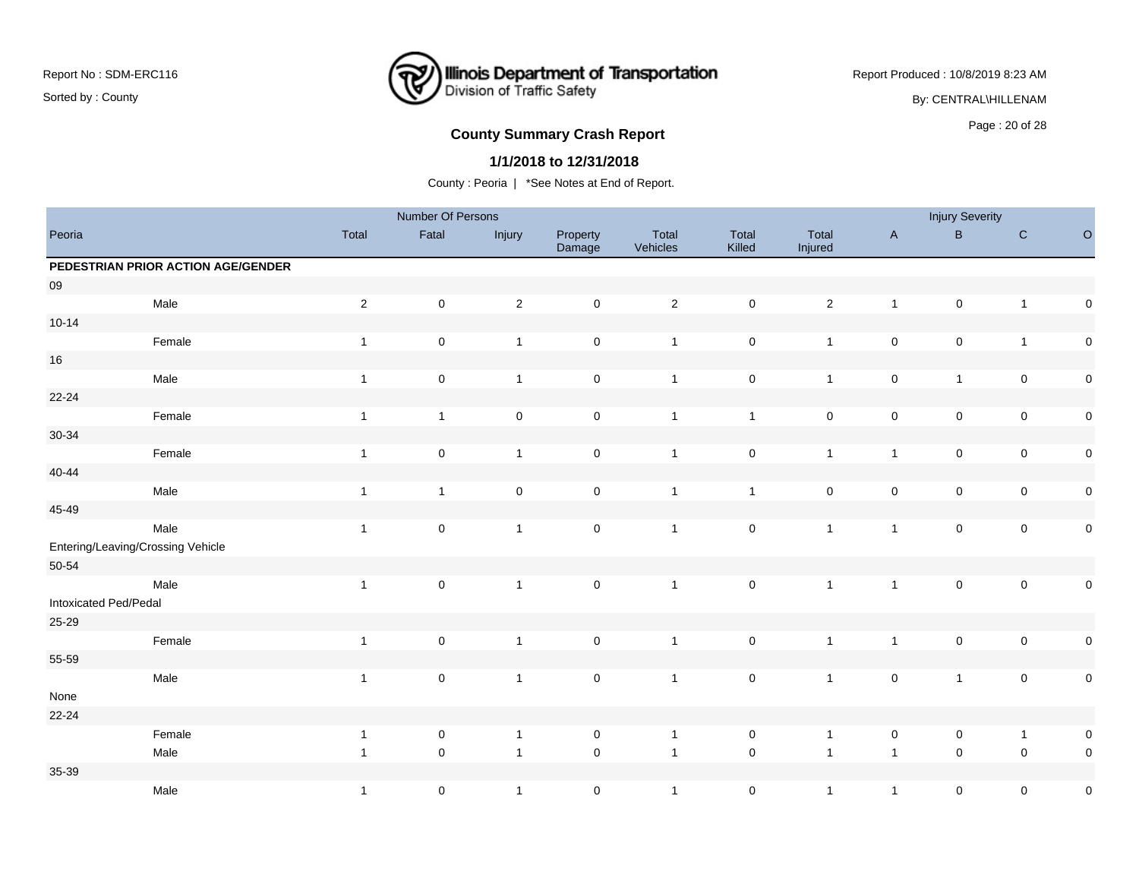### **Illinois Department of Transportation**<br>Division of Traffic Safety ₹

Report Produced : 10/8/2019 8:23 AM

By: CENTRAL\HILLENAM

# Page : 20 of 28 **County Summary Crash Report**

#### **1/1/2018 to 12/31/2018**

|                       |                                    |                | Number Of Persons |                     |                     |                   |                     |                  |                     | <b>Injury Severity</b> |                     |             |
|-----------------------|------------------------------------|----------------|-------------------|---------------------|---------------------|-------------------|---------------------|------------------|---------------------|------------------------|---------------------|-------------|
| Peoria                |                                    | Total          | Fatal             | Injury              | Property<br>Damage  | Total<br>Vehicles | Total<br>Killed     | Total<br>Injured | $\mathsf{A}$        | $\sf B$                | ${\bf C}$           | $\circ$     |
|                       | PEDESTRIAN PRIOR ACTION AGE/GENDER |                |                   |                     |                     |                   |                     |                  |                     |                        |                     |             |
| ${\bf 09}$            |                                    |                |                   |                     |                     |                   |                     |                  |                     |                        |                     |             |
|                       | Male                               | $\overline{2}$ | $\mathbf 0$       | $\mathbf 2$         | $\mathsf 0$         | $\overline{2}$    | $\mathsf 0$         | $\overline{2}$   | $\mathbf{1}$        | $\mathbf 0$            | $\overline{1}$      | $\mathbf 0$ |
| $10 - 14$             |                                    |                |                   |                     |                     |                   |                     |                  |                     |                        |                     |             |
|                       | Female                             | $\mathbf{1}$   | $\mathbf 0$       | $\overline{1}$      | $\mathsf{O}\xspace$ | $\overline{1}$    | $\mathsf 0$         | $\mathbf{1}$     | $\mathsf{O}\xspace$ | $\mathsf 0$            | $\overline{1}$      | $\mathbf 0$ |
| $16\,$                |                                    |                |                   |                     |                     |                   |                     |                  |                     |                        |                     |             |
|                       | Male                               | $\mathbf{1}$   | $\pmb{0}$         | $\overline{1}$      | $\mathsf{O}\xspace$ | $\overline{1}$    | $\mathsf 0$         | $\mathbf{1}$     | $\mathsf{O}\xspace$ | $\mathbf{1}$           | $\mathbf 0$         | $\pmb{0}$   |
| 22-24                 |                                    |                |                   |                     |                     |                   |                     |                  |                     |                        |                     |             |
|                       | Female                             | $\mathbf{1}$   | $\mathbf{1}$      | $\pmb{0}$           | $\mathsf{O}\xspace$ | $\overline{1}$    | $\mathbf{1}$        | $\pmb{0}$        | $\mathsf{O}\xspace$ | $\mathsf 0$            | $\mathsf{O}\xspace$ | $\pmb{0}$   |
| $30 - 34$             |                                    |                |                   |                     |                     |                   |                     |                  |                     |                        |                     |             |
|                       | Female                             | $\mathbf{1}$   | $\mathsf 0$       | $\mathbf{1}$        | $\mathsf{O}\xspace$ | $\overline{1}$    | $\mathsf 0$         | $\mathbf{1}$     | $\mathbf{1}$        | $\pmb{0}$              | $\pmb{0}$           | $\pmb{0}$   |
| 40-44                 |                                    |                |                   |                     |                     |                   |                     |                  |                     |                        |                     |             |
|                       | Male                               | $\mathbf{1}$   | $\mathbf{1}$      | $\mathsf{O}\xspace$ | $\mathsf{O}\xspace$ | $\overline{1}$    | $\mathbf{1}$        | $\mathbf 0$      | $\mathsf{O}\xspace$ | $\pmb{0}$              | $\mathsf{O}\xspace$ | $\pmb{0}$   |
| 45-49                 |                                    |                |                   |                     |                     |                   |                     |                  |                     |                        |                     |             |
|                       | Male                               | $\mathbf{1}$   | $\mathsf 0$       | $\mathbf{1}$        | $\mathsf{O}\xspace$ | $\overline{1}$    | $\mathbf 0$         | $\mathbf{1}$     | $\mathbf{1}$        | $\mathbf 0$            | $\mathsf{O}\xspace$ | $\mathbf 0$ |
|                       | Entering/Leaving/Crossing Vehicle  |                |                   |                     |                     |                   |                     |                  |                     |                        |                     |             |
| 50-54                 |                                    |                |                   |                     |                     |                   |                     |                  |                     |                        |                     |             |
|                       | Male                               | $\mathbf{1}$   | $\mathbf 0$       | $\mathbf{1}$        | $\mathbf 0$         | $\mathbf{1}$      | $\mathbf 0$         | $\mathbf{1}$     | $\mathbf{1}$        | $\pmb{0}$              | $\mathsf{O}\xspace$ | $\pmb{0}$   |
| Intoxicated Ped/Pedal |                                    |                |                   |                     |                     |                   |                     |                  |                     |                        |                     |             |
| 25-29                 |                                    |                |                   |                     |                     |                   |                     |                  |                     |                        |                     |             |
|                       | Female                             | $\mathbf{1}$   | $\mathsf 0$       | $\overline{1}$      | $\mathsf{O}\xspace$ | $\overline{1}$    | $\pmb{0}$           | $\mathbf{1}$     | $\mathbf{1}$        | $\mathbf 0$            | $\pmb{0}$           | $\pmb{0}$   |
| 55-59                 |                                    |                |                   |                     |                     |                   |                     |                  |                     |                        |                     |             |
|                       | Male                               | $\mathbf{1}$   | $\mathsf 0$       | $\mathbf{1}$        | $\mathsf{O}\xspace$ | $\overline{1}$    | $\pmb{0}$           | $\mathbf{1}$     | $\mathbf 0$         | $\mathbf{1}$           | $\pmb{0}$           | $\mathbf 0$ |
| None                  |                                    |                |                   |                     |                     |                   |                     |                  |                     |                        |                     |             |
| 22-24                 |                                    |                |                   |                     |                     |                   |                     |                  |                     |                        |                     |             |
|                       | Female                             | $\mathbf{1}$   | $\pmb{0}$         | $\overline{1}$      | $\mathsf{O}\xspace$ | $\overline{1}$    | $\mathsf 0$         | $\mathbf{1}$     | $\mathbf 0$         | $\pmb{0}$              | $\overline{1}$      | $\mathbf 0$ |
|                       | Male                               | $\mathbf{1}$   | $\mathbf 0$       | $\overline{1}$      | $\mathsf{O}\xspace$ | $\overline{1}$    | $\mathsf{O}\xspace$ | $\mathbf{1}$     | $\overline{1}$      | $\mathbf 0$            | $\mathbf 0$         | $\mathbf 0$ |
| 35-39                 |                                    |                |                   |                     |                     |                   |                     |                  |                     |                        |                     |             |
|                       | Male                               | $\mathbf{1}$   | $\pmb{0}$         | $\overline{1}$      | $\mathsf{O}\xspace$ | $\overline{1}$    | $\mathsf{O}\xspace$ | $\mathbf{1}$     | $\mathbf{1}$        | $\mathbf 0$            | $\mathbf 0$         | $\mathsf 0$ |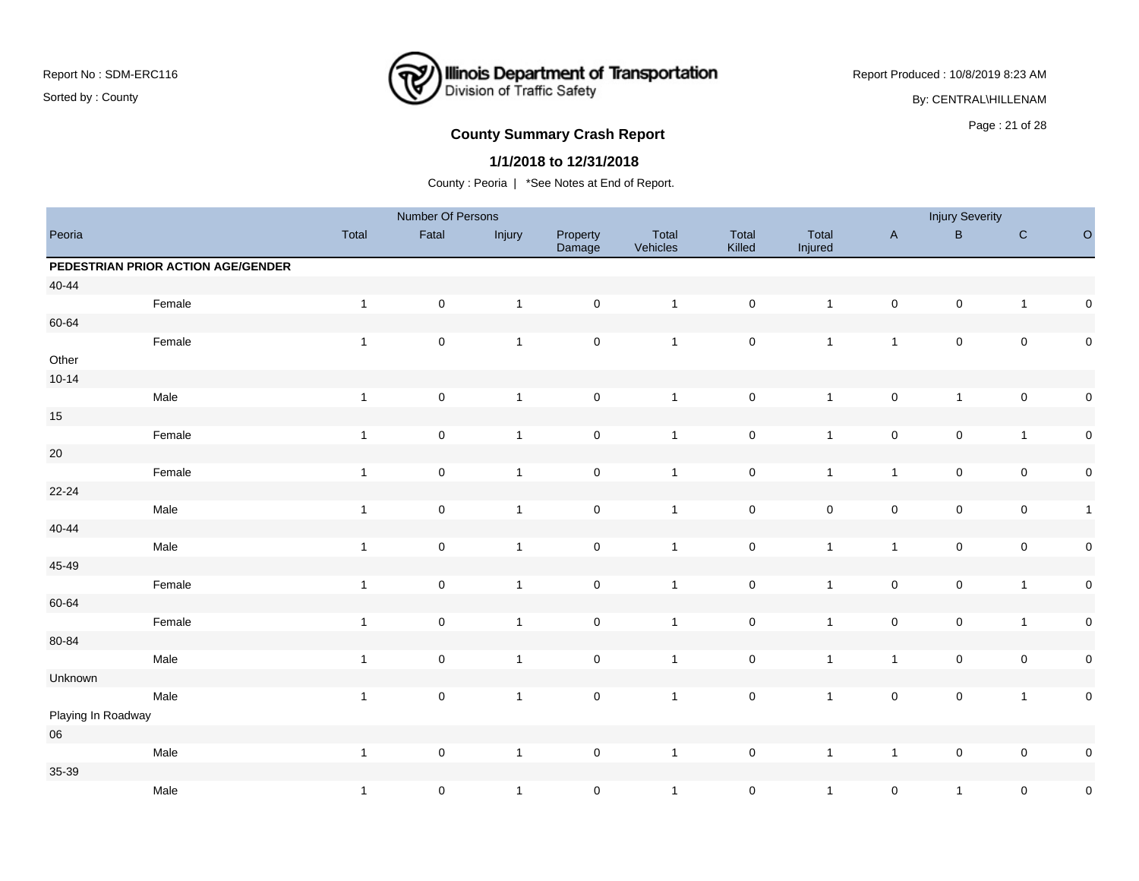### **Illinois Department of Transportation**<br>Division of Traffic Safety ₹

Report Produced : 10/8/2019 8:23 AM

By: CENTRAL\HILLENAM

# Page : 21 of 28 **County Summary Crash Report**

#### **1/1/2018 to 12/31/2018**

|                    |                                    |                | Number Of Persons   |              |                     |                   |                 |                  |                     | <b>Injury Severity</b> |                         |              |
|--------------------|------------------------------------|----------------|---------------------|--------------|---------------------|-------------------|-----------------|------------------|---------------------|------------------------|-------------------------|--------------|
| Peoria             |                                    | Total          | Fatal               | Injury       | Property<br>Damage  | Total<br>Vehicles | Total<br>Killed | Total<br>Injured | $\mathsf A$         | $\sf{B}$               | ${\bf C}$               | $\circ$      |
|                    | PEDESTRIAN PRIOR ACTION AGE/GENDER |                |                     |              |                     |                   |                 |                  |                     |                        |                         |              |
| $40 - 44$          |                                    |                |                     |              |                     |                   |                 |                  |                     |                        |                         |              |
|                    | Female                             | $\mathbf{1}$   | $\mathsf{O}\xspace$ | $\mathbf{1}$ | $\mathbf 0$         | $\overline{1}$    | $\mathbf 0$     | $\mathbf{1}$     | $\pmb{0}$           | $\mathsf 0$            | $\mathbf{1}$            | $\pmb{0}$    |
| 60-64              |                                    |                |                     |              |                     |                   |                 |                  |                     |                        |                         |              |
|                    | Female                             | $\mathbf{1}$   | $\mathbf 0$         | $\mathbf{1}$ | $\mathsf{O}\xspace$ | $\overline{1}$    | $\mathsf 0$     | $\mathbf{1}$     | $\mathbf{1}$        | $\pmb{0}$              | $\pmb{0}$               | $\pmb{0}$    |
| Other              |                                    |                |                     |              |                     |                   |                 |                  |                     |                        |                         |              |
| $10 - 14$          |                                    |                |                     |              |                     |                   |                 |                  |                     |                        |                         |              |
|                    | Male                               | $\overline{1}$ | $\mathbf 0$         | $\mathbf{1}$ | $\mathsf 0$         | $\mathbf{1}$      | $\mathbf 0$     | $\mathbf{1}$     | $\pmb{0}$           | $\mathbf{1}$           | $\mathsf{O}\xspace$     | $\pmb{0}$    |
| $15\,$             |                                    |                |                     |              |                     |                   |                 |                  |                     |                        |                         |              |
|                    | Female                             | $\overline{1}$ | $\mathsf{O}\xspace$ | $\mathbf{1}$ | $\mathbf 0$         | $\mathbf{1}$      | $\mathsf 0$     | $\mathbf{1}$     | $\pmb{0}$           | $\mathsf 0$            | $\mathbf{1}$            | $\pmb{0}$    |
| $20\,$             |                                    |                |                     |              |                     |                   |                 |                  |                     |                        |                         |              |
|                    | Female                             | $\mathbf{1}$   | $\pmb{0}$           | $\mathbf{1}$ | $\pmb{0}$           | $\mathbf{1}$      | $\mathsf 0$     | $\mathbf{1}$     | $\mathbf{1}$        | $\mathsf 0$            | $\pmb{0}$               | $\pmb{0}$    |
| $22 - 24$          |                                    |                |                     |              |                     |                   |                 |                  |                     |                        |                         |              |
|                    | Male                               | $\overline{1}$ | $\pmb{0}$           | $\mathbf{1}$ | $\mathbf 0$         | $\overline{1}$    | $\mathsf 0$     | $\mathbf 0$      | $\pmb{0}$           | $\mathbf 0$            | $\pmb{0}$               | $\mathbf{1}$ |
| $40 - 44$          |                                    |                |                     |              |                     |                   |                 |                  |                     |                        |                         |              |
|                    | Male                               | $\overline{1}$ | $\pmb{0}$           | $\mathbf{1}$ | $\mathsf{O}\xspace$ | $\overline{1}$    | $\pmb{0}$       | $\mathbf{1}$     | $\mathbf{1}$        | $\mathsf 0$            | $\pmb{0}$               | $\pmb{0}$    |
| 45-49              |                                    |                |                     |              |                     |                   |                 |                  |                     |                        |                         |              |
|                    | Female                             | $\mathbf{1}$   | $\pmb{0}$           | $\mathbf{1}$ | $\mathbf 0$         | $\mathbf{1}$      | $\pmb{0}$       | $\mathbf{1}$     | $\pmb{0}$           | $\pmb{0}$              | $\overline{\mathbf{1}}$ | $\pmb{0}$    |
| 60-64              |                                    |                |                     |              |                     |                   |                 |                  |                     |                        |                         |              |
|                    | Female                             | $\overline{1}$ | $\mathsf 0$         | $\mathbf{1}$ | $\mathsf{O}\xspace$ | $\overline{1}$    | $\mathsf 0$     | $\mathbf{1}$     | $\mathsf{O}\xspace$ | $\pmb{0}$              | $\mathbf{1}$            | $\pmb{0}$    |
| 80-84              |                                    |                |                     |              |                     |                   |                 |                  |                     |                        |                         |              |
|                    | Male                               | $\overline{1}$ | $\pmb{0}$           | $\mathbf{1}$ | $\mathbf 0$         | $\overline{1}$    | $\mathbf 0$     | $\mathbf{1}$     | $\mathbf{1}$        | $\pmb{0}$              | $\pmb{0}$               | $\pmb{0}$    |
| Unknown            |                                    |                |                     |              |                     |                   |                 |                  |                     |                        |                         |              |
|                    | Male                               | $\mathbf{1}$   | $\pmb{0}$           | $\mathbf{1}$ | $\mathsf{O}\xspace$ | $\overline{1}$    | $\mathsf 0$     | $\mathbf{1}$     | $\mathsf{O}\xspace$ | $\mathsf{O}\xspace$    | $\mathbf{1}$            | $\pmb{0}$    |
| Playing In Roadway |                                    |                |                     |              |                     |                   |                 |                  |                     |                        |                         |              |
| $06\,$             |                                    |                |                     |              |                     |                   |                 |                  |                     |                        |                         |              |
|                    | Male                               | $\overline{1}$ | $\pmb{0}$           | $\mathbf{1}$ | $\mathsf{O}\xspace$ | $\overline{1}$    | $\pmb{0}$       | $\mathbf{1}$     | $\mathbf{1}$        | $\pmb{0}$              | $\pmb{0}$               | $\pmb{0}$    |
| 35-39              |                                    |                |                     |              |                     |                   |                 |                  |                     |                        |                         |              |
|                    | Male                               | $\mathbf{1}$   | $\pmb{0}$           | $\mathbf{1}$ | $\pmb{0}$           | $\overline{1}$    | $\mathbf 0$     | $\mathbf{1}$     | $\mathbf 0$         | $\mathbf{1}$           | $\pmb{0}$               | $\pmb{0}$    |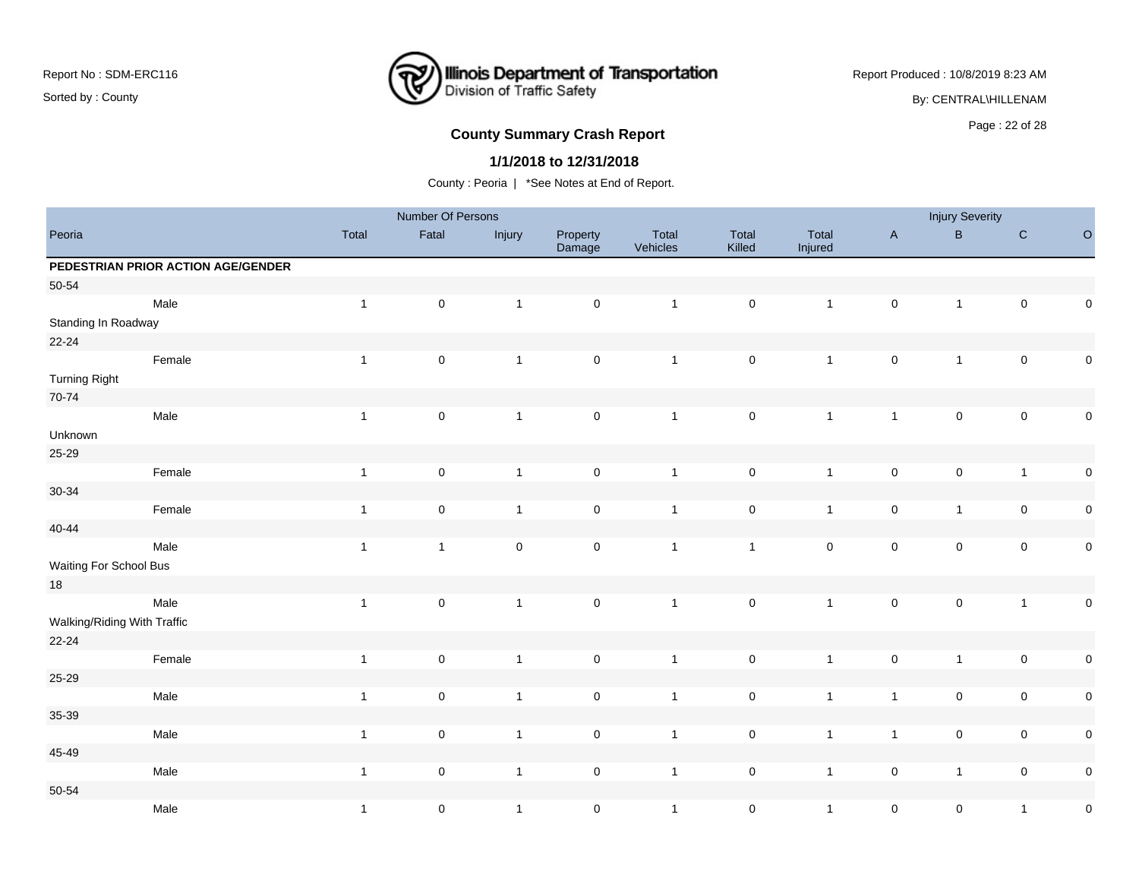# **Illinois Department of Transportation**<br>Division of Traffic Safety ₹

Report Produced : 10/8/2019 8:23 AM

By: CENTRAL\HILLENAM

# **County Summary Crash Report COUNTY SUMMARY CRASH REPORT COUNTY SUMMARY CRASH REPORT**

#### **1/1/2018 to 12/31/2018**

|                             |                                    |              | Number Of Persons |                     |                     |                   |                 |                  |                | <b>Injury Severity</b> |                     |             |
|-----------------------------|------------------------------------|--------------|-------------------|---------------------|---------------------|-------------------|-----------------|------------------|----------------|------------------------|---------------------|-------------|
| Peoria                      |                                    | Total        | Fatal             | Injury              | Property<br>Damage  | Total<br>Vehicles | Total<br>Killed | Total<br>Injured | $\mathsf{A}$   | $\, {\bf B} \,$        | $\mathbf C$         | $\circ$     |
|                             | PEDESTRIAN PRIOR ACTION AGE/GENDER |              |                   |                     |                     |                   |                 |                  |                |                        |                     |             |
| $50 - 54$                   |                                    |              |                   |                     |                     |                   |                 |                  |                |                        |                     |             |
| Standing In Roadway         | Male                               | $\mathbf{1}$ | $\pmb{0}$         | $\mathbf{1}$        | $\mathsf 0$         | $\overline{1}$    | $\pmb{0}$       | $\mathbf{1}$     | $\mathbf 0$    | $\mathbf{1}$           | $\overline{0}$      | $\mathbf 0$ |
| $22 - 24$                   |                                    |              |                   |                     |                     |                   |                 |                  |                |                        |                     |             |
|                             | Female                             | $\mathbf{1}$ | $\mathbf 0$       | $\overline{1}$      | $\mathsf{O}\xspace$ | $\mathbf{1}$      | $\mathbf 0$     | $\overline{1}$   | $\pmb{0}$      | $\mathbf{1}$           | $\mathbf{0}$        | $\pmb{0}$   |
| <b>Turning Right</b>        |                                    |              |                   |                     |                     |                   |                 |                  |                |                        |                     |             |
| 70-74                       |                                    |              |                   |                     |                     |                   |                 |                  |                |                        |                     |             |
| Unknown                     | Male                               | $\mathbf{1}$ | $\pmb{0}$         | $\mathbf{1}$        | $\mathsf{O}\xspace$ | $\mathbf{1}$      | $\pmb{0}$       | $\mathbf{1}$     | $\mathbf{1}$   | $\mathsf{O}\xspace$    | $\mathsf{O}$        | $\pmb{0}$   |
| 25-29                       |                                    |              |                   |                     |                     |                   |                 |                  |                |                        |                     |             |
|                             | Female                             | $\mathbf{1}$ | $\mathbf 0$       | $\overline{1}$      | $\pmb{0}$           | $\mathbf{1}$      | $\mathbf 0$     | $\mathbf{1}$     | $\pmb{0}$      | $\mathbf 0$            | $\overline{1}$      | $\mathbf 0$ |
| $30 - 34$                   |                                    |              |                   |                     |                     |                   |                 |                  |                |                        |                     |             |
|                             | Female                             | $\mathbf{1}$ | $\mathbf 0$       | $\mathbf{1}$        | $\mathbf 0$         | $\mathbf{1}$      | $\pmb{0}$       | $\mathbf{1}$     | $\mathbf 0$    | $\mathbf{1}$           | $\mathsf{O}\xspace$ | $\mathbf 0$ |
| $40 - 44$                   |                                    |              |                   |                     |                     |                   |                 |                  |                |                        |                     |             |
|                             | Male                               | $\mathbf{1}$ | $\mathbf{1}$      | $\mathsf{O}\xspace$ | $\mathsf{O}\xspace$ | $\mathbf{1}$      | $\mathbf{1}$    | $\mathbf 0$      | $\pmb{0}$      | $\mathsf 0$            | $\mathsf{O}\xspace$ | $\mathbf 0$ |
| Waiting For School Bus      |                                    |              |                   |                     |                     |                   |                 |                  |                |                        |                     |             |
| $18\,$                      |                                    |              |                   |                     |                     |                   |                 |                  |                |                        |                     |             |
|                             | Male                               | $\mathbf{1}$ | $\mathbf 0$       | $\overline{1}$      | $\mathsf{O}\xspace$ | $\mathbf{1}$      | $\mathbf 0$     | $\mathbf{1}$     | $\pmb{0}$      | $\mathbf 0$            | $\mathbf{1}$        | $\mathbf 0$ |
| Walking/Riding With Traffic |                                    |              |                   |                     |                     |                   |                 |                  |                |                        |                     |             |
| $22 - 24$                   |                                    |              |                   |                     |                     |                   |                 |                  |                |                        |                     |             |
|                             | Female                             | $\mathbf{1}$ | $\pmb{0}$         | $\overline{1}$      | $\mathsf{O}\xspace$ | $\mathbf{1}$      | $\mathbf 0$     | $\overline{1}$   | $\pmb{0}$      | $\mathbf{1}$           | $\mathsf{O}\xspace$ | $\mathbf 0$ |
| 25-29                       |                                    |              |                   |                     |                     |                   |                 |                  |                |                        |                     |             |
|                             | Male                               | $\mathbf{1}$ | $\mathbf 0$       | $\overline{1}$      | $\mathbf 0$         | $\mathbf{1}$      | $\mathbf 0$     | $\overline{1}$   | $\overline{1}$ | $\mathsf 0$            | $\mathbf 0$         | $\mathbf 0$ |
| 35-39                       |                                    |              |                   |                     |                     |                   |                 |                  |                |                        |                     |             |
|                             | Male                               | $\mathbf{1}$ | $\pmb{0}$         | $\overline{1}$      | $\pmb{0}$           | $\mathbf{1}$      | $\mathbf 0$     | $\mathbf{1}$     | $\overline{1}$ | $\mathbf 0$            | $\mathsf{O}\xspace$ | $\mathbf 0$ |
| 45-49                       |                                    |              |                   |                     |                     |                   |                 |                  |                |                        |                     |             |
|                             | Male                               | $\mathbf{1}$ | $\mathbf 0$       | $\overline{1}$      | $\mathbf 0$         | $\mathbf{1}$      | $\pmb{0}$       | $\mathbf{1}$     | $\pmb{0}$      | $\mathbf{1}$           | $\mathsf{O}\xspace$ | $\pmb{0}$   |
| $50 - 54$                   |                                    |              |                   |                     |                     |                   |                 |                  |                |                        |                     |             |
|                             | Male                               | $\mathbf 1$  | $\pmb{0}$         | $\overline{1}$      | $\mathsf{O}\xspace$ | $\mathbf{1}$      | $\mathbf 0$     | $\mathbf{1}$     | $\pmb{0}$      | $\mathsf 0$            | $\mathbf{1}$        | $\mathbf 0$ |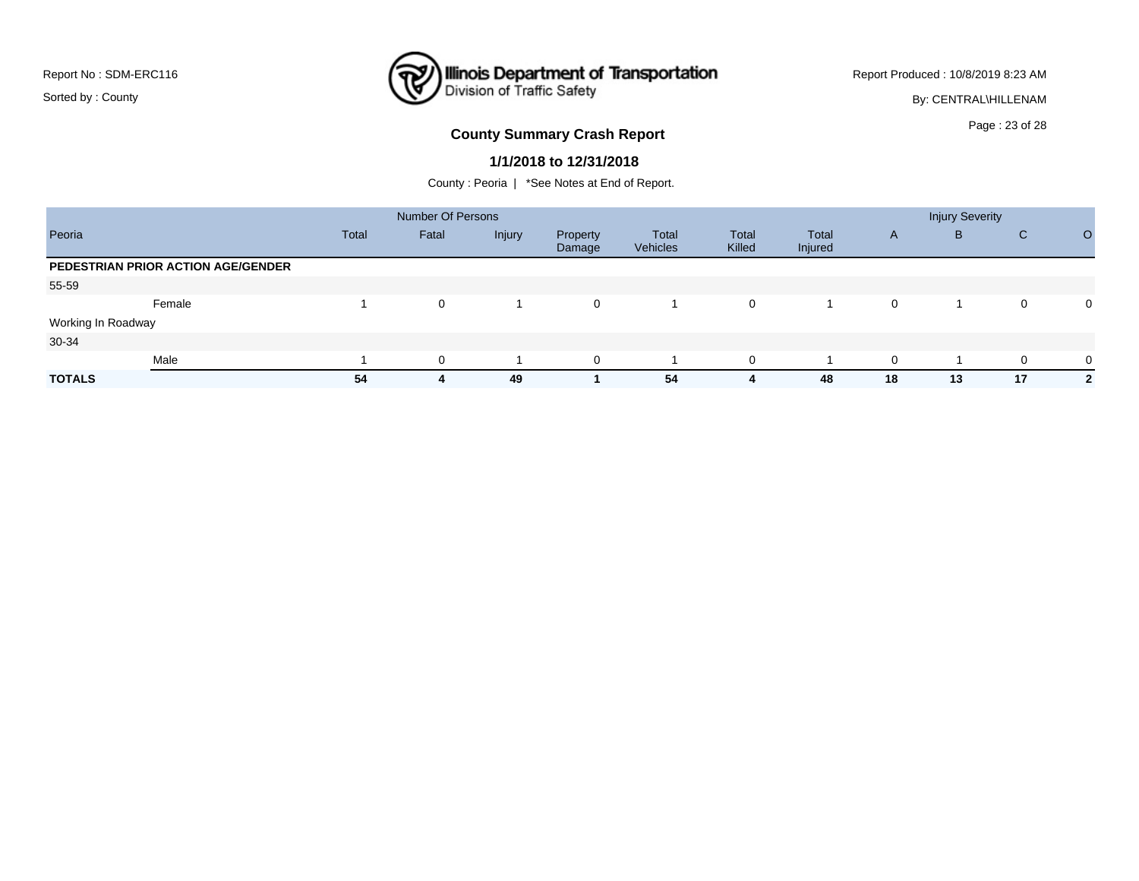### **Illinois Department of Transportation**<br>Division of Traffic Safety ₹

Report Produced : 10/8/2019 8:23 AM

By: CENTRAL\HILLENAM

# Page : 23 of 28 **County Summary Crash Report**

#### **1/1/2018 to 12/31/2018**

|                    |                                    |       | <b>Number Of Persons</b> |        |                    |                   |                 |                  |    | <b>Injury Severity</b> |    |                |
|--------------------|------------------------------------|-------|--------------------------|--------|--------------------|-------------------|-----------------|------------------|----|------------------------|----|----------------|
| Peoria             |                                    | Total | Fatal                    | Injury | Property<br>Damage | Total<br>Vehicles | Total<br>Killed | Total<br>Injured | A  | B                      | C  | $\Omega$       |
|                    | PEDESTRIAN PRIOR ACTION AGE/GENDER |       |                          |        |                    |                   |                 |                  |    |                        |    |                |
| 55-59              |                                    |       |                          |        |                    |                   |                 |                  |    |                        |    |                |
|                    | Female                             |       | 0                        |        | $\mathbf{0}$       |                   | 0               |                  | 0  |                        | 0  | $\mathbf 0$    |
| Working In Roadway |                                    |       |                          |        |                    |                   |                 |                  |    |                        |    |                |
| 30-34              |                                    |       |                          |        |                    |                   |                 |                  |    |                        |    |                |
|                    | Male                               |       | 0                        |        | $\overline{0}$     |                   | 0               |                  | 0  |                        | 0  | $\mathbf 0$    |
| <b>TOTALS</b>      |                                    | 54    | 4                        | 49     |                    | 54                | 4               | 48               | 18 | 13                     | 17 | $\overline{2}$ |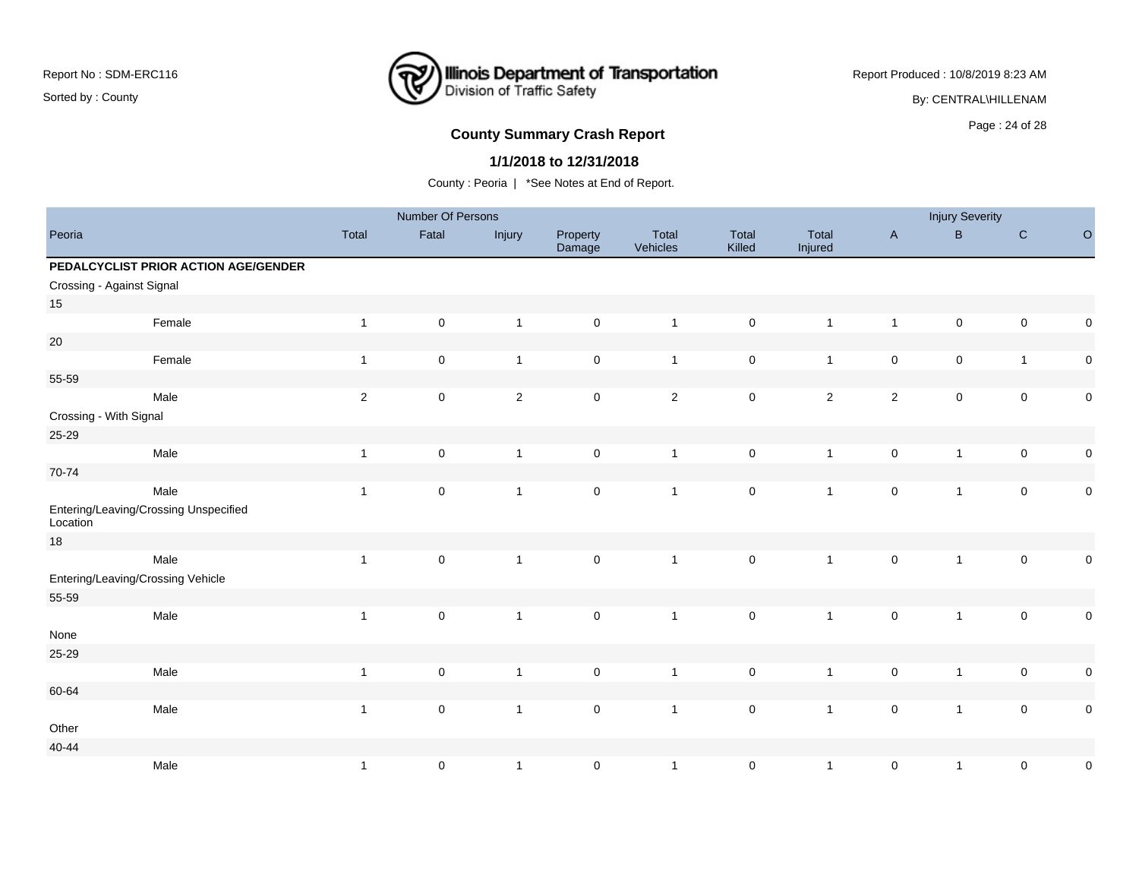# **Illinois Department of Transportation**<br>Division of Traffic Safety ₹

Report Produced : 10/8/2019 8:23 AM

By: CENTRAL\HILLENAM

# **County Summary Crash Report COUNTY SUMMARY CRASH REPORT COUNTY SUMMARY CRASH REPORT**

#### **1/1/2018 to 12/31/2018**

|                                                   |              | Number Of Persons   |                |                     |                   |                     |                  |                     | <b>Injury Severity</b> |                     |             |
|---------------------------------------------------|--------------|---------------------|----------------|---------------------|-------------------|---------------------|------------------|---------------------|------------------------|---------------------|-------------|
| Peoria                                            | Total        | Fatal               | Injury         | Property<br>Damage  | Total<br>Vehicles | Total<br>Killed     | Total<br>Injured | $\mathsf{A}$        | $\sf B$                | $\mathbf C$         | $\circ$     |
| PEDALCYCLIST PRIOR ACTION AGE/GENDER              |              |                     |                |                     |                   |                     |                  |                     |                        |                     |             |
| Crossing - Against Signal                         |              |                     |                |                     |                   |                     |                  |                     |                        |                     |             |
| 15                                                |              |                     |                |                     |                   |                     |                  |                     |                        |                     |             |
| Female                                            | $\mathbf{1}$ | $\pmb{0}$           | $\mathbf{1}$   | $\mathsf{O}\xspace$ | $\mathbf{1}$      | $\mathbf 0$         | $\overline{1}$   | $\mathbf{1}$        | $\mathsf 0$            | $\mathsf{O}\xspace$ | $\pmb{0}$   |
| $20\,$                                            |              |                     |                |                     |                   |                     |                  |                     |                        |                     |             |
| Female                                            | $\mathbf{1}$ | $\mathbf 0$         | $\overline{1}$ | $\mathbf 0$         | $\mathbf{1}$      | $\mathsf{O}\xspace$ | $\overline{1}$   | $\mathbf 0$         | $\mathbf 0$            | $\overline{1}$      | $\pmb{0}$   |
| 55-59                                             |              |                     |                |                     |                   |                     |                  |                     |                        |                     |             |
| Male                                              | $\mathbf 2$  | $\mathbf 0$         | $\overline{c}$ | $\mathbf 0$         | $\overline{c}$    | $\mathbf 0$         | $\overline{c}$   | $\mathbf 2$         | $\mathsf 0$            | $\mathsf{O}\xspace$ | $\mathbf 0$ |
| Crossing - With Signal                            |              |                     |                |                     |                   |                     |                  |                     |                        |                     |             |
| 25-29                                             |              |                     |                |                     |                   |                     |                  |                     |                        |                     |             |
| Male                                              | $\mathbf{1}$ | $\pmb{0}$           | $\overline{1}$ | $\mathsf{O}\xspace$ | $\mathbf{1}$      | $\pmb{0}$           | $\overline{1}$   | $\pmb{0}$           | $\mathbf{1}$           | $\mathsf{O}\xspace$ | $\pmb{0}$   |
| 70-74                                             |              |                     |                |                     |                   |                     |                  |                     |                        |                     |             |
| Male                                              | $\mathbf{1}$ | $\mathbf 0$         | $\overline{1}$ | $\mathsf{O}\xspace$ | $\mathbf{1}$      | $\mathbf 0$         | $\overline{1}$   | $\pmb{0}$           | $\mathbf{1}$           | $\mathsf{O}\xspace$ | $\pmb{0}$   |
| Entering/Leaving/Crossing Unspecified<br>Location |              |                     |                |                     |                   |                     |                  |                     |                        |                     |             |
| $18$                                              |              |                     |                |                     |                   |                     |                  |                     |                        |                     |             |
| Male                                              | $\mathbf{1}$ | $\mathsf{O}\xspace$ | $\overline{1}$ | $\mathsf{O}\xspace$ | $\mathbf{1}$      | $\mathbf 0$         | $\mathbf{1}$     | $\mathsf{O}\xspace$ | $\mathbf{1}$           | $\mathbf 0$         | $\pmb{0}$   |
| Entering/Leaving/Crossing Vehicle                 |              |                     |                |                     |                   |                     |                  |                     |                        |                     |             |
| 55-59                                             |              |                     |                |                     |                   |                     |                  |                     |                        |                     |             |
| Male                                              | $\mathbf{1}$ | $\mathsf{O}\xspace$ | $\overline{1}$ | $\mathsf{O}\xspace$ | $\overline{1}$    | $\mathbf 0$         | $\mathbf{1}$     | $\pmb{0}$           | $\mathbf{1}$           | $\mathsf{O}\xspace$ | $\pmb{0}$   |
| None                                              |              |                     |                |                     |                   |                     |                  |                     |                        |                     |             |
| 25-29                                             |              |                     |                |                     |                   |                     |                  |                     |                        |                     |             |
| Male                                              | $\mathbf{1}$ | $\mathbf 0$         | $\mathbf{1}$   | $\mathsf{O}\xspace$ | $\mathbf{1}$      | $\mathbf 0$         | $\overline{1}$   | $\pmb{0}$           | $\mathbf{1}$           | $\mathsf{O}\xspace$ | $\pmb{0}$   |
| 60-64                                             |              |                     |                |                     |                   |                     |                  |                     |                        |                     |             |
| Male                                              | $\mathbf{1}$ | $\mathsf{O}\xspace$ | $\overline{1}$ | $\mathbf 0$         | $\mathbf{1}$      | $\mathbf 0$         | $\mathbf{1}$     | $\mathsf{O}\xspace$ | $\mathbf{1}$           | $\mathbf 0$         | $\pmb{0}$   |
| Other                                             |              |                     |                |                     |                   |                     |                  |                     |                        |                     |             |
| $40 - 44$                                         |              |                     |                |                     |                   |                     |                  |                     |                        |                     |             |
| Male                                              | $\mathbf{1}$ | $\pmb{0}$           | $\mathbf{1}$   | $\mathsf{O}\xspace$ | $\mathbf{1}$      | $\mathbf 0$         | $\overline{1}$   | $\pmb{0}$           | $\mathbf{1}$           | $\mathbf 0$         | $\pmb{0}$   |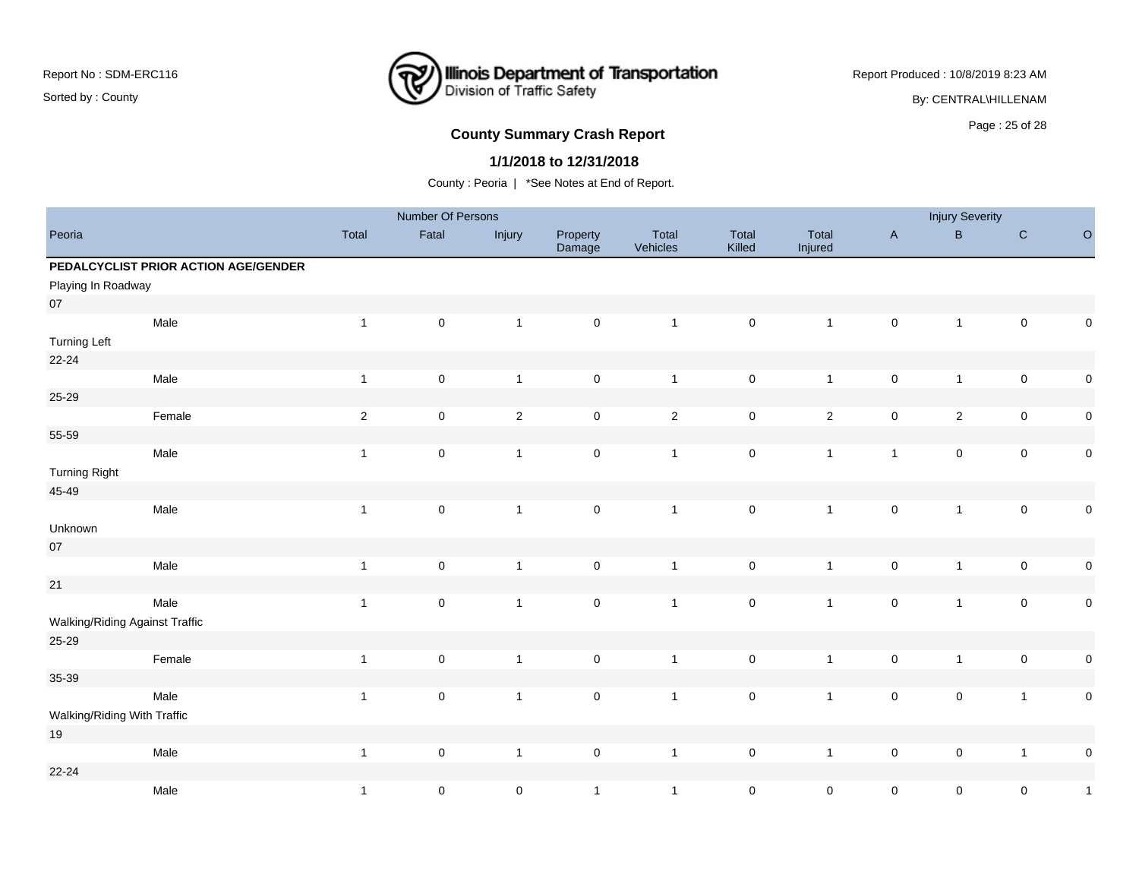

Report Produced : 10/8/2019 8:23 AM

By: CENTRAL\HILLENAM

## Page : 25 of 28 **County Summary Crash Report**

#### **1/1/2018 to 12/31/2018**

|                                |                                      |                | Number Of Persons   |                |                     |                   |                 |                  |                           | <b>Injury Severity</b> |                     |              |
|--------------------------------|--------------------------------------|----------------|---------------------|----------------|---------------------|-------------------|-----------------|------------------|---------------------------|------------------------|---------------------|--------------|
| Peoria                         |                                      | Total          | Fatal               | Injury         | Property<br>Damage  | Total<br>Vehicles | Total<br>Killed | Total<br>Injured | $\boldsymbol{\mathsf{A}}$ | B                      | ${\bf C}$           | $\circ$      |
|                                | PEDALCYCLIST PRIOR ACTION AGE/GENDER |                |                     |                |                     |                   |                 |                  |                           |                        |                     |              |
| Playing In Roadway             |                                      |                |                     |                |                     |                   |                 |                  |                           |                        |                     |              |
| $07\,$                         |                                      |                |                     |                |                     |                   |                 |                  |                           |                        |                     |              |
|                                | Male                                 | $\mathbf{1}$   | $\mathsf 0$         | $\overline{1}$ | $\mathsf{O}\xspace$ | $\mathbf{1}$      | $\pmb{0}$       | $\mathbf{1}$     | $\pmb{0}$                 | $\mathbf{1}$           | $\mathsf{O}\xspace$ | 0            |
| <b>Turning Left</b>            |                                      |                |                     |                |                     |                   |                 |                  |                           |                        |                     |              |
| $22 - 24$                      |                                      |                |                     |                |                     |                   |                 |                  |                           |                        |                     |              |
|                                | Male                                 | $\mathbf{1}$   | $\mathsf 0$         | $\overline{1}$ | $\mathsf{O}\xspace$ | $\overline{1}$    | $\pmb{0}$       | $\mathbf{1}$     | $\pmb{0}$                 | $\mathbf{1}$           | $\pmb{0}$           | 0            |
| 25-29                          |                                      |                |                     |                |                     |                   |                 |                  |                           |                        |                     |              |
|                                | Female                               | $\overline{2}$ | $\mathsf 0$         | $\overline{2}$ | $\mathsf{O}\xspace$ | $\overline{2}$    | $\mathsf 0$     | $\overline{2}$   | $\pmb{0}$                 | $\overline{2}$         | $\pmb{0}$           | $\mathbf 0$  |
| 55-59                          |                                      |                |                     |                |                     |                   |                 |                  |                           |                        |                     |              |
|                                | Male                                 | $\mathbf{1}$   | $\mathsf 0$         | $\overline{1}$ | $\mathsf{O}\xspace$ | $\mathbf{1}$      | $\mathsf 0$     | $\mathbf{1}$     | $\overline{1}$            | $\pmb{0}$              | $\pmb{0}$           | $\mathbf 0$  |
| <b>Turning Right</b>           |                                      |                |                     |                |                     |                   |                 |                  |                           |                        |                     |              |
| 45-49                          |                                      |                |                     |                |                     |                   |                 |                  |                           |                        |                     |              |
|                                | Male                                 | $\mathbf{1}$   | $\mathsf 0$         | $\overline{1}$ | $\mathsf{O}\xspace$ | $\overline{1}$    | $\mathsf 0$     | $\mathbf{1}$     | $\pmb{0}$                 | $\mathbf{1}$           | $\mathsf{O}\xspace$ | $\mathbf 0$  |
| Unknown                        |                                      |                |                     |                |                     |                   |                 |                  |                           |                        |                     |              |
| 07                             |                                      |                |                     |                |                     |                   |                 |                  |                           |                        |                     |              |
|                                | Male                                 | $\mathbf{1}$   | $\mathsf 0$         | $\mathbf{1}$   | $\pmb{0}$           | $\mathbf{1}$      | $\pmb{0}$       | $\mathbf{1}$     | $\pmb{0}$                 | $\mathbf{1}$           | $\pmb{0}$           | $\pmb{0}$    |
| 21                             |                                      |                |                     |                |                     |                   |                 |                  |                           |                        |                     |              |
|                                | Male                                 | $\mathbf{1}$   | $\mathsf{O}\xspace$ | $\overline{1}$ | $\mathsf{O}\xspace$ | $\mathbf{1}$      | $\mathsf 0$     | $\mathbf{1}$     | $\pmb{0}$                 | $\mathbf{1}$           | $\mathsf 0$         | $\pmb{0}$    |
| Walking/Riding Against Traffic |                                      |                |                     |                |                     |                   |                 |                  |                           |                        |                     |              |
| 25-29                          |                                      |                |                     |                |                     |                   |                 |                  |                           |                        |                     |              |
|                                | Female                               | $\mathbf{1}$   | $\mathsf 0$         | $\overline{1}$ | $\mathsf{O}\xspace$ | $\mathbf{1}$      | $\mathsf 0$     | $\mathbf{1}$     | $\pmb{0}$                 | $\mathbf{1}$           | $\pmb{0}$           | $\pmb{0}$    |
| 35-39                          |                                      |                |                     |                |                     |                   |                 |                  |                           |                        |                     |              |
|                                | Male                                 | $\mathbf{1}$   | $\mathsf 0$         | $\mathbf{1}$   | $\mathsf{O}\xspace$ | $\overline{1}$    | $\mathsf 0$     | $\mathbf{1}$     | $\pmb{0}$                 | $\pmb{0}$              | $\overline{1}$      | $\pmb{0}$    |
| Walking/Riding With Traffic    |                                      |                |                     |                |                     |                   |                 |                  |                           |                        |                     |              |
| 19                             |                                      |                |                     |                |                     |                   |                 |                  |                           |                        |                     |              |
|                                | Male                                 | $\mathbf{1}$   | $\mathsf 0$         | $\overline{1}$ | $\mathbf 0$         | $\overline{1}$    | $\pmb{0}$       | $\mathbf{1}$     | $\pmb{0}$                 | $\pmb{0}$              | $\overline{1}$      | 0            |
| $22 - 24$                      |                                      |                |                     |                |                     |                   |                 |                  |                           |                        |                     |              |
|                                | Male                                 | $\mathbf{1}$   | $\mathsf{O}\xspace$ | $\mathsf 0$    | $\mathbf{1}$        | $\mathbf{1}$      | $\mathsf 0$     | $\mathbf 0$      | $\mathsf 0$               | $\mathsf 0$            | $\pmb{0}$           | $\mathbf{1}$ |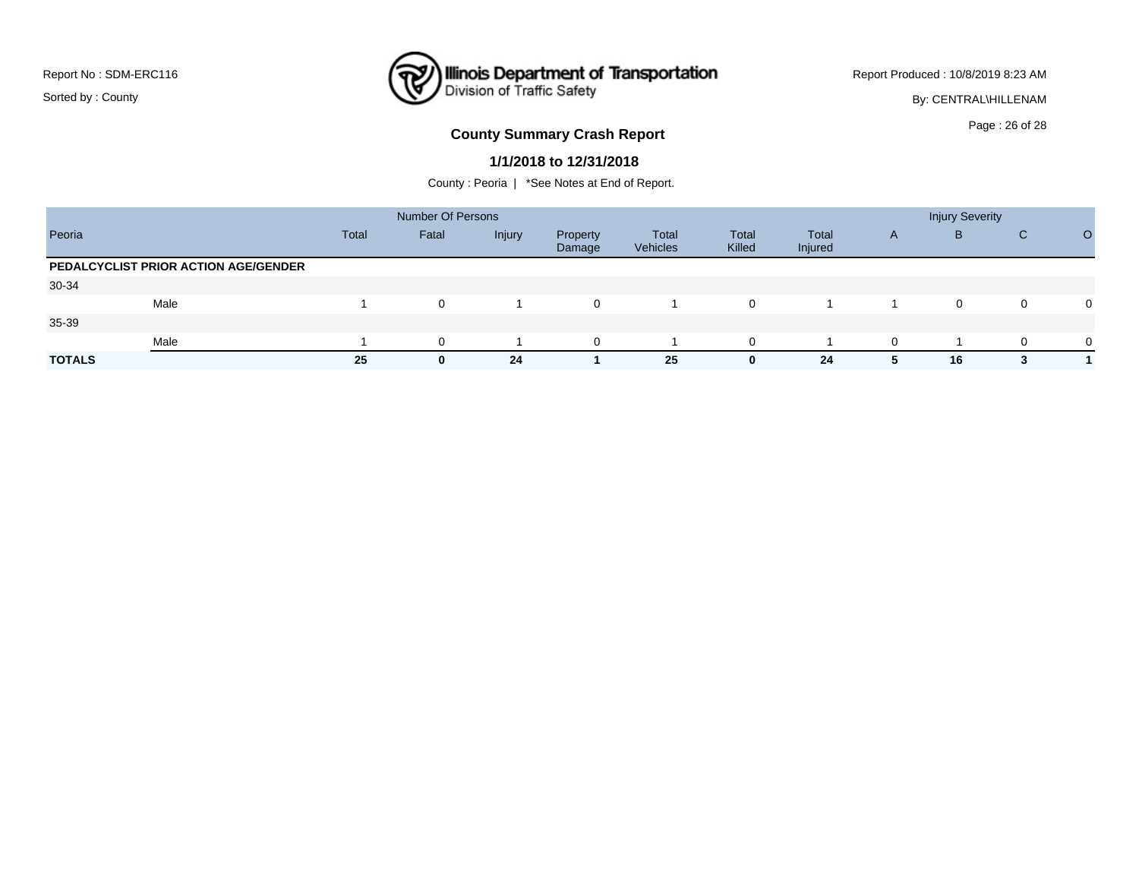### **Illinois Department of Transportation**<br>Division of Traffic Safety ₹

Report Produced : 10/8/2019 8:23 AM

By: CENTRAL\HILLENAM

# Page : 26 of 28 **County Summary Crash Report**

#### **1/1/2018 to 12/31/2018**

|                                      |              | <b>Number Of Persons</b> |        |                    |                   |                 |                  | <b>Injury Severity</b> |    |   |          |  |
|--------------------------------------|--------------|--------------------------|--------|--------------------|-------------------|-----------------|------------------|------------------------|----|---|----------|--|
| Peoria                               | <b>Total</b> | Fatal                    | Injury | Property<br>Damage | Total<br>Vehicles | Total<br>Killed | Total<br>Injured | A                      | в  | С |          |  |
| PEDALCYCLIST PRIOR ACTION AGE/GENDER |              |                          |        |                    |                   |                 |                  |                        |    |   |          |  |
| 30-34                                |              |                          |        |                    |                   |                 |                  |                        |    |   |          |  |
| Male                                 |              | $\mathbf 0$              |        | 0                  |                   | $\mathbf 0$     |                  |                        | 0  | 0 | $\Omega$ |  |
| 35-39                                |              |                          |        |                    |                   |                 |                  |                        |    |   |          |  |
| Male                                 |              | $\Omega$                 |        | $\Omega$           |                   | $\Omega$        |                  | $\Omega$               |    |   | $\Omega$ |  |
| <b>TOTALS</b>                        | 25           | $\bf{0}$                 | 24     |                    | 25                | 0               | 24               | 5                      | 16 |   |          |  |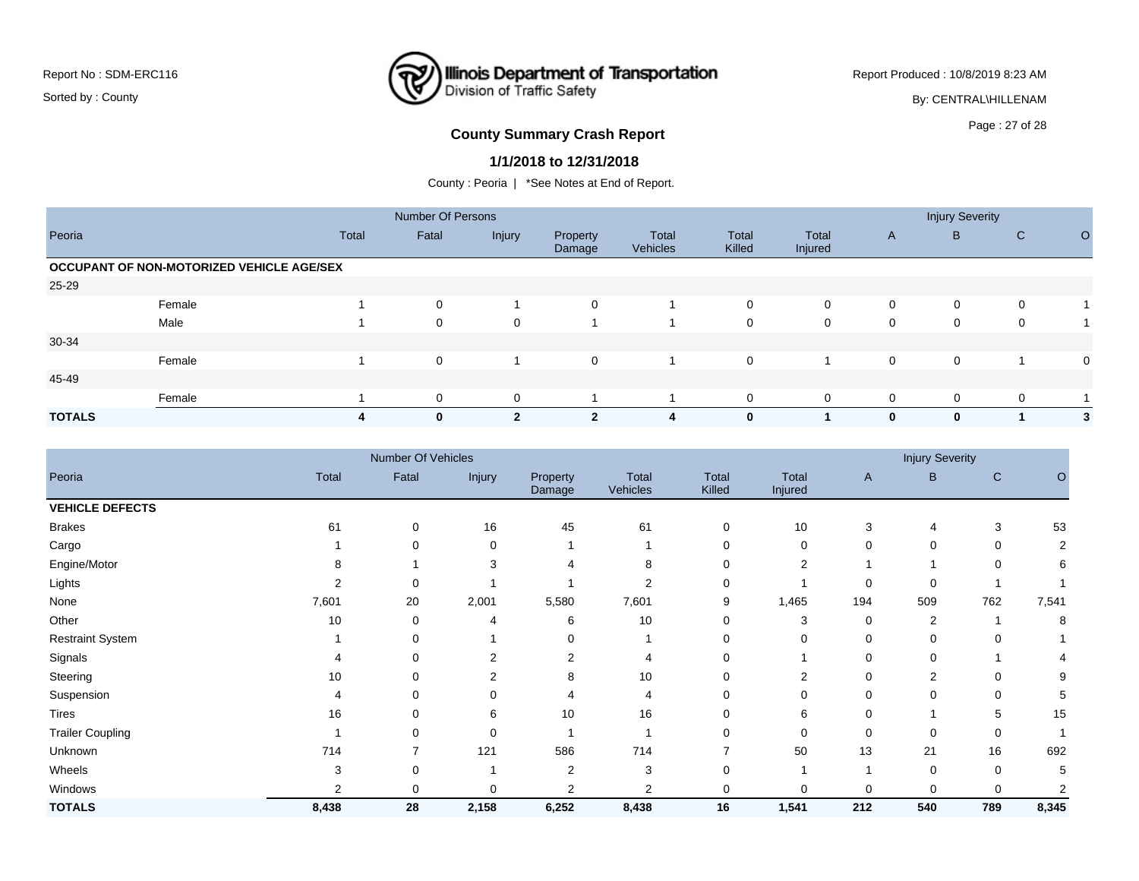

Report Produced : 10/8/2019 8:23 AM

By: CENTRAL\HILLENAM

## Page : 27 of 28 **County Summary Crash Report**

#### **1/1/2018 to 12/31/2018**

|               |                                           |       | <b>Number Of Persons</b> |              |                    |                          |                 | <b>Injury Severity</b> |              |             |             |             |
|---------------|-------------------------------------------|-------|--------------------------|--------------|--------------------|--------------------------|-----------------|------------------------|--------------|-------------|-------------|-------------|
| Peoria        |                                           | Total | Fatal                    | Injury       | Property<br>Damage | Total<br><b>Vehicles</b> | Total<br>Killed | Total<br>Injured       | $\mathsf{A}$ | B           | C           | $\circ$     |
|               | OCCUPANT OF NON-MOTORIZED VEHICLE AGE/SEX |       |                          |              |                    |                          |                 |                        |              |             |             |             |
| 25-29         |                                           |       |                          |              |                    |                          |                 |                        |              |             |             |             |
|               | Female                                    |       | $\mathbf 0$              |              | $\mathbf 0$        |                          | $\mathbf 0$     | $\mathbf 0$            | 0            | $\mathbf 0$ | $\mathbf 0$ |             |
|               | Male                                      |       | $\Omega$                 | $\mathbf 0$  |                    |                          | $\mathbf 0$     | 0                      | 0            | 0           | $\mathbf 0$ |             |
| 30-34         |                                           |       |                          |              |                    |                          |                 |                        |              |             |             |             |
|               | Female                                    |       | $\mathbf 0$              |              | $\mathbf 0$        |                          | $\mathbf 0$     |                        | $\mathbf 0$  | $\mathbf 0$ |             | $\mathbf 0$ |
| 45-49         |                                           |       |                          |              |                    |                          |                 |                        |              |             |             |             |
|               | Female                                    |       | 0                        | 0            |                    |                          | $\mathbf 0$     | $\mathbf 0$            | $\mathbf 0$  | $\mathbf 0$ | $\mathbf 0$ |             |
| <b>TOTALS</b> |                                           | 4     | $\bf{0}$                 | $\mathbf{2}$ | $\mathbf{2}$       | 4                        | $\bf{0}$        |                        | $\mathbf{0}$ | $\bf{0}$    |             | 3           |

|                         |       | Number Of Vehicles |                |                    |                   |                 |                         | <b>Injury Severity</b> |             |              |       |  |
|-------------------------|-------|--------------------|----------------|--------------------|-------------------|-----------------|-------------------------|------------------------|-------------|--------------|-------|--|
| Peoria                  | Total | Fatal              | Injury         | Property<br>Damage | Total<br>Vehicles | Total<br>Killed | <b>Total</b><br>Injured | $\mathsf{A}$           | B           | $\mathsf{C}$ | O     |  |
| <b>VEHICLE DEFECTS</b>  |       |                    |                |                    |                   |                 |                         |                        |             |              |       |  |
| <b>Brakes</b>           | 61    | 0                  | 16             | 45                 | 61                | 0               | 10                      | 3                      | 4           | 3            | 53    |  |
| Cargo                   |       | 0                  | 0              |                    |                   | 0               | 0                       | 0                      | 0           | 0            | 2     |  |
| Engine/Motor            | 8     |                    | 3              |                    |                   | 0               | $\overline{2}$          |                        |             | 0            | 6     |  |
| Lights                  | 2     | $\Omega$           |                |                    |                   | $\Omega$        |                         | $\Omega$               | $\Omega$    |              |       |  |
| None                    | 7,601 | 20                 | 2,001          | 5,580              | 7,601             | 9               | 1,465                   | 194                    | 509         | 762          | 7,541 |  |
| Other                   | 10    | 0                  | 4              | 6                  | 10                | $\Omega$        | 3                       | 0                      | 2           |              | 8     |  |
| <b>Restraint System</b> |       | 0                  |                | 0                  |                   | $\Omega$        | 0                       | $\Omega$               | $\Omega$    | $\Omega$     |       |  |
| Signals                 | 4     | 0                  | $\overline{2}$ | 2                  |                   | 0               |                         |                        | $\mathbf 0$ |              |       |  |
| Steering                | 10    | 0                  | $\overline{2}$ | 8                  | 10                | $\Omega$        | $\overline{2}$          | 0                      | 2           | 0            | 9     |  |
| Suspension              | 4     | 0                  | $\Omega$       |                    |                   | 0               | 0                       | 0                      | $\Omega$    | 0            | 5     |  |
| Tires                   | 16    | 0                  | 6              | 10                 | 16                | 0               | 6                       | 0                      |             | 5            | 15    |  |
| <b>Trailer Coupling</b> |       | 0                  | $\mathbf 0$    |                    |                   | 0               | $\mathbf 0$             | $\Omega$               | $\Omega$    | 0            |       |  |
| Unknown                 | 714   |                    | 121            | 586                | 714               | ⇁               | 50                      | 13                     | 21          | 16           | 692   |  |
| Wheels                  | 3     | 0                  |                | 2                  | 3                 | 0               |                         |                        | 0           | 0            | 5     |  |
| Windows                 | 2     | 0                  | 0              | 2                  | $\overline{2}$    | 0               | 0                       | 0                      | 0           | 0            |       |  |
| <b>TOTALS</b>           | 8,438 | 28                 | 2,158          | 6,252              | 8,438             | 16              | 1,541                   | 212                    | 540         | 789          | 8,345 |  |